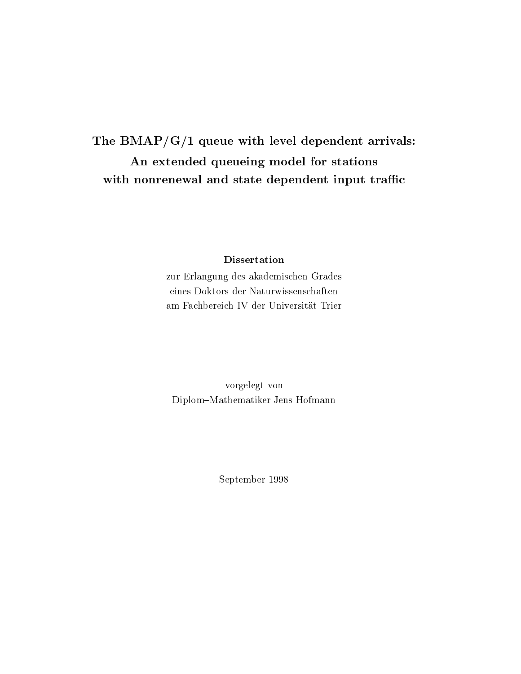The BMAP/G/1 queue with level dependent arrivals: An extended queueing model for stations with nonrenewal and state dependent input traffic

### **Dissertation**

zur Erlangung des akademischen Grades eines Doktors der Naturwissenschaften am Fachbereich IV der Universitat Trier

vorgelegt von Diplom{Mathematiker Jens Hofmann

September 1998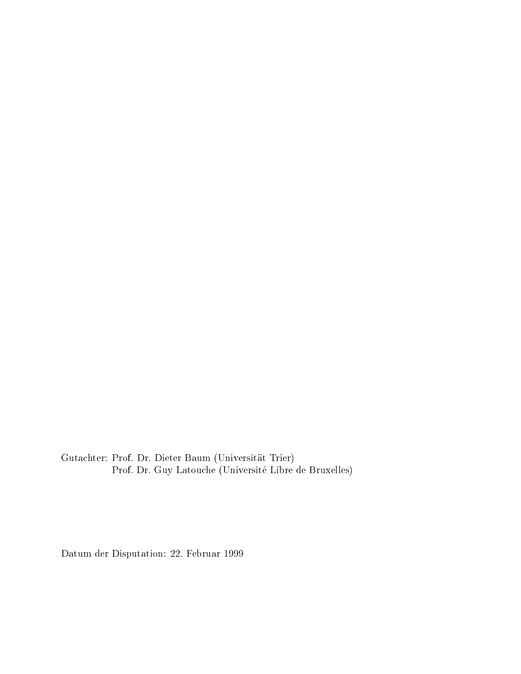Gutachter: Prof. Dr. Dieter Baum (Universitat Trier) Prof. Dr. Guy Latouche (Universite Libre de Bruxelles)

Datum der Disputation: 22. Februar 1999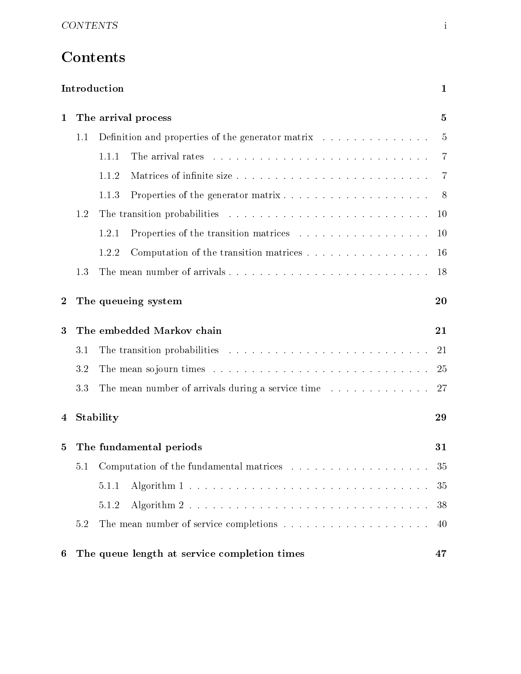# **Contents**

|                  |           | Introduction                                                                                  | $\mathbf 1$    |
|------------------|-----------|-----------------------------------------------------------------------------------------------|----------------|
| $\mathbf{1}$     |           | The arrival process                                                                           | 5              |
|                  | 1.1       | Definition and properties of the generator matrix                                             | 5              |
|                  |           | 1.1.1                                                                                         | $\overline{7}$ |
|                  |           | 1.1.2                                                                                         | 7              |
|                  |           | 1.1.3                                                                                         | 8              |
|                  | 1.2       |                                                                                               | $10\,$         |
|                  |           | 1.2.1                                                                                         | $10\,$         |
|                  |           | 1.2.2<br>Computation of the transition matrices                                               | <b>16</b>      |
|                  | 1.3       |                                                                                               | 18             |
| $\boldsymbol{2}$ |           | The queueing system                                                                           | 20             |
| 3                |           | The embedded Markov chain                                                                     | 21             |
|                  | 3.1       | The transition probabilities $\ldots \ldots \ldots \ldots \ldots \ldots \ldots \ldots \ldots$ | 21             |
|                  | 3.2       |                                                                                               | 25             |
|                  | 3.3       | The mean number of arrivals during a service time                                             | -27            |
| 4                | Stability |                                                                                               | 29             |
| 5                |           | The fundamental periods                                                                       | 31             |
|                  | 5.1       |                                                                                               | 35             |
|                  |           | 5.1.1                                                                                         | 35             |
|                  |           | 5.1.2                                                                                         | 38             |
|                  | 5.2       |                                                                                               | 40             |
| 6                |           | The queue length at service completion times                                                  | 47             |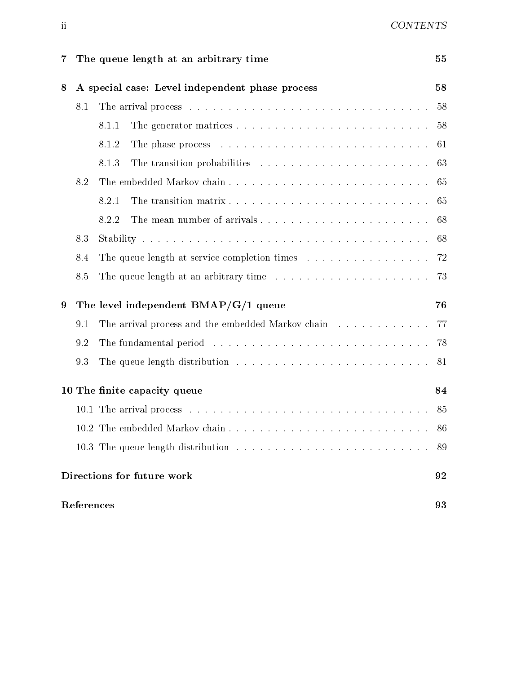| $\overline{\mathbf{7}}$ |            | The queue length at an arbitrary time                                                                                                                                                                                          | 55  |
|-------------------------|------------|--------------------------------------------------------------------------------------------------------------------------------------------------------------------------------------------------------------------------------|-----|
| 8                       |            | A special case: Level independent phase process                                                                                                                                                                                | 58  |
|                         | 8.1        |                                                                                                                                                                                                                                | 58  |
|                         |            | 8.1.1                                                                                                                                                                                                                          | 58  |
|                         |            | 8.1.2                                                                                                                                                                                                                          | 61  |
|                         |            | 8.1.3                                                                                                                                                                                                                          | 63  |
|                         | 8.2        |                                                                                                                                                                                                                                | 65  |
|                         |            | 8.2.1                                                                                                                                                                                                                          | 65  |
|                         |            | The mean number of arrivals<br>8.2.2                                                                                                                                                                                           | 68  |
|                         | 8.3        |                                                                                                                                                                                                                                | 68  |
|                         | 8.4        | The queue length at service completion times $\ldots \ldots \ldots \ldots \ldots \ldots$                                                                                                                                       |     |
|                         | 8.5        | The queue length at an arbitrary time $\ldots \ldots \ldots \ldots \ldots \ldots$ 73                                                                                                                                           |     |
| 9                       |            | The level independent $BMAP/G/1$ queue                                                                                                                                                                                         | 76  |
|                         | 9.1        | The arrival process and the embedded Markov chain 77                                                                                                                                                                           |     |
|                         | 9.2        | The fundamental period (a) and a series and a series are series and a series of the fundamental period (a) and a series are series and the fundamental period (a) and a series of the fundamental period (a) and the fundament | -78 |
|                         | 9.3        |                                                                                                                                                                                                                                | 81  |
|                         |            | 10 The finite capacity queue                                                                                                                                                                                                   | 84  |
|                         |            |                                                                                                                                                                                                                                | 85  |
|                         |            | 10.2 The embedded Markov chain                                                                                                                                                                                                 | 86  |
|                         |            |                                                                                                                                                                                                                                | 89  |
|                         |            | Directions for future work                                                                                                                                                                                                     | 92  |
|                         | References |                                                                                                                                                                                                                                | 93  |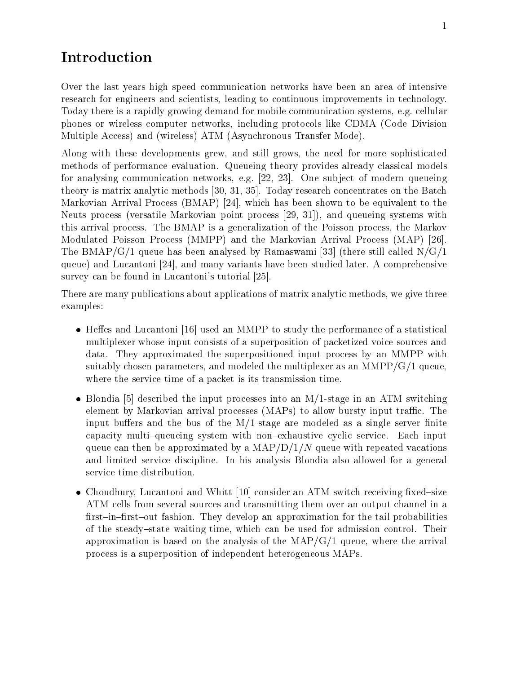# Introduction

Over the last years high speed communication networks have been an area of intensive research for engineers and scientists, leading to continuous improvements in technology. Today there is a rapidly growing demand for mobile communication systems, e.g. cellular phones or wireless computer networks, including protocols like CDMA (Code Division Multiple Access) and (wireless) ATM (Asynchronous Transfer Mode).

Along with these developments grew, and still grows, the need for more sophisticated methods of performance evaluation. Queueing theory provides already classical models for analysing communication networks, e.g. [22, 23]. One sub ject of modern queueing theory is matrix analytic methods [30, 31, 35]. Today research concentrates on the Batch Markovian Arrival Process (BMAP) [24], which has been shown to be equivalent to the Neuts process (versatile Markovian point process [29, 31]), and queueing systems with this arrival process. The BMAP is a generalization of the Poisson process, the Markov Modulated Poisson Process (MMPP) and the Markovian Arrival Process (MAP) [26]. The BMAP/G/1 queue has been analysed by Ramaswami [33] (there still called  $N/G/1$ queue) and Lucantoni [24], and many variants have been studied later. A comprehensive survey can be found in Lucantoni's tutorial [25].

There are many publications about applications of matrix analytic methods, we give three examples:

- $\bullet$  Heffes and Lucantoni [16] used an MMPP to study the performance of a statistical multiplexer whose input consists of a superposition of packetized voice sources and data. They approximated the superpositioned input process by an MMPP with suitably chosen parameters, and modeled the multiplexer as an  $\text{MMPP/G}/1$  queue, where the service time of a packet is its transmission time.
- $\bullet$  Blondia [5] described the input processes into an M/1-stage in an ATM switching element by Markovian arrival processes (MAPs) to allow bursty input traffic. The input buffers and the bus of the  $M/1$ -stage are modeled as a single server finite capacity multi-queueing system with non-exhaustive cyclic service. Each input queue can then be approximated by a  $\text{MAP} / \text{D} / 1/N$  queue with repeated vacations and limited service discipline. In his analysis Blondia also allowed for a general service time distribution.
- Choudhury, Lucantoni and Whitt [10] consider an ATM switch receiving fixed-size ATM cells from several sources and transmitting them over an output channel in a first-in-first-out fashion. They develop an approximation for the tail probabilities of the steady-state waiting time, which can be used for admission control. Their approximation is based on the analysis of the  $MAP/G/1$  queue, where the arrival process is a superposition of independent heterogeneous MAPs.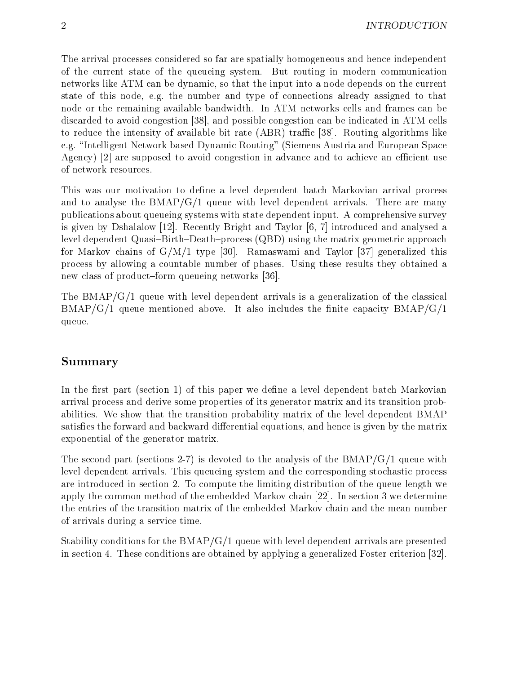The arrival processes considered so far are spatially homogeneous and hence independent of the current state of the queueing system. But routing in modern communication networks like ATM can be dynamic, so that the input into a node depends on the current state of this node, e.g. the number and type of connections already assigned to that node or the remaining available bandwidth. In ATM networks cells and frames can be discarded to avoid congestion [38], and possible congestion can be indicated in ATM cells to reduce the intensity of available bit rate  $(ABR)$  traffic [38]. Routing algorithms like e.g. "Intelligent Network based Dynamic Routing" (Siemens Austria and European Space Agency)  $\lceil 2 \rceil$  are supposed to avoid congestion in advance and to achieve an efficient use of network resources.

This was our motivation to define a level dependent batch Markovian arrival process and to analyse the  $BMAP/G/1$  queue with level dependent arrivals. There are many publications about queueing systems with state dependent input. A comprehensive survey is given by Dshalalow [12]. Recently Bright and Taylor [6, 7] introduced and analysed a level dependent Quasi-Birth-Death-process  $(QBD)$  using the matrix geometric approach for Markov chains of  $G/M/1$  type [30]. Ramaswami and Taylor [37] generalized this process by allowing a countable number of phases. Using these results they obtained a new class of product-form queueing networks [36].

The  $BMAP/G/1$  queue with level dependent arrivals is a generalization of the classical  $BMAP/G/1$  queue mentioned above. It also includes the finite capacity  $BMAP/G/1$ queue.

### Summary

In the first part (section 1) of this paper we define a level dependent batch Markovian arrival process and derive some properties of its generator matrix and its transition probabilities. We show that the transition probability matrix of the level dependent BMAP satisfies the forward and backward differential equations, and hence is given by the matrix exponential of the generator matrix.

The second part (sections 2-7) is devoted to the analysis of the  $BMAP/G/1$  queue with level dependent arrivals. This queueing system and the corresponding stochastic process are introduced in section 2. To compute the limiting distribution of the queue length we apply the common method of the embedded Markov chain [22]. In section 3 we determine the entries of the transition matrix of the embedded Markov chain and the mean number of arrivals during a service time.

Stability conditions for the BMAP/G/1 queue with level dependent arrivals are presented in section 4. These conditions are obtained by applying a generalized Foster criterion [32].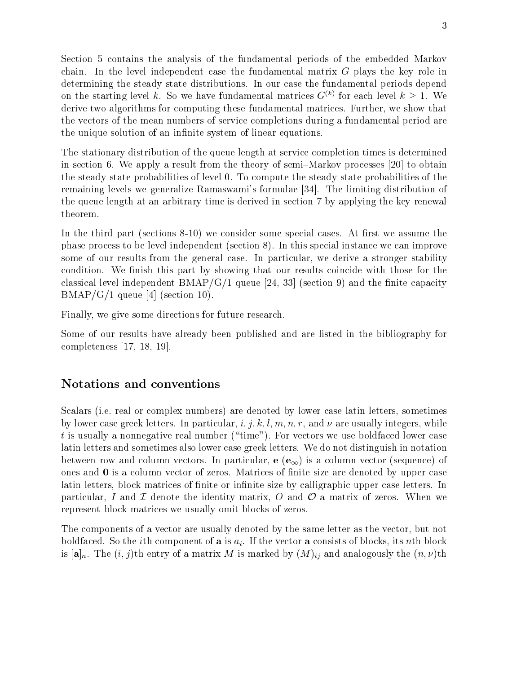Section 5 contains the analysis of the fundamental periods of the embedded Markov chain. In the level independent case the fundamental matrix G plays the key role in determining the steady state distributions. In our case the fundamental periods depend on the starting level k. So we have fundamental matrices  $G^{(k)}$  for each level  $k > 1$ . We derive two algorithms for computing these fundamental matrices. Further, we show that the vectors of the mean numbers of service completions during a fundamental period are the unique solution of an infinite system of linear equations.

The stationary distribution of the queue length at service completion times is determined in section 6. We apply a result from the theory of semi-Markov processes  $[20]$  to obtain the steady state probabilities of level 0. To compute the steady state probabilities of the remaining levels we generalize Ramaswami's formulae [34]. The limiting distribution of the queue length at an arbitrary time is derived in section 7 by applying the key renewal theorem.

In the third part (sections  $8-10$ ) we consider some special cases. At first we assume the phase process to be level independent (section 8). In this special instance we can improve some of our results from the general case. In particular, we derive a stronger stability condition. We finish this part by showing that our results coincide with those for the classical level independent  $BMAP/G/1$  queue [24, 33] (section 9) and the finite capacity  $BMAP/G/1$  queue [4] (section 10).

Finally, we give some directions for future research.

Some of our results have already been published and are listed in the bibliography for completeness [17, 18, 19].

### Notations and conventions

Scalars (i.e. real or complex numbers) are denoted by lower case latin letters, sometimes by lower case greek letters. In particular, i, j, k, l, m, n, r, and  $\nu$  are usually integers, while t is usually a nonnegative real number ("time"). For vectors we use boldfaced lower case latin letters and sometimes also lower case greek letters. We do not distinguish in notation between row and column vectors. In particular,  $e(e_{\infty})$  is a column vector (sequence) of ones and 0 is a column vector of zeros. Matrices of finite size are denoted by upper case latin letters, block matrices of finite or infinite size by calligraphic upper case letters. In particular, I and I denote the identity matrix, O and  $\mathcal O$  a matrix of zeros. When we represent block matrices we usually omit blocks of zeros.

The components of a vector are usually denoted by the same letter as the vector, but not boldfaced. So the *i*th component of **a** is  $a_i$ . If the vector **a** consists of blocks, its *n*th block is  $[\mathbf{a}]_n$ . The  $(i, j)$ th entry of a matrix M is marked by  $(M)_{ij}$  and analogously the  $(n, \nu)$ th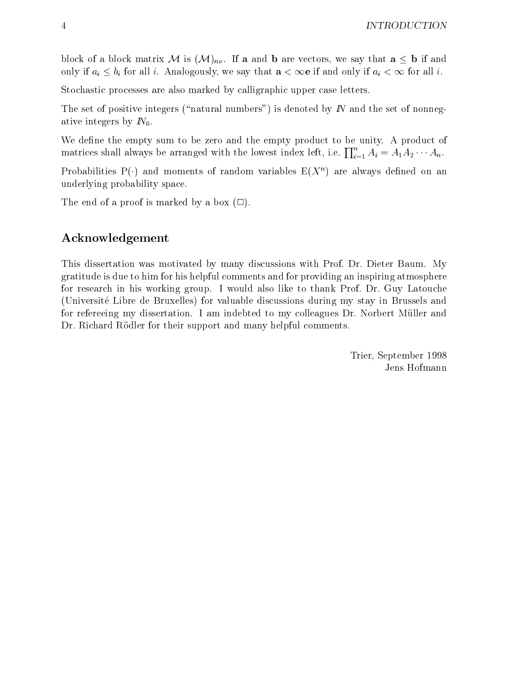block of a block matrix M is  $(M)_{n\nu}$ . If **a** and **b** are vectors, we say that  $\mathbf{a} \leq \mathbf{b}$  if and only if  $a_i \leq b_i$  for all i. Analogously, we say that  $a < \infty$  if and only if  $a_i < \infty$  for all i.

Stochastic processes are also marked by calligraphic upper case letters.

The set of positive integers ("natural numbers") is denoted by  $\mathbb N$  and the set of nonnegative integers by  $N_0$ .

We define the empty sum to be zero and the empty product to be unity. A product of matrices shall always be arranged with the lowest index left, i.e.  $\prod_{i=1}^n A_i = A_1 A_2 \cdots A_n.$ 

Probabilities P( $\cdot$ ) and moments of random variables E( $X^+$ ) are always defined on an underlying probability space.

The end of a proof is marked by a box  $(\Box)$ .

### Acknowledgement

This dissertation was motivated by many discussions with Prof. Dr. Dieter Baum. My gratitude is due to him for his helpful comments and for providing an inspiring atmosphere for research in his working group. I would also like to thank Prof. Dr. Guy Latouche (Universite Libre de Bruxelles) for valuable discussions during my stay in Brussels and for refereeing my dissertation. I am indebted to my colleagues Dr. Norbert Muller and Dr. Richard Rödler for their support and many helpful comments.

> Trier, September 1998 Jens Hofmann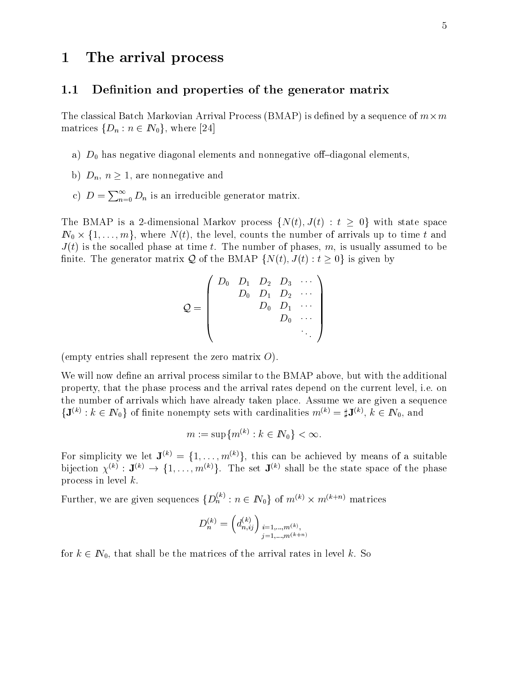# 1 The arrival process

#### 1.1 Definition and properties of the generator matrix

The classical Batch Markovian Arrival Process (BMAP) is dened by a sequence of m-m matrices  $\{D_n : n \in \mathbb{N}_0\}$ , where [24]

- a)  $D_0$  has negative diagonal elements and nonnegative off-diagonal elements,
- b)  $D_n$ ,  $n \geq 1$ , are nonnegative and
- c)  $D = \sum_{n=0}^{\infty} D_n$  is an irreducible generator matrix.

The BMAP is a 2-dimensional Markov process  $\{N(t), J(t) : t \geq 0\}$  with state space Individual individual interest that  $\{f\}$  where the level, counts the number of arrivals up to time to time to time  $J(t)$  is the socalled phase at time t. The number of phases, m, is usually assumed to be finite. The generator matrix Q of the BMAP  $\{N(t), J(t) : t \geq 0\}$  is given by

$$
\mathcal{Q} = \left(\begin{array}{cccc} D_0 & D_1 & D_2 & D_3 & \cdots \\ & D_0 & D_1 & D_2 & \cdots \\ & & D_0 & D_1 & \cdots \\ & & & D_0 & \cdots \\ & & & & \ddots \end{array}\right)
$$

(empty entries shall represent the zero matrix  $O$ ).

We will now define an arrival process similar to the BMAP above, but with the additional property, that the phase process and the arrival rates depend on the current level, i.e. on the number of arrivals which have already taken place. Assume we are given a sequence  $\{J^{\vee} : k \in I\mathbb{N}_0\}$  of finite nonempty sets with cardinalities  $m^{\vee} = \mathfrak{p}J^{\vee}$ ,  $k \in I\mathbb{N}_0$ , and

$$
m:=\sup\{m^{(k)}:k\in I\!\!N_0\}<\infty.
$$

For simplicity we let  $\mathbf{J}^{(k)} = \{1,\ldots,m^{(k)}\},\$  this can be achieved by means of a suitable bijection  $Y^{**}$  : J $^{**}$   $\rightarrow$  3.1,  $\ldots$   $m^{**}$  s. The set J $^{**}$  shall be the state space of the phase process in level k.

Further, we are given sequences  $\{D_n^{\scriptscriptstyle(n)}:n\in I\!\!N_0\}$  of  $m^{\scriptscriptstyle(n)}\times m^{\scriptscriptstyle(n+m)}$  matrices

$$
D_n^{(k)} = \left(d_{n,ij}^{(k)}\right)_{\substack{i=1,\ldots,m^{(k)},\\j=1,\ldots,m^{(k+n)}}}
$$

for  $k \in \mathbb{N}_0$ , that shall be the matrices of the arrival rates in level k. So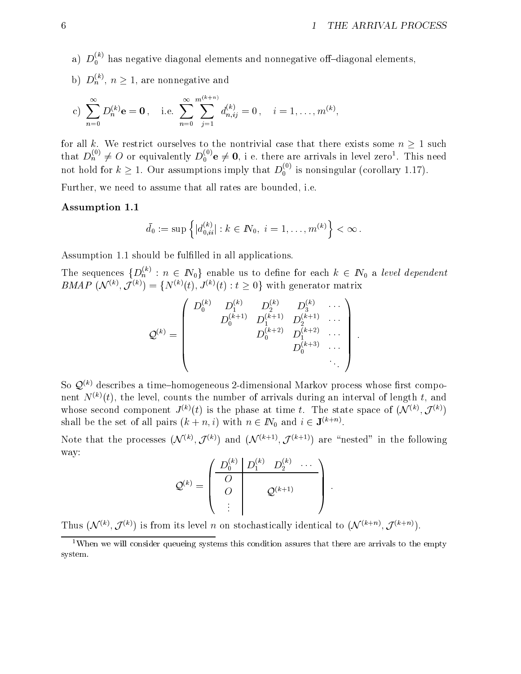- a)  $D_0^{\gamma\gamma}$  has negative diagonal elements and nonnegative off–diagonal elements,
- b)  $D_n$ ,  $n \geq 1$ , are nonnegative and

c) 
$$
\sum_{n=0}^{\infty} D_n^{(k)} \mathbf{e} = \mathbf{0}, \quad \text{i.e.} \sum_{n=0}^{\infty} \sum_{j=1}^{m^{(k+n)}} d_{n,ij}^{(k)} = 0, \quad i = 1, \dots, m^{(k)},
$$

for all k. We restrict ourselves to the nontrivial case that there exists some  $n \geq 1$  such that  $D_n^{\gamma\gamma}\neq 0$  or equivalently  $D_0^{\gamma\gamma}$ **e**  $\neq 0$ , i.e. there are arrivals in level zero<sup>1</sup>. This need not hold for  $k \geq 1$ . Our assumptions imply that  $D_0^{\gamma}$  is nonsingular (corollary 1.17).

Further, we need to assume that all rates are bounded, i.e.

#### Assumption 1.1

$$
\bar d_0:=\sup\left\{|d_{0,ii}^{(k)}|:k\in I\!\!N_0,\ i=1,\ldots,m^{(k)}\right\}<\infty\,.
$$

Assumption 1.1 should be fulfilled in all applications.

The sequences  $\{D_n : n \in I\mathbb{N}_0\}$  enable us to define for each  $k \in I\mathbb{N}_0$  a level dependent  $BMAP$  (*N* (b),  $J^{(k)}$  = {*N* (e)(t),  $J^{(k)}(t)$  : t  $\geq$  0} with generator matrix

$$
\mathcal{Q}^{(k)} = \left(\begin{array}{cccc} D_0^{(k)} & D_1^{(k)} & D_2^{(k)} & D_3^{(k)} & \cdots \\ & D_0^{(k+1)} & D_1^{(k+1)} & D_2^{(k+1)} & \cdots \\ & & D_0^{(k+2)} & D_1^{(k+2)} & \cdots \\ & & & D_0^{(k+3)} & \cdots \\ & & & & \ddots \end{array}\right).
$$

So  $\mathcal{Q}^{(k)}$  describes a time-homogeneous 2-dimensional Markov process whose first component  $N^{(k)}(t)$ , the level, counts the number of arrivals during an interval of length t, and whose second component  $J^{(n)}(t)$  is the phase at time t. The state space of (N  $^{(n)}$ ,  $J^{(n)}$ ) shall be the set of all pairs  $(k+n, i)$  with  $n \in I\mathcal{N}_0$  and  $i \in \mathbf{J}^{\langle n+m \rangle}$ .

Note that the processes  $(y \nabla \cdot \cdot, J \nabla)$  and  $(y \nabla \cdot \cdot, J \nabla \cdot \cdot)$  are  $\tau$  hested  $\tau$  in the following way:

$$
\mathcal{Q}^{(k)} = \left(\begin{array}{c|c} D_0^{(k)} & D_1^{(k)} & D_2^{(k)} & \cdots \\ \hline O & & & \\ O & & \mathcal{Q}^{(k+1)} \\ \vdots & & & \end{array}\right)\ .
$$

Thus  $(y \vee \Diamond, J \vee \Diamond)$  is from its level n on stochastically identical to  $(y \vee \Diamond, J \vee \Diamond')$ .

 $1$ When we will consider queueing systems this condition assures that there are arrivals to the empty system.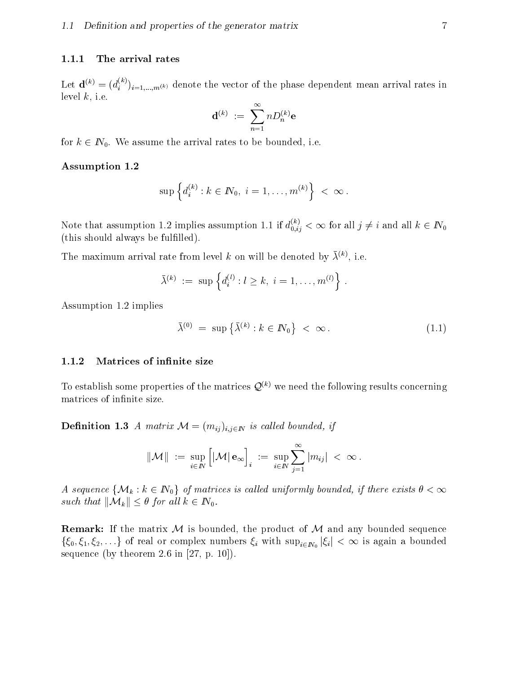#### 1.1.1 The arrival rates

Let  $\mathbf{d}^{(k)} = (d_i^{(k)})_{i=1,...,m(k)}$  denote the vector of the phase dependent mean arrival rates in level  $k$ , i.e.

$$
{\bf d}^{(k)} \,\, := \,\, \sum_{n=1}^\infty n D^{(k)}_n {\bf e} \,\,
$$

for  $k \in \mathbb{N}_0$ . We assume the arrival rates to be bounded, i.e.

#### Assumption 1.2

$$
\sup \left\{ d_i^{(k)} : k \in I\!\!N_0, \ i = 1, \ldots, m^{(k)} \right\} \ < \ \infty \ .
$$

Note that assumption 1.2 implies assumption 1.1 if  $d_{0,ij}^{\infty} < \infty$  for all  $j \neq i$  and all  $k \in I\!N_0$ (this should always be fulfilled).

The maximum arrival rate from level k on will be denoted by  $\lambda^y$ , i.e.

$$
\bar{\lambda}^{(k)} := \sup \left\{ d_i^{(l)} : l \geq k, \ i = 1, \dots, m^{(l)} \right\} \, .
$$

Assumption 1.2 implies

$$
\bar{\lambda}^{(0)} = \sup \left\{ \bar{\lambda}^{(k)} : k \in I\!\!N_0 \right\} < \infty.
$$
\n(1.1)

#### 1.1.2 Matrices of infinite size

To establish some properties of the matrices  $\mathcal{Q}^{(k)}$  we need the following results concerning matrices of infinite size.

**Definition 1.3** A matrix  $\mathcal{M} = (m_{ij})_{i,j \in \mathbb{N}}$  is called bounded, if

$$
\|\mathcal{M}\| ~:=~ \sup_{i\in I\!\!N} \Big[ |\mathcal{M}| \, \mathbf{e}_\infty\Big]_i ~:=~ \sup_{i\in I\!\!N} \sum_{j=1}^\infty |m_{ij}| ~<~ \infty{\,}.
$$

A sequence  $\{M_k : k \in \mathbb{N}_0\}$  of matrices is called uniformly bounded, if there exists  $\theta < \infty$ such that  $\|\mathcal{M}_k\| \leq \theta$  for all  $k \in \mathbb{N}_0$ .

**Remark:** If the matrix  $M$  is bounded, the product of  $M$  and any bounded sequence f(20) 2 iii) and  $\lim_{n \to \infty}$  in the numbers in the supplying in  $\lim_{n \to \infty}$  in  $\lim_{n \to \infty}$  function  $\lim_{n \to \infty}$  function  $\lim_{n \to \infty}$  function  $\lim_{n \to \infty}$  function  $\lim_{n \to \infty}$  function  $\lim_{n \to \infty}$  function  $\lim_{n \to \$ sequence (by theorem 2.6 in  $[27, p. 10]$ ).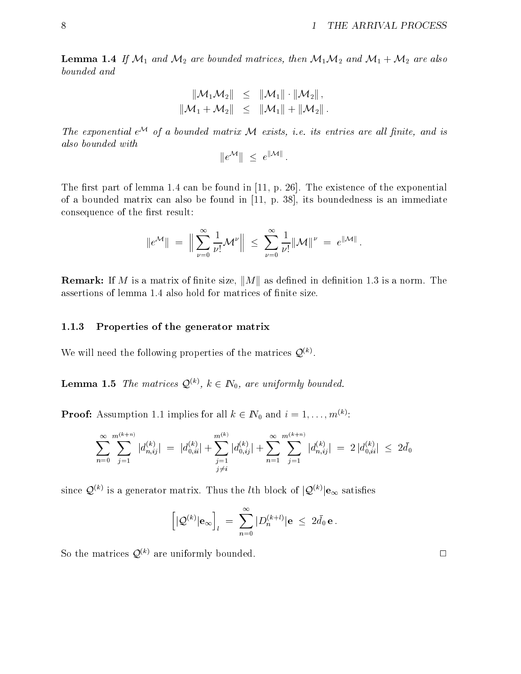**Lemma 1.4** If  $M_1$  and  $M_2$  are bounded matrices, then  $M_1M_2$  and  $M_1 + M_2$  are also bounded and

$$
\begin{array}{rcl} \|\mathcal{M}_1\mathcal{M}_2\| & \leq & \|\mathcal{M}_1\|\cdot\|\mathcal{M}_2\| \,, \\ \|\mathcal{M}_1+\mathcal{M}_2\| & \leq & \|\mathcal{M}_1\|+\|\mathcal{M}_2\|\, . \end{array}
$$

The exponential  $e^{\mathcal{M}}$  of a bounded matrix  $\mathcal M$  exists, i.e. its entries are all finite, and is also bounded with

$$
||e^{\mathcal{M}}|| \leq e^{\|\mathcal{M}\|}.
$$

The first part of lemma 1.4 can be found in  $[11, p. 26]$ . The existence of the exponential of a bounded matrix can also be found in [11, p. 38], its boundedness is an immediate consequence of the first result:

$$
\|e^{\mathcal{M}}\| = \Big\|\sum_{\nu=0}^{\infty}\frac{1}{\nu!}\mathcal{M}^{\nu}\Big\| \leq \sum_{\nu=0}^{\infty}\frac{1}{\nu!}\|\mathcal{M}\|^{\nu} = e^{\|\mathcal{M}\|}.
$$

**Remark:** If M is a matrix of finite size,  $||M||$  as defined in definition 1.3 is a norm. The assertions of lemma 1.4 also hold for matrices of finite size.

#### 1.1.3 Properties of the generator matrix

We will need the following properties of the matrices  $\mathcal{Q}^{\langle \cdots \rangle}$ .

**Lemma 1.5** The matrices  $\mathcal{Q}^{(k)}$ ,  $k \in \mathbb{N}_0$ , are uniformly bounded.

**Proof:** Assumption 1.1 implies for all  $\kappa \in I\mathbb{N}_0$  and  $i = 1, \ldots, m^{(k)}$ :

$$
\sum_{n=0}^{\infty} \sum_{j=1}^{m^{(k+n)}} |d_{n,ij}^{(k)}| = |d_{0,ii}^{(k)}| + \sum_{\substack{j=1 \ j \neq i}}^{m^{(k)}} |d_{0,ij}^{(k)}| + \sum_{n=1}^{\infty} \sum_{j=1}^{m^{(k+n)}} |d_{n,ij}^{(k)}| = 2 |d_{0,ii}^{(k)}| \le 2\bar{d}_0
$$

since  $\mathcal{Q}^{(k)}$  is a generator matrix. Thus the *l*th block of  $|\mathcal{Q}^{(k)}|e_{\infty}$  satisfies

$$
\left[|\mathcal{Q}^{(k)}|{\bf e}_\infty\right]_l\;=\;\sum_{n=0}^\infty|D^{(k+l)}_n|{\bf e}\;\leq\;2\bar d_0\,{\bf e}\,.
$$

So the matrices  $\mathcal{Q}^{(k)}$  are uniformly bounded.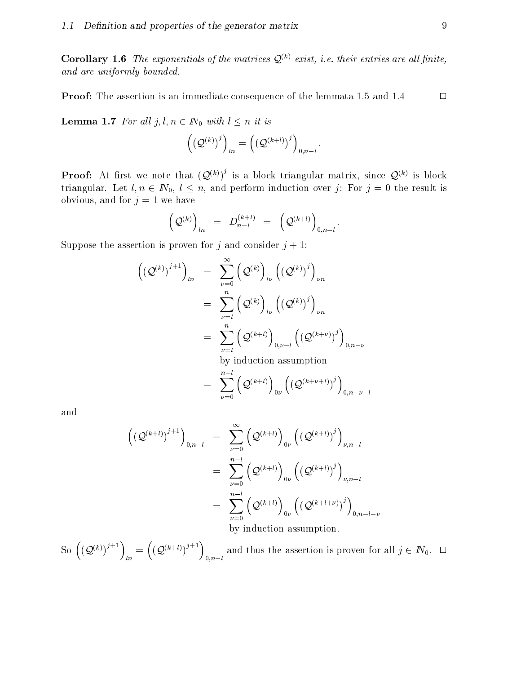**Corollary 1.6** The exponentials of the matrices  $Q^{(k)}$  exist, i.e. their entries are all finite, and are uniformly bounded.

**Proof:** The assertion is an immediate consequence of the lemmata 1.5 and 1.4  $\Box$ 

**Lemma 1.7** For all  $j, l, n \in \mathbb{N}_0$  with  $l \leq n$  it is

$$
\left(\left({\mathcal Q}^{(k)}\right)^j\right)_{ln}=\left(\left({\mathcal Q}^{(k+l)}\right)^j\right)_{0,n-l}.
$$

**Proof:** At first we note that  $(Q^{(\kappa)})^{\gamma}$  is a block triangular matrix, since  $Q^{(\kappa)}$  is block triangular. Let  $l, n \in \mathbb{N}_0, l \leq n$ , and perform induction over j: For  $j = 0$  the result is obvious, and for  $j = 1$  we have

$$
\Big(\mathcal{Q}^{(k)}\Big)_{ln}\hspace{2mm}=\hspace{2mm} D^{(k+l)}_{n-l}\hspace{2mm}=\hspace{2mm}\Big(\mathcal{Q}^{(k+l)}\Big)_{0,n-l}\,.
$$

Suppose the assertion is proven for j and consider  $j + 1$ :

$$
\left( \left( \mathcal{Q}^{(k)} \right)^{j+1} \right)_{ln} = \sum_{\nu=0}^{\infty} \left( \mathcal{Q}^{(k)} \right)_{l\nu} \left( \left( \mathcal{Q}^{(k)} \right)^j \right)_{\nu n} \n= \sum_{\nu=1}^n \left( \mathcal{Q}^{(k)} \right)_{l\nu} \left( \left( \mathcal{Q}^{(k)} \right)^j \right)_{\nu n} \n= \sum_{\nu=l}^n \left( \mathcal{Q}^{(k+l)} \right)_{0,\nu-l} \left( \left( \mathcal{Q}^{(k+\nu)} \right)^j \right)_{0,n-\nu} \n\text{ by induction assumption} \n= \sum_{\nu=0}^{n-l} \left( \mathcal{Q}^{(k+l)} \right)_{0\nu} \left( \left( \mathcal{Q}^{(k+\nu+l)} \right)^j \right)_{0,n-\nu-l}
$$

and

$$
\begin{aligned}\n\left( \left( \mathcal{Q}^{(k+l)} \right)^{j+1} \right)_{0,n-l} &= \sum_{\nu=0}^{\infty} \left( \mathcal{Q}^{(k+l)} \right)_{0\nu} \left( \left( \mathcal{Q}^{(k+l)} \right)^j \right)_{\nu,n-l} \\
&= \sum_{\nu=0}^{n-l} \left( \mathcal{Q}^{(k+l)} \right)_{0\nu} \left( \left( \mathcal{Q}^{(k+l)} \right)^j \right)_{\nu,n-l} \\
&= \sum_{\nu=0}^{n-l} \left( \mathcal{Q}^{(k+l)} \right)_{0\nu} \left( \left( \mathcal{Q}^{(k+l+\nu)} \right)^j \right)_{0,n-l-\nu} \\
&\text{by induction assumption.}\n\end{aligned}
$$

So  $((\mathcal{O}^{(k)})^{j+1}) = ((\mathcal{O}^{(k)})^{j+1})$  $\ln$   $\sqrt{2}$   $\sqrt{2}$   $\left(O^{(k+l)})^{j+1}\right)$  and t 0;nl and the assertion is proved for all  $p = 1, p = 2, \ldots, 2$  ,  $p = 2, p = 2, \ldots, 2$  is all  $j \in \mathbb{Z}$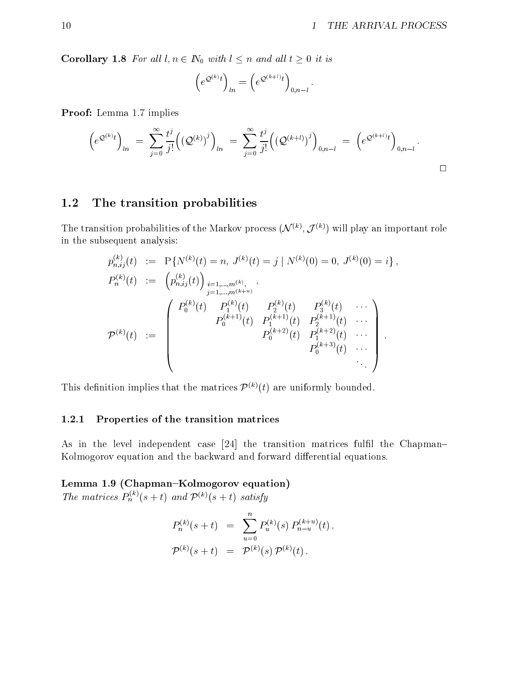**Corollary 1.8** For all  $l, n \in \mathbb{N}_0$  with  $l \leq n$  and all  $t \geq 0$  it is

$$
\left(e^{\mathcal{Q}^{(k)}t}\right)_{ln}=\left(e^{\mathcal{Q}^{(k+l)}t}\right)_{0,n-l}.
$$

Proof: Lemma 1.7 implies

$$
\left(e^{\mathcal{Q}^{(k)}t}\right)_{ln} = \sum_{j=0}^{\infty} \frac{t^j}{j!} \left( \left(\mathcal{Q}^{(k)}\right)^j \right)_{ln} = \sum_{j=0}^{\infty} \frac{t^j}{j!} \left( \left(\mathcal{Q}^{(k+l)}\right)^j \right)_{0,n-l} = \left(e^{\mathcal{Q}^{(k+l)}t}\right)_{0,n-l}.
$$

### 1.2 The transition probabilities

The transition probabilities of the Markov process  $(y \vee y, y \vee z)$  will play an important role in the subsequent analysis:

$$
p_{n,ij}^{(k)}(t) := P\{N^{(k)}(t) = n, J^{(k)}(t) = j \mid N^{(k)}(0) = 0, J^{(k)}(0) = i\},
$$
  
\n
$$
P_n^{(k)}(t) := \begin{pmatrix} p_{n,ij}^{(k)}(t) \end{pmatrix} \sum_{\substack{i=1,\dots,m^{(k)},\\j=1,\dots,m^{(k+n)}}} \sum_{\substack{f_1^{(k)}(t) = P_1^{(k)}(t) \\ P_0^{(k+1)}(t) = P_1^{(k+1)}(t) \quad P_2^{(k+1)}(t) \\ P_0^{(k+2)}(t) = P_1^{(k+2)}(t) \quad \cdots \\ P_0^{(k+3)}(t) = P_0^{(k+3)}(t) \quad \cdots \\ P_0^{(k+3)}(t) = P_1^{(k+3)}(t) \quad \cdots
$$

This definition implies that the matrices  $\mathcal{P}^{(k)}(t)$  are uniformly bounded.

#### 1.2.1 Properties of the transition matrices

As in the level independent case [24] the transition matrices fulfil the Chapman-Kolmogorov equation and the backward and forward differential equations.

Lemma 1.9 (Chapman-Kolmogorov equation)

The matrices  $P_n^{\alpha\gamma}(s+t)$  and  $P^{(\alpha)}(s+t)$  satisfy

$$
P_n^{(k)}(s+t) = \sum_{u=0}^n P_u^{(k)}(s) P_{n-u}^{(k+u)}(t),
$$
  

$$
\mathcal{P}^{(k)}(s+t) = \mathcal{P}^{(k)}(s) \mathcal{P}^{(k)}(t).
$$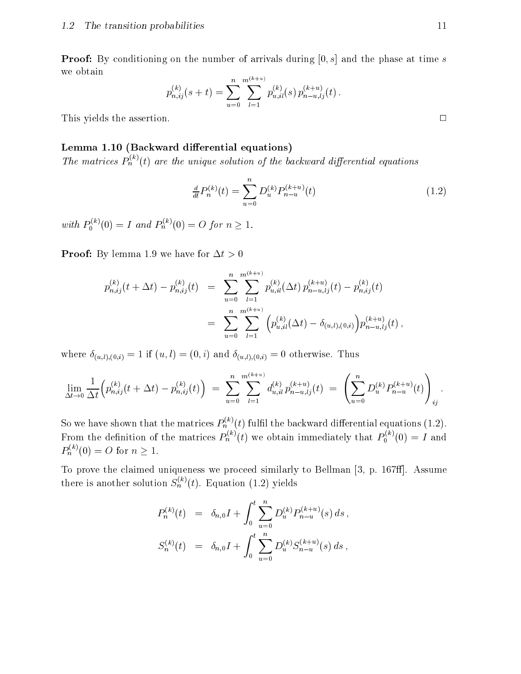**Proof:** By conditioning on the number of arrivals during  $[0, s]$  and the phase at time s we obtain

$$
p_{n,ij}^{(k)}(s+t) = \sum_{u=0}^{n} \sum_{l=1}^{m^{(k+u)}} p_{u,il}^{(k)}(s) p_{n-u,lj}^{(k+u)}(t).
$$

This yields the assertion.  $\Box$ 

#### Lemma 1.10 (Backward differential equations)

The matrices  $P_n^{\gamma\gamma}(t)$  are the unique solution of the backward differential equations

$$
\frac{d}{dt}P_n^{(k)}(t) = \sum_{u=0}^n D_u^{(k)}P_{n-u}^{(k+u)}(t)
$$
\n(1.2)

with  $P_0^{\wedge} (0) = 1$  and  $P_n^{\wedge} (0) = 0$ 

**Proof:** By lemma 1.9 we have for  $\Delta t > 0$ 

$$
p_{n,ij}^{(k)}(t + \Delta t) - p_{n,ij}^{(k)}(t) = \sum_{u=0}^{n} \sum_{l=1}^{m^{(k+u)}} p_{u,il}^{(k)}(\Delta t) p_{n-u,lj}^{(k+u)}(t) - p_{n,ij}^{(k)}(t)
$$
  

$$
= \sum_{u=0}^{n} \sum_{l=1}^{m^{(k+u)}} \left( p_{u,il}^{(k)}(\Delta t) - \delta_{(u,l),(0,i)} \right) p_{n-u,lj}^{(k+u)}(t),
$$

where  $\delta_{(u,l),(0,i)} = 1$  if  $(u, l) = (0, i)$  and  $\delta_{(u,l),(0,i)} = 0$  otherwise. Thus

$$
\lim_{\Delta t \to 0} \frac{1}{\Delta t} \Big( p_{n,ij}^{(k)}(t + \Delta t) - p_{n,ij}^{(k)}(t) \Big) \ = \ \sum_{u=0}^n \sum_{l=1}^{m^{(k+u)}} d_{u,il}^{(k)} p_{n-u,lj}^{(k+u)}(t) \ = \ \left( \sum_{u=0}^n D_u^{(k)} P_{n-u}^{(k+u)}(t) \right)_{ij}.
$$

So we have shown that the matrices  $P_n^{\sim}(t)$  fulfil the backward differential equations (1.2). From the definition of the matrices  $P_n^{\infty}(t)$  we obtain immediately that  $P_0^{\infty}(0) = I$  and  $P_n^{\cdots}(0) = O \text{ for } n \geq 1.$ 

To prove the claimed uniqueness we proceed similarly to Bellman [3, p. 167ff]. Assume there is another solution  $S_n^{\gamma}(t)$ . Equation (1.2) yields

$$
P_n^{(k)}(t) = \delta_{n,0}I + \int_0^t \sum_{u=0}^n D_u^{(k)} P_{n-u}^{(k+u)}(s) ds,
$$
  

$$
S_n^{(k)}(t) = \delta_{n,0}I + \int_0^t \sum_{u=0}^n D_u^{(k)} S_{n-u}^{(k+u)}(s) ds,
$$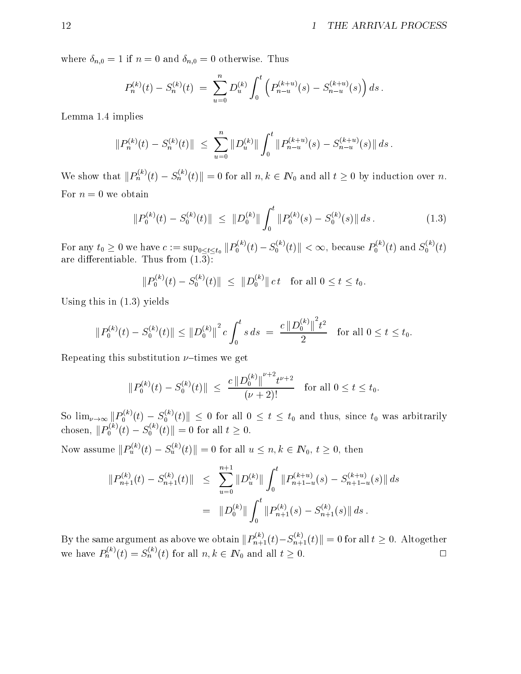where  $\delta_{n,0} = 1$  if  $n = 0$  and  $\delta_{n,0} = 0$  otherwise. Thus

$$
P_n^{(k)}(t) - S_n^{(k)}(t) = \sum_{u=0}^n D_u^{(k)} \int_0^t \left( P_{n-u}^{(k+u)}(s) - S_{n-u}^{(k+u)}(s) \right) ds.
$$

Lemma 1.4 implies

$$
||P_n^{(k)}(t) - S_n^{(k)}(t)|| \leq \sum_{u=0}^n ||D_u^{(k)}|| \int_0^t ||P_{n-u}^{(k+u)}(s) - S_{n-u}^{(k+u)}(s)|| ds.
$$

We show that  $||P_n^{\pi'}(t) - S_n^{\pi'}(t)|| = 0$  for all  $n, k \in I\!N_0$  and all  $t \geq 0$  by induction over n. For  $n = 0$  we obtain

$$
||P_0^{(k)}(t) - S_0^{(k)}(t)|| \le ||D_0^{(k)}|| \int_0^t ||P_0^{(k)}(s) - S_0^{(k)}(s)|| ds.
$$
 (1.3)

For any  $t_0 \geq 0$  we have  $c := \sup_{0 \leq t \leq t_0} ||P_0^\frown(t) - S_0^\frown(t)|| < \infty$ , because  $P_0^\frown(t)$  and  $S_0^\frown(t)$ are differentiable. Thus from  $(1.\overline{3})$ :

$$
||P_0^{(k)}(t) - S_0^{(k)}(t)|| \le ||D_0^{(k)}|| c t \text{ for all } 0 \le t \le t_0.
$$

Using this in (1.3) yields

$$
||P_0^{(k)}(t) - S_0^{(k)}(t)|| \le ||D_0^{(k)}||^2 c \int_0^t s \, ds = \frac{c ||D_0^{(k)}||^2 t^2}{2} \quad \text{for all } 0 \le t \le t_0.
$$

Repeating this substitution  $\nu$ -times we get

$$
||P_0^{(k)}(t) - S_0^{(k)}(t)|| \le \frac{c ||D_0^{(k)}||^{ \nu + 2} t^{\nu + 2}}{(\nu + 2)!} \quad \text{for all } 0 \le t \le t_0.
$$

So  $\lim_{\nu\to\infty}||P_0^{\wedge}(t)-S_0^{\wedge}(t)||\leq 0$  for all  $0\leq t\leq t_0$  and thus, since  $t_0$  was arbitrarily chosen,  $||P_0^{\wedge}|(t) - S_0^{\wedge}|(t)|| = 0$  for all  $t \geq 0$ .

Now assume  $||P_u^{\gamma}(t) - S_u^{\gamma}(t)|| = 0$  for all  $u \leq n, k \in I\!N_0, t \geq 0$ , then

$$
||P_{n+1}^{(k)}(t) - S_{n+1}^{(k)}(t)|| \leq \sum_{u=0}^{n+1} ||D_u^{(k)}|| \int_0^t ||P_{n+1-u}^{(k+u)}(s) - S_{n+1-u}^{(k+u)}(s)|| ds
$$
  

$$
= ||D_0^{(k)}|| \int_0^t ||P_{n+1}^{(k)}(s) - S_{n+1}^{(k)}(s)|| ds.
$$

By the same argument as above we obtain  $||P_{n+1}^{(v)}(t)-S_{n+1}^{(v)}(t)||=0$  for all  $t\geq 0$ . Altogether we have  $P_n^{\gamma}(t) = S_n^{\gamma}(t)$  for all  $n, k \in I\mathbb{N}_0$  and all  $t \geq 0$ .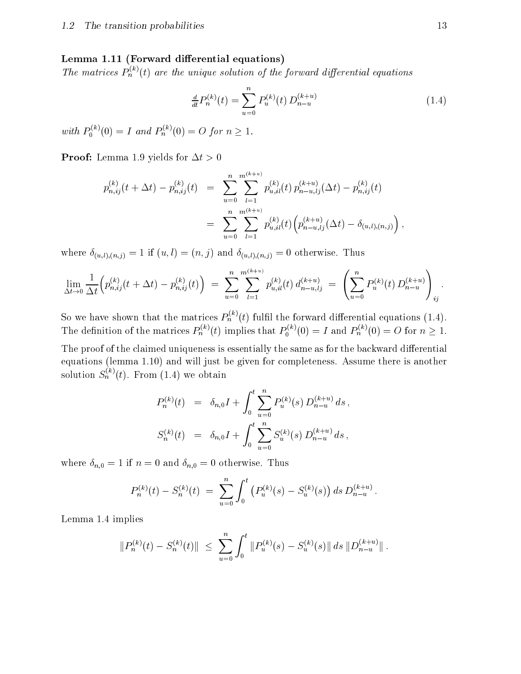#### Lemma 1.11 (Forward differential equations)

The matrices  $P_n^{\gamma\gamma}(t)$  are the unique solution of the forward differential equations

$$
\frac{d}{dt}P_n^{(k)}(t) = \sum_{u=0}^n P_u^{(k)}(t) D_{n-u}^{(k+u)}
$$
\n(1.4)

with  $P_0^{(0)}(0) = 1$  and  $P_n^{(0)}(0) = 0$ 

**Proof:** Lemma 1.9 yields for  $\Delta t > 0$ 

$$
p_{n,ij}^{(k)}(t + \Delta t) - p_{n,ij}^{(k)}(t) = \sum_{u=0}^{n} \sum_{l=1}^{m^{(k+u)}} p_{u,il}^{(k)}(t) p_{n-u,lj}^{(k+u)}(\Delta t) - p_{n,ij}^{(k)}(t)
$$
  

$$
= \sum_{u=0}^{n} \sum_{l=1}^{m^{(k+u)}} p_{u,il}^{(k)}(t) \Big( p_{n-u,lj}^{(k+u)}(\Delta t) - \delta_{(u,l),(n,j)} \Big),
$$

where  $\delta_{(u,l),(n,j)} = 1$  if  $(u,l) = (n, j)$  and  $\delta_{(u,l),(n,j)} = 0$  otherwise. Thus

$$
\lim_{\Delta t \to 0} \frac{1}{\Delta t} \Big( p_{n,ij}^{(k)}(t + \Delta t) - p_{n,ij}^{(k)}(t) \Big) \ = \ \sum_{u=0}^n \sum_{l=1}^{m^{(k+u)}} p_{u,il}^{(k)}(t) \, d_{n-u,lj}^{(k+u)} \ = \ \left( \sum_{u=0}^n P_u^{(k)}(t) \, D_{n-u}^{(k+u)} \right)_{ij}.
$$

So we have shown that the matrices  $P_n^{\alpha\gamma}(t)$  fulfil the forward differential equations (1.4). The definition of the matrices  $P_n^{\scriptscriptstyle(m)}(t)$  implies that  $P_0^{\scriptscriptstyle(m)}(0) = I$  and  $P_n^{\scriptscriptstyle(m)}(0) = O$  for  $n \geq 1$ .

The proof of the claimed uniqueness is essentially the same as for the backward differential equations (lemma 1.10) and will just be given for completeness. Assume there is another solution  $S_n^\wedge$  (t). From (1.4) we obtain

$$
P_n^{(k)}(t) = \delta_{n,0} I + \int_0^t \sum_{u=0}^n P_u^{(k)}(s) D_{n-u}^{(k+u)} ds,
$$
  

$$
S_n^{(k)}(t) = \delta_{n,0} I + \int_0^t \sum_{u=0}^n S_u^{(k)}(s) D_{n-u}^{(k+u)} ds,
$$

where  $\delta_{n,0} = 1$  if  $n = 0$  and  $\delta_{n,0} = 0$  otherwise. Thus

$$
P_n^{(k)}(t) - S_n^{(k)}(t) = \sum_{u=0}^n \int_0^t \left( P_u^{(k)}(s) - S_u^{(k)}(s) \right) ds \, D_{n-u}^{(k+u)}.
$$

Lemma 1.4 implies

$$
||P_n^{(k)}(t) - S_n^{(k)}(t)|| \leq \sum_{u=0}^n \int_0^t ||P_u^{(k)}(s) - S_u^{(k)}(s)|| ds ||D_{n-u}^{(k+u)}||.
$$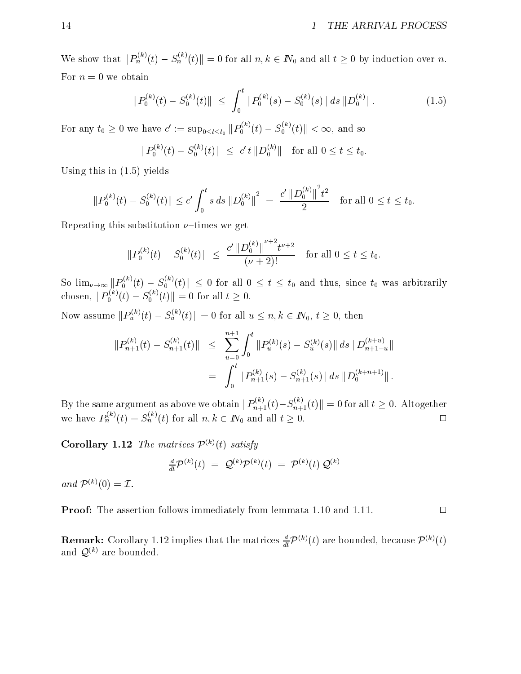We show that  $||P_n^{\pi'}(t) - S_n^{\pi'}(t)|| = 0$  for all  $n, k \in I\!N_0$  and all  $t \geq 0$  by induction over n. For  $n = 0$  we obtain

$$
||P_0^{(k)}(t) - S_0^{(k)}(t)|| \le \int_0^t ||P_0^{(k)}(s) - S_0^{(k)}(s)|| ds ||D_0^{(k)}||. \tag{1.5}
$$

For any  $t_0 \ge 0$  we have  $c' := \sup_{0 \le t \le t_0} ||P_0^{\infty}(t) - S_0^{\infty}(t)|| \le \infty$ , and so

$$
||P_0^{(k)}(t) - S_0^{(k)}(t)|| \leq c' t ||D_0^{(k)}|| \text{ for all } 0 \leq t \leq t_0.
$$

Using this in (1.5) yields

$$
||P_0^{(k)}(t) - S_0^{(k)}(t)|| \le c' \int_0^t s \, ds \, ||D_0^{(k)}||^2 \ = \ \frac{c' \, ||D_0^{(k)}||^2 t^2}{2} \quad \text{for all } 0 \le t \le t_0.
$$

Repeating this substitution  $\nu$ -times we get

$$
||P_0^{(k)}(t) - S_0^{(k)}(t)|| \le \frac{c' ||D_0^{(k)}||^{ \nu + 2} t^{\nu + 2}}{(\nu + 2)!} \quad \text{for all } 0 \le t \le t_0.
$$

So  $\lim_{\nu\to\infty}||P_0^{\infty}(t)-S_0^{\infty}(t)||\leq 0$  for all  $0\leq t\leq t_0$  and thus, since  $t_0$  was arbitrarily chosen,  $||P_0^{(0)}(t) - S_0^{(0)}(t)|| = 0$  for all  $t \ge 0$ .

Now assume  $||P_u^{\alpha\gamma}(t) - S_u^{\alpha\gamma}(t)|| = 0$  for all  $u \leq n, k \in I\mathbb{N}_0, t \geq 0$ , then

$$
||P_{n+1}^{(k)}(t) - S_{n+1}^{(k)}(t)|| \leq \sum_{u=0}^{n+1} \int_0^t ||P_u^{(k)}(s) - S_u^{(k)}(s)|| ds ||D_{n+1-u}^{(k+u)}||
$$
  

$$
= \int_0^t ||P_{n+1}^{(k)}(s) - S_{n+1}^{(k)}(s)|| ds ||D_0^{(k+n+1)}||.
$$

By the same argument as above we obtain  $||P_{n+1}^{(v)}(t)-S_{n+1}^{(v)}(t)||=0$  for all  $t\geq 0$ . Altogether we have  $P_n^{(n)}(t) = S_n^{(n)}(t)$  for all  $n, k \in I\mathbb{N}_0$  and all  $t \geq 0$ .

**Corollary 1.12** The matrices  $\mathcal{P}^{(k)}(t)$  satisfy

$$
\frac{d}{dt} \mathcal{P}^{(k)}(t) \,\, = \,\, \mathcal{Q}^{(k)} \mathcal{P}^{(k)}(t) \,\, = \,\, \mathcal{P}^{(k)}(t) \, \mathcal{Q}^{(k)}
$$

and  $\mathcal{P}^{(k)}(0) = \mathcal{I}.$ 

Proof: The assertion follows immediately from lemmata 1.10 and 1.11.  $\Box$ 

**Remark:** Corollary 1.12 implies that the matrices  $\frac{1}{dt}P^{(k)}(t)$  are bounded, because  $P^{(k)}(t)$ and  $\mathcal{Q}^{(k)}$  are bounded.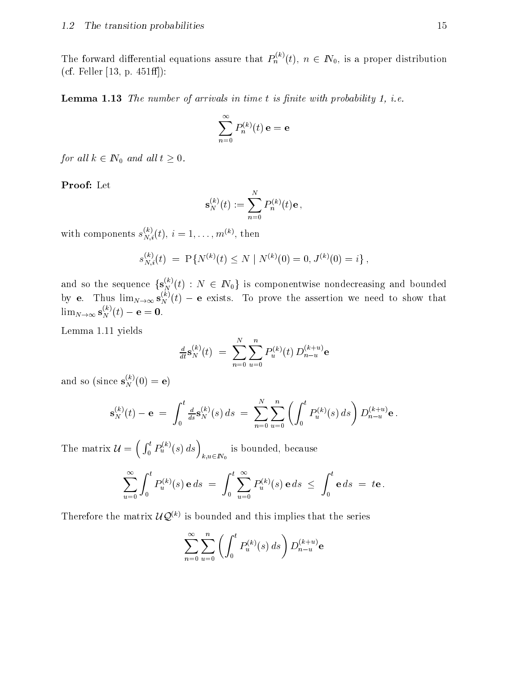The forward differential equations assure that  $P_n^{\gamma,\gamma}(t)$ ,  $n \in I\!N_0$ , is a proper distribution (cf. Feller [13, p.  $451ff$ ]):

**Lemma 1.13** The number of arrivals in time  $t$  is finite with probability 1, i.e.

$$
\sum_{n=0}^\infty P_n^{(k)}(t) \, \mathbf{e} = \mathbf{e}
$$

for all  $k \in \mathbb{N}_0$  and all  $t \geq 0$ .

Proof: Let

$$
\mathbf{s}_N^{(k)}(t) := \sum_{n=0}^N P_n^{(k)}(t) \mathbf{e} \,,
$$

with components  $s_{N,i}^{(i)}(t), i = 1,\ldots,m^{(k)}$ , then

$$
s_{N,i}^{(k)}(t) = P\{N^{(k)}(t) \le N \mid N^{(k)}(0) = 0, J^{(k)}(0) = i\},\,
$$

and so the sequence  $\{ {\bf S}_N^{\infty}(t) \, : \, N \, \in I\!\!N_0 \}$  is componentwise nondecreasing and bounded by e. Thus  $\lim_{N\to\infty}$   $S_N^N(t)$  – e exists. To prove the assertion we need to show that  $\lim_{N\to\infty}$   $\mathbf{s}_N^{(1)}(t) - \mathbf{e} = \mathbf{0}$ .

Lemma 1.11 yields

$$
\tfrac{d}{dt} \mathbf{s}_N^{(k)}(t) \; = \; \sum_{n=0}^N \sum_{u=0}^n P_u^{(k)}(t) \, D_{n-u}^{(k+u)} \mathbf{e}
$$

and so (since  $\mathbf{s}_N^{(0)}(0) = \mathbf{e}$ )

$$
\mathbf{s}_N^{(k)}(t) - \mathbf{e} \;=\; \int_0^t \tfrac{d}{ds} \mathbf{s}_N^{(k)}(s) \, ds \;=\; \sum_{n=0}^N \sum_{u=0}^n \left( \int_0^t P_u^{(k)}(s) \, ds \right) D_{n-u}^{(k+u)} \mathbf{e} \, .
$$

The matrix  $\mathbf{u}$  and  $\mathbf{u}$  and  $\mathbf{u}$  and  $\mathbf{u}$  $\left(\int_0^t P_u^{(k)}(s) ds\right)$  is b k;u2IN0 is bounded, but the control of the control of the control of the control of the control of the control of the c

$$
\sum_{u=0}^{\infty} \int_0^t P_u^{(k)}(s) \mathbf{e} \, ds \ = \ \int_0^t \sum_{u=0}^{\infty} P_u^{(k)}(s) \mathbf{e} \, ds \ \leq \ \int_0^t \mathbf{e} \, ds \ = \ t \mathbf{e} \ .
$$

Therefore the matrix  $UQ^{(k)}$  is bounded and this implies that the series

$$
\sum_{n=0}^{\infty} \sum_{u=0}^{n} \left( \int_{0}^{t} P_{u}^{(k)}(s) \, ds \right) D_{n-u}^{(k+u)} \mathbf{e}
$$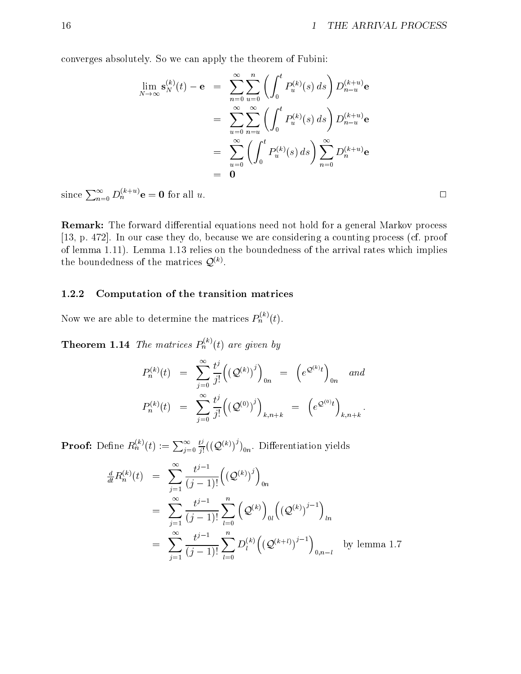converges absolutely. So we can apply the theorem of Fubini:

$$
\lim_{N \to \infty} \mathbf{s}_N^{(k)}(t) - \mathbf{e} = \sum_{n=0}^{\infty} \sum_{u=0}^n \left( \int_0^t P_u^{(k)}(s) ds \right) D_{n-u}^{(k+u)} \mathbf{e}
$$
  
\n
$$
= \sum_{u=0}^{\infty} \sum_{n=u}^{\infty} \left( \int_0^t P_u^{(k)}(s) ds \right) D_{n-u}^{(k+u)} \mathbf{e}
$$
  
\n
$$
= \sum_{u=0}^{\infty} \left( \int_0^t P_u^{(k)}(s) ds \right) \sum_{n=0}^{\infty} D_n^{(k+u)} \mathbf{e}
$$
  
\n
$$
= 0
$$

since  $\sum_{n=0}^{\infty} D_n^{(k+u)} e = 0$  for all u.

**Remark:** The forward differential equations need not hold for a general Markov process [13, p. 472]. In our case they do, because we are considering a counting process (cf. proof of lemma 1.11). Lemma 1.13 relies on the boundedness of the arrival rates which implies the boundedness of the matrices  $Q(x)$ .

#### 1.2.2 Computation of the transition matrices

Now we are able to determine the matrices  $P_n^{\alpha\beta}(t)$ .

**Theorem 1.14** The matrices  $P_n^{\gamma\gamma}(t)$  are given by

$$
P_n^{(k)}(t) = \sum_{j=0}^{\infty} \frac{t^j}{j!} ((Q^{(k)})^j)_{0n} = (e^{Q^{(k)}t})_{0n} \text{ and}
$$
  

$$
P_n^{(k)}(t) = \sum_{j=0}^{\infty} \frac{t^j}{j!} ((Q^{(0)})^j)_{k,n+k} = (e^{Q^{(0)}t})_{k,n+k}.
$$

**Proof:** Define  $R_n^{(k)}(t) := \sum_{j=0}^{\infty} \frac{t^j}{j!} ((\mathcal{Q}^{(k)})^j)$  $\frac{\partial^2}{\partial t^2}((\mathcal{Q}^{(k)})^{\flat})_{0n}$ . Differentiation yields

$$
\frac{d}{dt} R_n^{(k)}(t) = \sum_{j=1}^{\infty} \frac{t^{j-1}}{(j-1)!} \left( (\mathcal{Q}^{(k)})^j \right)_{0n}
$$
\n
$$
= \sum_{j=1}^{\infty} \frac{t^{j-1}}{(j-1)!} \sum_{l=0}^n (\mathcal{Q}^{(k)})_{0l} \left( (\mathcal{Q}^{(k)})^{j-1} \right)_{ln}
$$
\n
$$
= \sum_{j=1}^{\infty} \frac{t^{j-1}}{(j-1)!} \sum_{l=0}^n D_l^{(k)} \left( (\mathcal{Q}^{(k+l)})^{j-1} \right)_{0,n-l} \text{ by lemma 1.7}
$$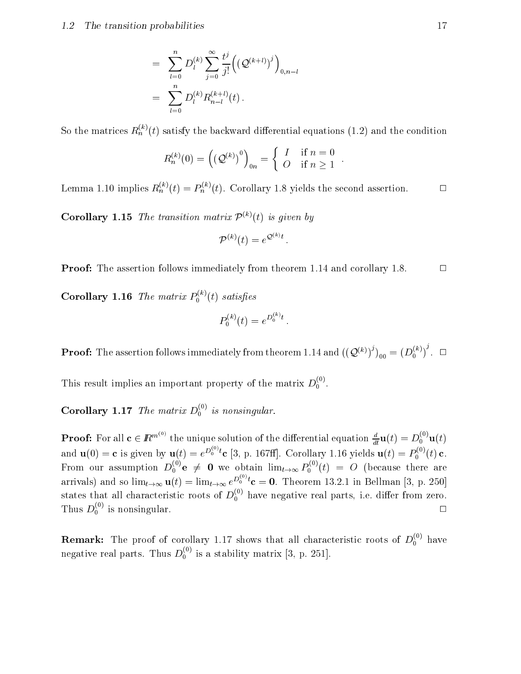#### 1.2 The transition probabilities 17

$$
= \sum_{l=0}^{n} D_{l}^{(k)} \sum_{j=0}^{\infty} \frac{t^{j}}{j!} ((\mathcal{Q}^{(k+l)})^{j})_{0,n-l}
$$
  

$$
= \sum_{l=0}^{n} D_{l}^{(k)} R_{n-l}^{(k+l)}(t).
$$

So the matrices  $R_n^{\gamma\gamma}(t)$  satisfy the backward differential equations (1.2) and the condition

$$
R_n^{(k)}(0) = \left(\left(\mathcal{Q}^{(k)}\right)^0\right)_{0n} = \begin{cases} I & \text{if } n = 0 \\ O & \text{if } n \ge 1 \end{cases}.
$$

 $\Box$ Lemma 1.10 implies  $R_n^{\gamma\gamma}(t) = P_n^{\gamma\gamma}(t)$ . Corollary 1.8 yields the second assertion.

**Corollary 1.15** The transition matrix  $\mathcal{P}^{(k)}(t)$  is given by

$$
\mathcal{P}^{(k)}(t) = e^{\mathcal{Q}^{(k)}t}.
$$

**Proof:** The assertion follows immediately from theorem 1.14 and corollary 1.8.  $\Box$ 

Corollary 1.16 The matrix  $P_0^{(\sim)}(t)$  satisfies

$$
P_0^{(k)}(t) = e^{D_0^{(k)}t}.
$$

**Proof:** The assertion follows immediately from theorem 1.14 and  $((\mathcal{Q}^{(\kappa)})')_{00} = (D_0^{(\kappa)})$  .  $\Box$ <sup>j</sup>

This result implies an important property of the matrix  $D_0^{\sigma}$ .

**Corollary 1.1**7 The matrix  $D_0^{\sim}$  is nonsingular.

**Proof:** For all  $c \in \mathbb{R}^{m \leftrightarrow}$  the unique solution of the differential equation  $\frac{a}{dt}\mathbf{u}(t) = D_0^{\infty} \mathbf{u}(t)$ and  $\mathbf{u}(0) = \mathbf{c}$  is given by  $\mathbf{u}(t) = e^{D_0^{(+)t}} \mathbf{c}$  [3, p. 167ff]. Corollary 1.16 yields  $\mathbf{u}(t) = P_0^{(0)}(t) \mathbf{c}$ . From our assumption  $D_0^{\gamma}$   $\mathbf{e} \neq 0$  we obtain  $\lim_{t\to\infty} P_0^{\gamma}(t) = O$  (because there are arrivals) and so  $\lim_{t\to\infty} \mathbf{u}(t) = \lim_{t\to\infty} e^{D_0^{(0)}t} \mathbf{c} = \mathbf{0}$ . Theorem 13.2.1 in Bellman [3, p. 250] states that all characteristic roots of  $D_0^{\times}$  have negative real parts, i.e. differ from zero. Thus  $D_0^{\gamma}$  is nonsingular.

**Remark:** The proof of corollary 1.17 shows that all characteristic roots of  $D_0^{\gamma\gamma}$  have negative real parts. Thus  $D_0^{\scriptscriptstyle\wedge}$  is a stability matrix [3, p. 251].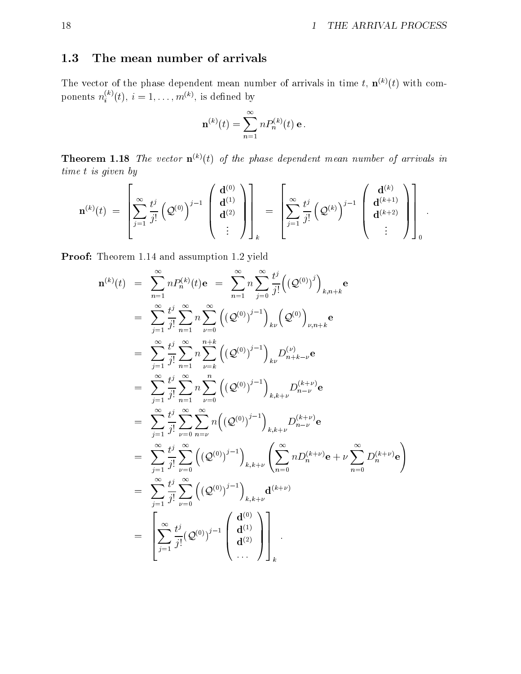## 1.3 The mean number of arrivals

The vector of the phase dependent mean number of arrivals in time t,  $\mathbf{n}^{(k)}(t)$  with components  $n_i^{\times}(t), i=1,\ldots,m^{(n)},$  is defined by

$$
\mathbf{n}^{(k)}(t) = \sum_{n=1}^{\infty} n P_n^{(k)}(t) \,\mathbf{e}.
$$

**Theorem 1.18** The vector  $\mathbf{n}^{(k)}(t)$  of the phase dependent mean number of arrivals in time t is given by

$$
\mathbf{n}^{(k)}(t) = \left[ \sum_{j=1}^{\infty} \frac{t^j}{j!} \left( \mathcal{Q}^{(0)} \right)^{j-1} \left( \begin{array}{c} \mathbf{d}^{(0)} \\ \mathbf{d}^{(1)} \\ \vdots \end{array} \right) \right]_k = \left[ \sum_{j=1}^{\infty} \frac{t^j}{j!} \left( \mathcal{Q}^{(k)} \right)^{j-1} \left( \begin{array}{c} \mathbf{d}^{(k)} \\ \mathbf{d}^{(k+1)} \\ \vdots \end{array} \right) \right]_0.
$$

Proof: Theorem 1.14 and assumption 1.2 yield

$$
\mathbf{n}^{(k)}(t) = \sum_{n=1}^{\infty} n P_n^{(k)}(t) \mathbf{e} = \sum_{n=1}^{\infty} n \sum_{j=0}^{\infty} \frac{t^j}{j!} ((\mathcal{Q}^{(0)})^j)_{k,n+k} \mathbf{e}
$$
  
\n
$$
= \sum_{j=1}^{\infty} \frac{t^j}{j!} \sum_{n=1}^{\infty} n \sum_{\nu=0}^{\infty} ((\mathcal{Q}^{(0)})^{j-1})_{k\nu} (\mathcal{Q}^{(0)})_{\nu,n+k} \mathbf{e}
$$
  
\n
$$
= \sum_{j=1}^{\infty} \frac{t^j}{j!} \sum_{n=1}^{\infty} n \sum_{\nu=k}^{n+k} ((\mathcal{Q}^{(0)})^{j-1})_{k\nu} D_{n+k-\nu}^{(\nu)} \mathbf{e}
$$
  
\n
$$
= \sum_{j=1}^{\infty} \frac{t^j}{j!} \sum_{n=1}^{\infty} n \sum_{\nu=0}^{n} ((\mathcal{Q}^{(0)})^{j-1})_{k,k+\nu} D_{n-\nu}^{(k+\nu)} \mathbf{e}
$$
  
\n
$$
= \sum_{j=1}^{\infty} \frac{t^j}{j!} \sum_{\nu=0}^{\infty} \sum_{n=\nu}^{\infty} n ((\mathcal{Q}^{(0)})^{j-1})_{k,k+\nu} D_{n-\nu}^{(k+\nu)} \mathbf{e}
$$
  
\n
$$
= \sum_{j=1}^{\infty} \frac{t^j}{j!} \sum_{\nu=0}^{\infty} ((\mathcal{Q}^{(0)})^{j-1})_{k,k+\nu} (\sum_{n=0}^{\infty} n D_n^{(k+\nu)} \mathbf{e} + \nu \sum_{n=0}^{\infty} D_n^{(k+\nu)} \mathbf{e})
$$
  
\n
$$
= \sum_{j=1}^{\infty} \frac{t^j}{j!} \sum_{\nu=0}^{\infty} ((\mathcal{Q}^{(0)})^{j-1})_{k,k+\nu} \mathbf{d}^{(k+\nu)}
$$
  
\n
$$
= \left[ \sum_{j=1}^{\infty} \frac{t^j}{j!} (\mathcal{Q}^{(0)})^{j-1} \begin
$$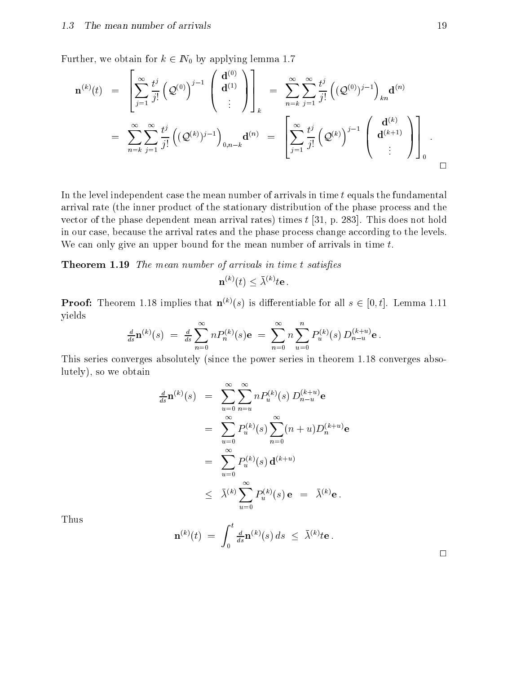Further, we obtain for  $k \in \mathbb{N}_0$  by applying lemma 1.7

 $2.22$  and  $2.22$  and  $2.22$  and  $2.22$  and  $2.22$  and  $2.22$  and  $2.22$  and  $2.22$  and  $2.22$  and  $2.22$  and  $2.22$  and  $2.22$  and  $2.22$  and  $2.22$  and  $2.22$  and  $2.22$  and  $2.22$  and  $2.22$  and  $2.22$  and  $2.22$  and

$$
\mathbf{n}^{(k)}(t) = \left[ \sum_{j=1}^{\infty} \frac{t^j}{j!} \left( \mathcal{Q}^{(0)} \right)^{j-1} \begin{pmatrix} \mathbf{d}^{(0)} \\ \mathbf{d}^{(1)} \\ \vdots \end{pmatrix} \right]_k = \sum_{n=k}^{\infty} \sum_{j=1}^{\infty} \frac{t^j}{j!} \left( (\mathcal{Q}^{(0)})^{j-1} \right)_{kn} \mathbf{d}^{(n)}
$$
  

$$
= \sum_{n=k}^{\infty} \sum_{j=1}^{\infty} \frac{t^j}{j!} \left( (\mathcal{Q}^{(k)})^{j-1} \right)_{0,n-k} \mathbf{d}^{(n)} = \left[ \sum_{j=1}^{\infty} \frac{t^j}{j!} \left( \mathcal{Q}^{(k)} \right)^{j-1} \begin{pmatrix} \mathbf{d}^{(k)} \\ \mathbf{d}^{(k+1)} \\ \vdots \end{pmatrix} \right]_0.
$$

 $\overline{3}$  3  $\overline{3}$  3  $\overline{3}$  3  $\overline{3}$  3  $\overline{3}$  3  $\overline{3}$  3  $\overline{3}$  3  $\overline{3}$  3  $\overline{3}$  3  $\overline{3}$  3  $\overline{3}$  3  $\overline{3}$  3  $\overline{3}$  3  $\overline{3}$  3  $\overline{3}$  3  $\overline{3}$  3  $\overline{3}$  3  $\overline{3}$  3  $\overline{3}$  3  $\overline{3}$  3

In the level independent case the mean number of arrivals in time  $t$  equals the fundamental arrival rate (the inner product of the stationary distribution of the phase process and the vector of the phase dependent mean arrival rates) times t [31, p. 283]. This does not hold in our case, because the arrival rates and the phase process change according to the levels. We can only give an upper bound for the mean number of arrivals in time t.

**Theorem 1.19** The mean number of arrivals in time t satisfies

$$
\mathbf{n}^{(k)}(t) \leq \bar{\lambda}^{(k)} t\mathbf{e}.
$$

**Proof:** Theorem 1.18 implies that  $\mathbf{n}^{(k)}(s)$  is differentiable for all  $s \in [0, t]$ . Lemma 1.11 yields

$$
\frac{d}{ds}\mathbf{n}^{(k)}(s) = \frac{d}{ds}\sum_{n=0}^{\infty}nP_n^{(k)}(s)\mathbf{e} = \sum_{n=0}^{\infty}n\sum_{u=0}^{n}P_u^{(k)}(s)D_{n-u}^{(k+u)}\mathbf{e}.
$$

This series converges absolutely (since the power series in theorem 1.18 converges absolutely), so we obtain

$$
\frac{d}{ds}\mathbf{n}^{(k)}(s) = \sum_{u=0}^{\infty} \sum_{n=u}^{\infty} n P_u^{(k)}(s) D_{n-u}^{(k+u)} \mathbf{e}
$$
  
\n
$$
= \sum_{u=0}^{\infty} P_u^{(k)}(s) \sum_{n=0}^{\infty} (n+u) D_n^{(k+u)} \mathbf{e}
$$
  
\n
$$
= \sum_{u=0}^{\infty} P_u^{(k)}(s) \mathbf{d}^{(k+u)}
$$
  
\n
$$
\leq \bar{\lambda}^{(k)} \sum_{u=0}^{\infty} P_u^{(k)}(s) \mathbf{e} = \bar{\lambda}^{(k)} \mathbf{e}.
$$

Thus

$$
\mathbf{n}^{(k)}(t) \; = \; \int_0^t \tfrac{d}{ds} \mathbf{n}^{(k)}(s) \, ds \; \leq \; \bar{\lambda}^{(k)} t \mathbf{e} \, .
$$

 $\Box$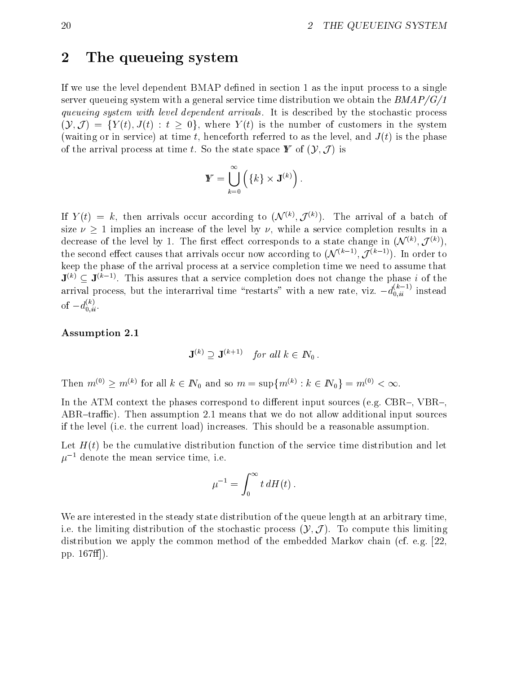## 2 The queueing system

If we use the level dependent  $BMAP$  defined in section 1 as the input process to a single server queueing system with a general service time distribution we obtain the  $BMAP/G/1$ queueing system with level dependent arrivals. It is described by the stochastic process  $(\mathcal{Y}, \mathcal{J}) = \{Y(t), J(t) : t \geq 0\},\$  where  $Y(t)$  is the number of customers in the system (waiting or in service) at time t, henceforth referred to as the level, and  $J(t)$  is the phase of the arrival process at time t. So the state space  $\mathbf{Y}$  of  $(\mathcal{Y}, \mathcal{J})$  is

$$
\mathbf{Y} = \bigcup_{k=0}^{\infty} \left( \{k\} \times \mathbf{J}^{(k)} \right).
$$

If  $Y(t) \equiv k$ , then arrivals occur according to  $(\mathcal{N}^{\infty}, J^{\infty})$ . The arrival of a batch of size  $\nu \geq 1$  implies an increase of the level by  $\nu$ , while a service completion results in a decrease of the level by 1. The hist effect corresponds to a state change in (N  $\vee$  , I  $\vee$  ), the second effect causes that arrivals occur now according to  $(\mathcal{N}^{\otimes n-2}, \mathcal{J}^{\otimes n-2})$ . In order to keep the phase of the arrival process at a service completion time we need to assume that  $J^{(k)} \subset J^{(k-1)}$ . This assures that a service completion does not change the phase  $i$  of the arrival process, but the interarrival time "restarts" with a new rate, viz.  $-d_{0,ii}^{(-)}$  instead of  $-d_{0,ii}^{\cdots}$ .

#### Assumption 2.1

$$
\mathbf{J}^{(k)} \supseteq \mathbf{J}^{(k+1)} \quad \text{for all } k \in \mathbb{N}_0 \, .
$$

Then  $m(y) \geq m(y)$  for all  $k \in I\mathbb{N}_0$  and so  $m = \sup\{m(y) : k \in I\mathbb{N}_0\} = m(y) < \infty$ .

In the ATM context the phases correspond to different input sources (e.g. CBR $-$ , VBR $-$ , ABR-traffic). Then assumption 2.1 means that we do not allow additional input sources if the level (i.e. the current load) increases. This should be a reasonable assumption.

Let  $H(t)$  be the cumulative distribution function of the service time distribution and let  $\mu^{-1}$  denote the mean service time, i.e.

$$
\mu^{-1}=\int_0^\infty t\,dH(t)\,.
$$

We are interested in the steady state distribution of the queue length at an arbitrary time, i.e. the limiting distribution of the stochastic process  $(\mathcal{Y}, \mathcal{J})$ . To compute this limiting distribution we apply the common method of the embedded Markov chain (cf. e.g. [22, pp.  $167ff$ .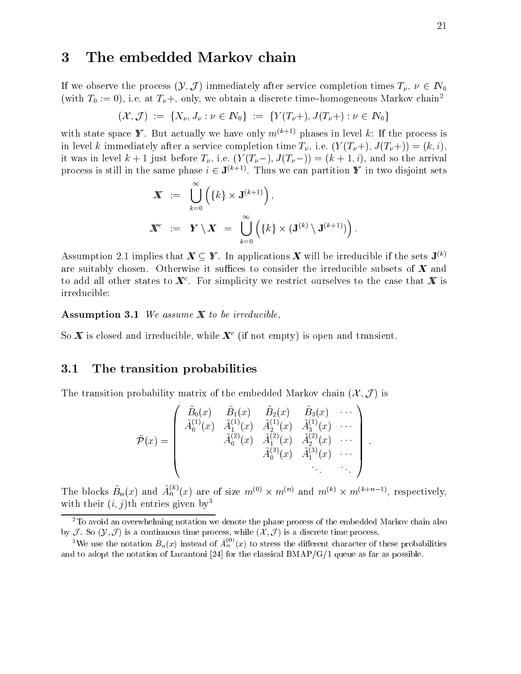# 3 The embedded Markov chain

If we observe the process  $(Y, \mathcal{J})$  immediately after service completion times  $T_{\nu}, \nu \in \mathbb{N}_0$ (with  $T_0 := 0$ ), i.e. at  $T_{\nu}$ +, only, we obtain a discrete time-homogeneous Markov chain<sup>2</sup>

$$
(\mathcal{X}, \mathcal{J}) \ := \ \{X_{\nu}, J_{\nu} : \nu \in I\!\!N_0\} \ := \ \{Y(T_{\nu}+), J(T_{\nu}+) : \nu \in I\!\!N_0\}
$$

with state space **Y**. But actually we have only  $m^{(k+1)}$  phases in level k: If the process is in level k immediately after a service completion time  $T_{\nu}$ , i.e.  $(Y(T_{\nu}+), J(T_{\nu}+)) = (k, i)$ , it was in level  $k + 1$  just before  $T_{\nu}$ , i.e.  $(Y(T_{\nu}-), J(T_{\nu}-)) = (k + 1, i)$ , and so the arrival process is still in the same phase  $i \in J^{\vee +1}$ . Thus we can partition  $\bm{r}$  in two disjoint sets

$$
\begin{array}{rcl} \boldsymbol{X} & := & \bigcup_{k=0}^{\infty} \left( \{k\} \times \mathbf{J}^{(k+1)} \right), \\ \boldsymbol{X}^c & := & \boldsymbol{Y} \setminus \boldsymbol{X} & = & \bigcup_{k=0}^{\infty} \left( \{k\} \times (\mathbf{J}^{(k)} \setminus \mathbf{J}^{(k+1)}) \right). \end{array}
$$

Assumption 2.1 implies that  $\mathbf{X} \subseteq \mathbf{Y}$ . In applications  $\mathbf{X}$  will be irreducible if the sets  $\mathbf{J}^{(k)}$ are suitably chosen. Otherwise it suffices to consider the irreducible subsets of  $X$  and to add all other states to  $\bm{A}^*$ . For simplicity we restrict ourselves to the case that  $\bm{A}$  is irreducible:

**Assumption 3.1** We assume  $X$  to be irreducible.

So **X** is closed and irreducible, while  $X^c$  (if not empty) is open and transient.

### 3.1 The transition probabilities

The transition probability matrix of the embedded Markov chain  $(\mathcal{X}, \mathcal{J})$  is

$$
\tilde{\mathcal{P}}(x) = \left(\begin{array}{cccc} \tilde{B}_0(x) & \tilde{B}_1(x) & \tilde{B}_2(x) & \tilde{B}_3(x) & \cdots \\ \tilde{A}_0^{(1)}(x) & \tilde{A}_1^{(1)}(x) & \tilde{A}_2^{(1)}(x) & \tilde{A}_3^{(1)}(x) & \cdots \\ & \tilde{A}_0^{(2)}(x) & \tilde{A}_1^{(2)}(x) & \tilde{A}_2^{(2)}(x) & \cdots \\ & & \tilde{A}_0^{(3)}(x) & \tilde{A}_1^{(3)}(x) & \cdots \\ & & & \ddots & \ddots \end{array}\right).
$$

The blocks  $B_n(x)$  and  $A_n^{\gamma}(x)$  are of size  $m^{(0)} \times m^{(n)}$  and  $m^{(n)} \times m^{(n+n-1)}$ , respectively, with their  $(i, j)$ th entries given by<sup>3</sup>

 $\mathbf{1}$ 

<sup>&</sup>lt;sup>2</sup>To avoid an overwhelming notation we denote the phase process of the embedded Markov chain also by J. So  $(\mathcal{Y}, \mathcal{J})$  is a continuous time process, while  $(\mathcal{X}, \mathcal{J})$  is a discrete time process.

We use the notation  $B_n(x)$  instead of  $A_n^{\gamma}(x)$  to stress the different character of these probabilities and to adopt the notation of Lucantoni [24] for the classical BMAP/G/1 queue as far as possible.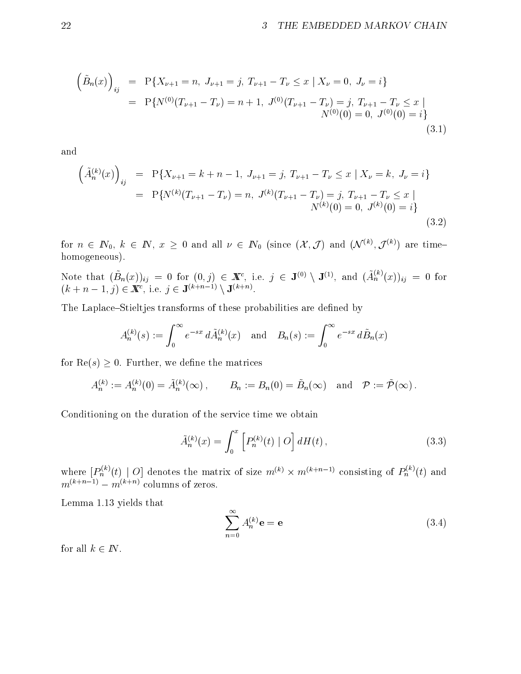$$
\left(\tilde{B}_n(x)\right)_{ij} = P\{X_{\nu+1} = n, J_{\nu+1} = j, T_{\nu+1} - T_{\nu} \le x \mid X_{\nu} = 0, J_{\nu} = i\}
$$
  

$$
= P\{N^{(0)}(T_{\nu+1} - T_{\nu}) = n + 1, J^{(0)}(T_{\nu+1} - T_{\nu}) = j, T_{\nu+1} - T_{\nu} \le x \mid N^{(0)}(0) = 0, J^{(0)}(0) = i\}
$$
  
(3.1)

and

$$
\left(\tilde{A}_{n}^{(k)}(x)\right)_{ij} = P\{X_{\nu+1} = k + n - 1, J_{\nu+1} = j, T_{\nu+1} - T_{\nu} \le x \mid X_{\nu} = k, J_{\nu} = i\}
$$
\n
$$
= P\{N^{(k)}(T_{\nu+1} - T_{\nu}) = n, J^{(k)}(T_{\nu+1} - T_{\nu}) = j, T_{\nu+1} - T_{\nu} \le x \mid N^{(k)}(0) = 0, J^{(k)}(0) = i\}
$$
\n(3.2)

for  $n \in I\!\!N_0, \; \kappa \; \in \; I\!\!N, \; x \geq 0$  and all  $\nu \; \in \; I\!\!N_0$  (since  $(\Lambda, J)$  and  $(\mathcal{N}^{\sim}, J^{\sim})$  are timehomogeneous).

Note that  $(B_n(x))_{ii} = 0$  for  $(0, j) \in \mathbb{X}^c$ , i.e.  $j \in \mathsf{J}^{(0)} \setminus \mathsf{J}^{(1)}$ , and  $(A_n^{(i)}(x))_{ii} = 0$  for  $(k + n - 1, \gamma) \in \mathbb{A}$ , i.e.  $\gamma \in \mathbf{J}$   $($ 

The Laplace-Stieltjes transforms of these probabilities are defined by

$$
A_n^{(k)}(s):=\int_0^\infty e^{-sx}\,d\tilde A_n^{(k)}(x)\quad\text{and}\quad B_n(s):=\int_0^\infty e^{-sx}\,d\tilde B_n(x)
$$

for  $\text{Re}(s) \geq 0$ . Further, we define the matrices

$$
A_n^{(k)} := A_n^{(k)}(0) = \tilde{A}_n^{(k)}(\infty), \qquad B_n := B_n(0) = \tilde{B}_n(\infty) \quad \text{and} \quad \mathcal{P} := \tilde{\mathcal{P}}(\infty).
$$

Conditioning on the duration of the service time we obtain

$$
\tilde{A}_n^{(k)}(x) = \int_0^x \left[ P_n^{(k)}(t) \mid O \right] dH(t), \tag{3.3}
$$

where  $|P_n^{\alpha\gamma}(t)|$  O denotes the matrix of size  $m^{(k)}\times m^{(k+n-1)}$  consisting of  $P_n^{\alpha\gamma}(t)$  and  $m_k \rightarrow -m_k$  columns of zeros.

Lemma 1.13 yields that

$$
\sum_{n=0}^{\infty} A_n^{(k)} \mathbf{e} = \mathbf{e}
$$
 (3.4)

for all  $k \in \mathbb{N}$ .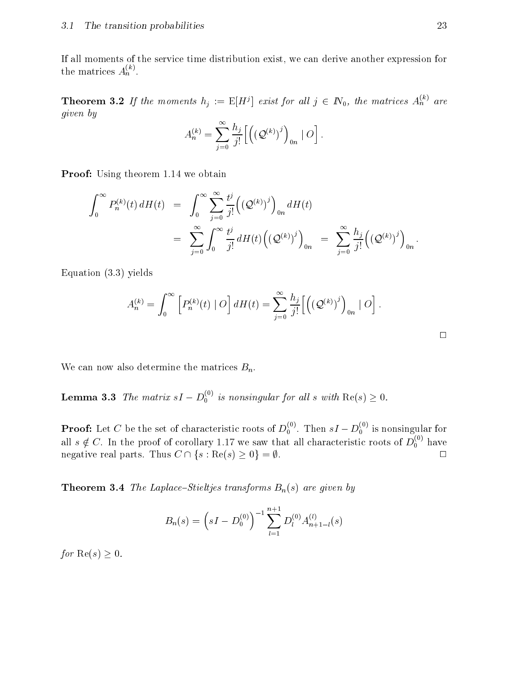If all moments of the service time distribution exist, we can derive another expression for the matrices  $A_n^{\wedge}$ .

**Theorem 3.2** If the moments  $h_i := \mathbb{E}[H^j]$  exist for all  $j \in \mathbb{N}_0$ , the matrices  $A_n^{\gamma}$  are given by

$$
A_n^{(k)} = \sum_{j=0}^\infty \frac{h_j}{j!} \Big[ \Big( \big(\mathcal{Q}^{(k)}\big)^j \Big)_{0n} \mid O\Big]\,.
$$

**Proof:** Using theorem 1.14 we obtain

$$
\int_0^\infty P_n^{(k)}(t) dH(t) = \int_0^\infty \sum_{j=0}^\infty \frac{t^j}{j!} ((\mathcal{Q}^{(k)})^j)_{0n} dH(t)
$$
  

$$
= \sum_{j=0}^\infty \int_0^\infty \frac{t^j}{j!} dH(t) ((\mathcal{Q}^{(k)})^j)_{0n} = \sum_{j=0}^\infty \frac{h_j}{j!} ((\mathcal{Q}^{(k)})^j)_{0n}.
$$

Equation (3.3) yields

$$
A_n^{(k)} = \int_0^\infty \left[ P_n^{(k)}(t) \mid O \right] dH(t) = \sum_{j=0}^\infty \frac{h_j}{j!} \left[ \left( \left( \mathcal{Q}^{(k)} \right)^j \right)_{0n} \mid O \right].
$$

We can now also determine the matrices  $B_n$ .

**Lemma 3.3** The matrix  $sI - D_0^{s}$  is nonsingular for all s with  $\text{Re}(s) \geq 0$ .

**Proof:** Let C be the set of characteristic roots of  $D_0^{\sim}$ . Then  $sI - D_0^{\sim}$  is nonsingular for all  $s \notin C$ . In the proof of corollary 1.17 we saw that all characteristic roots of  $D_0^{\infty\prime}$  have negative real parts. Thus  $C \cap \{s : \text{Re}(s) \geq 0\} = \emptyset$ .  $\Box$ 

**Theorem 3.4** The Laplace-Stieltjes transforms  $B_n(s)$  are given by

$$
B_n(s) = \left(sI - D_0^{(0)}\right)^{-1} \sum_{l=1}^{n+1} D_l^{(0)} A_{n+1-l}^{(l)}(s)
$$

for  $\text{Re}(s) > 0$ .

 $\Box$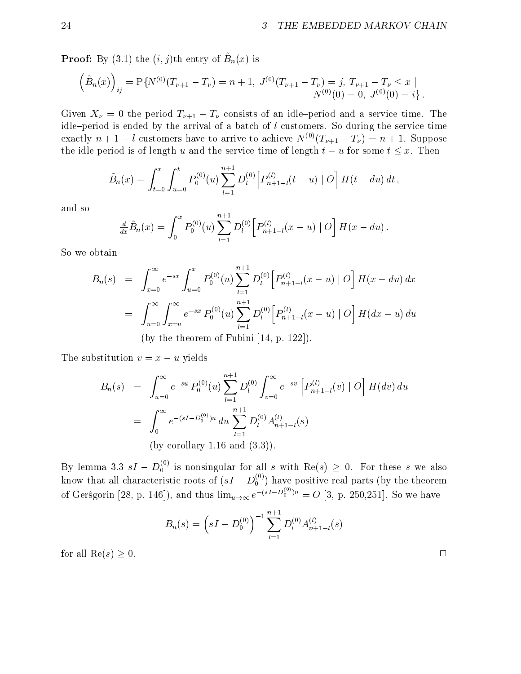**1 1001.** By (3.1) the  $(i, j)$ th entry of  $D_n(x)$  is

$$
(\tilde{B}_n(x))_{ij} = P\{N^{(0)}(T_{\nu+1} - T_{\nu}) = n + 1, J^{(0)}(T_{\nu+1} - T_{\nu}) = j, T_{\nu+1} - T_{\nu} \le x \mid N^{(0)}(0) = 0, J^{(0)}(0) = i\}.
$$

Given  $X_{\nu} = 0$  the period  $T_{\nu+1} - T_{\nu}$  consists of an idle-period and a service time. The idle-period is ended by the arrival of a batch of  $l$  customers. So during the service time exactly  $n + 1 - l$  customers have to arrive to achieve  $N^{(0)}(T_{\nu+1} - T_{\nu}) = n + 1$ . Suppose the idle period is of length u and the service time of length  $t - u$  for some  $t \leq x$ . Then

$$
\tilde{B}_n(x) = \int_{t=0}^x \int_{u=0}^t P_0^{(0)}(u) \sum_{l=1}^{n+1} D_l^{(0)} \left[ P_{n+1-l}^{(l)}(t-u) \mid O \right] H(t-du) dt,
$$

and so

$$
\frac{d}{dx}\tilde{B}_n(x) = \int_0^x P_0^{(0)}(u) \sum_{l=1}^{n+1} D_l^{(0)} \Big[ P_{n+1-l}^{(l)}(x-u) \mid O \Big] H(x-du) .
$$

So we obtain

$$
B_n(s) = \int_{x=0}^{\infty} e^{-sx} \int_{u=0}^{x} P_0^{(0)}(u) \sum_{l=1}^{n+1} D_l^{(0)} \Big[ P_{n+1-l}^{(l)}(x-u) \Big] O \Big] H(x-du) dx
$$
  
= 
$$
\int_{u=0}^{\infty} \int_{x=u}^{\infty} e^{-sx} P_0^{(0)}(u) \sum_{l=1}^{n+1} D_l^{(0)} \Big[ P_{n+1-l}^{(l)}(x-u) \Big] O \Big] H(dx-u) du
$$
  
(by the theorem of Fubini [14, p. 122]).

The substitution  $v = x - u$  yields

$$
B_n(s) = \int_{u=0}^{\infty} e^{-su} P_0^{(0)}(u) \sum_{l=1}^{n+1} D_l^{(0)} \int_{v=0}^{\infty} e^{-sv} \left[ P_{n+1-l}^{(l)}(v) \right] D_l^{(l)}(dv) du
$$
  

$$
= \int_0^{\infty} e^{-(sI - D_0^{(0)})u} du \sum_{l=1}^{n+1} D_l^{(0)} A_{n+1-l}^{(l)}(s)
$$
  
(by corollary 1.16 and (3.3)).

By lemma 3.3  $sI - D_0^{(0)}$  is nonsingular for all s with Re(s)  $\geq 0$ . For these s we also 0 is nonsingular for all s with Re(s)  $\equiv$  2. For these s we also know that all characteristic roots of  $(sI - D_0^{\alpha \beta})$  have positive real parts (by the theorem of Gersgorin [28, p. 146]), and thus  $\lim_{u\to\infty} e^{-(sI-D_0^{(s)}) u} = O(3)$ , p. 250,251]. So we have

$$
B_n(s) = \left(sI - D_0^{(0)}\right)^{-1} \sum_{l=1}^{n+1} D_l^{(0)} A_{n+1-l}^{(l)}(s)
$$

for all  $\text{Re}(s) > 0$ .

 $\Box$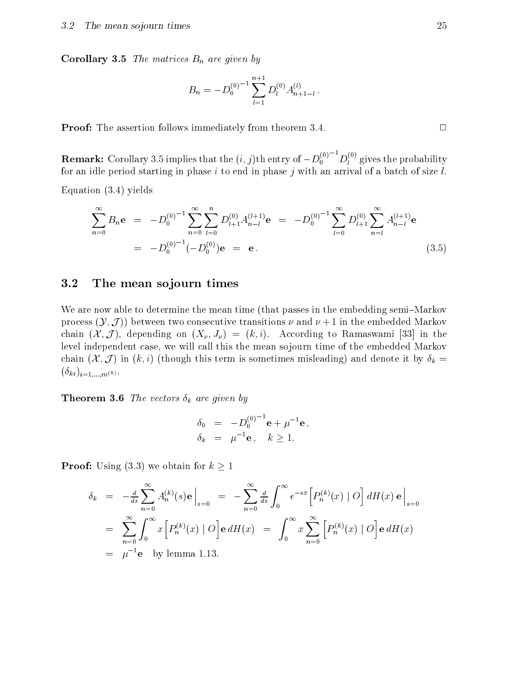**Corollary 3.5** The matrices  $B_n$  are given by

$$
B_n = -D_0^{(0)}^{-1} \sum_{l=1}^{n+1} D_l^{(0)} A_{n+1-l}^{(l)}.
$$

**Proof:** The assertion follows immediately from theorem 3.4.  $\Box$ 

**Remark:** Corollary 3.5 implies that the  $(i, j)$ th entry of  $-D_0^{(0)}$   $[D_l^{(0)}]$  gives the probability for an idle period starting in phase i to end in phase j with an arrival of a batch of size  $l$ .

Equation (3.4) yields

$$
\sum_{n=0}^{\infty} B_n \mathbf{e} = -D_0^{(0)-1} \sum_{n=0}^{\infty} \sum_{l=0}^n D_{l+1}^{(0)} A_{n-l}^{(l+1)} \mathbf{e} = -D_0^{(0)-1} \sum_{l=0}^{\infty} D_{l+1}^{(0)} \sum_{n=l}^{\infty} A_{n-l}^{(l+1)} \mathbf{e}
$$
  
=  $-D_0^{(0)-1} (-D_0^{(0)}) \mathbf{e} = \mathbf{e}.$  (3.5)

### 3.2 The mean sojourn times

We are now able to determine the mean time (that passes in the embedding semi-Markov process  $(Y, \mathcal{J})$  between two consecutive transitions  $\nu$  and  $\nu + 1$  in the embedded Markov chain  $(\mathcal{X}, \mathcal{J})$ , depending on  $(X_{\nu}, J_{\nu}) = (k, i)$ . According to Ramaswami [33] in the level independent case, we will call this the mean sojourn time of the embedded Markov chain  $(\mathcal{X}, \mathcal{J})$  in  $(k, i)$  (though this term is sometimes misleading) and denote it by  $\delta_k =$  $\langle h_1, h_2, h_3, h_4, h_5, h_6, h_7, h_8, h_9, h_9, h_1, h_1, h_2, h_3, h_1, h_1, h_2, h_3, h_1, h_2, h_3, h_1, h_2, h_3, h_4, h_1, h_2, h_3, h_4, h_5, h_6, h_7, h_8, h_9, h_9, h_9, h_{10}, h_{11}, h_{12}, h_{13}, h_{14}, h_{15}, h_{16}, h_{17}, h_{18}, h_{19}, h_{10}, h_{11}, h_{12}, h_{13}, h_{14$ 

**Theorem 3.6** The vectors  $\delta_k$  are given by

$$
\delta_0 = -D_0^{(0)}^{-1} \mathbf{e} + \mu^{-1} \mathbf{e} ,
$$
  
\n
$$
\delta_k = \mu^{-1} \mathbf{e} , \quad k \ge 1.
$$

**Proof:** Using (3.3) we obtain for  $k \geq 1$ 

$$
\delta_k = -\frac{d}{ds} \sum_{n=0}^{\infty} A_n^{(k)}(s) \mathbf{e} \Big|_{s=0} = -\sum_{n=0}^{\infty} \frac{d}{ds} \int_0^{\infty} e^{-sx} \Big[ P_n^{(k)}(x) \Big| O \Big] dH(x) \mathbf{e} \Big|_{s=0}
$$
  
\n
$$
= \sum_{n=0}^{\infty} \int_0^{\infty} x \Big[ P_n^{(k)}(x) \Big| O \Big] \mathbf{e} dH(x) = \int_0^{\infty} x \sum_{n=0}^{\infty} \Big[ P_n^{(k)}(x) \Big| O \Big] \mathbf{e} dH(x)
$$
  
\n
$$
= \mu^{-1} \mathbf{e} \text{ by lemma 1.13.}
$$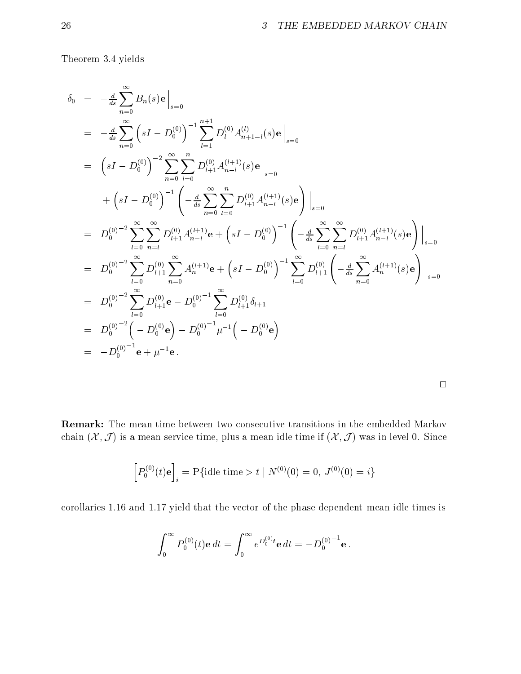Theorem 3.4 yields

$$
\delta_0 = -\frac{d}{ds} \sum_{n=0}^{\infty} B_n(s) \mathbf{e} \Big|_{s=0}
$$
\n
$$
= -\frac{d}{ds} \sum_{n=0}^{\infty} \left( sI - D_0^{(0)} \right)^{-1} \sum_{l=1}^{n+1} D_l^{(0)} A_{n+1-l}^{(l)}(s) \mathbf{e} \Big|_{s=0}
$$
\n
$$
= \left( sI - D_0^{(0)} \right)^{-2} \sum_{n=0}^{\infty} \sum_{l=0}^{n} D_{l+1}^{(0)} A_{n-l}^{(l+1)}(s) \mathbf{e} \Big|_{s=0}
$$
\n
$$
+ \left( sI - D_0^{(0)} \right)^{-1} \left( -\frac{d}{ds} \sum_{n=0}^{\infty} \sum_{l=0}^{n} D_{l+1}^{(0)} A_{n-l}^{(l+1)}(s) \mathbf{e} \right) \Big|_{s=0}
$$
\n
$$
= D_0^{(0)-2} \sum_{l=0}^{\infty} \sum_{n=l}^{\infty} D_{l+1}^{(0)} A_{n-l}^{(l+1)} \mathbf{e} + \left( sI - D_0^{(0)} \right)^{-1} \left( -\frac{d}{ds} \sum_{l=0}^{\infty} \sum_{n=l}^{\infty} D_{l+1}^{(0)} A_{n-l}^{(l+1)}(s) \mathbf{e} \right) \Big|_{s=0}
$$
\n
$$
= D_0^{(0)-2} \sum_{l=0}^{\infty} D_{l+1}^{(0)} \sum_{n=0}^{\infty} A_{n}^{(l+1)} \mathbf{e} + \left( sI - D_0^{(0)} \right)^{-1} \sum_{l=0}^{\infty} D_{l+1}^{(0)} \left( -\frac{d}{ds} \sum_{n=0}^{\infty} A_{n}^{(l+1)}(s) \mathbf{e} \right) \Big|_{s=0}
$$
\n
$$
= D_0^{(0)-2} \sum_{l=0}^{\infty} D_{l+1}^{(0)} \mathbf{e} - D_0^{(0)-1} \sum_{l=0}^{\infty} D_{l+1}^{(0)} \delta_{l+1}
$$
\n
$$
= D_0^{(0
$$

Remark: The mean time between two consecutive transitions in the embedded Markov chain  $(\mathcal{X}, \mathcal{J})$  is a mean service time, plus a mean idle time if  $(\mathcal{X}, \mathcal{J})$  was in level 0. Since

$$
\left[P_0^{(0)}(t)\mathbf{e}\right]_i = \mathbf{P}\{\text{idle time} > t \mid N^{(0)}(0) = 0, \ J^{(0)}(0) = i\}
$$

corollaries 1.16 and 1.17 yield that the vector of the phase dependent mean idle times is

$$
\int_0^\infty P_0^{(0)}(t) \mathbf{e} \, dt = \int_0^\infty e^{D_0^{(0)}t} \mathbf{e} \, dt = -D_0^{(0)}{}^{-1} \mathbf{e} \, .
$$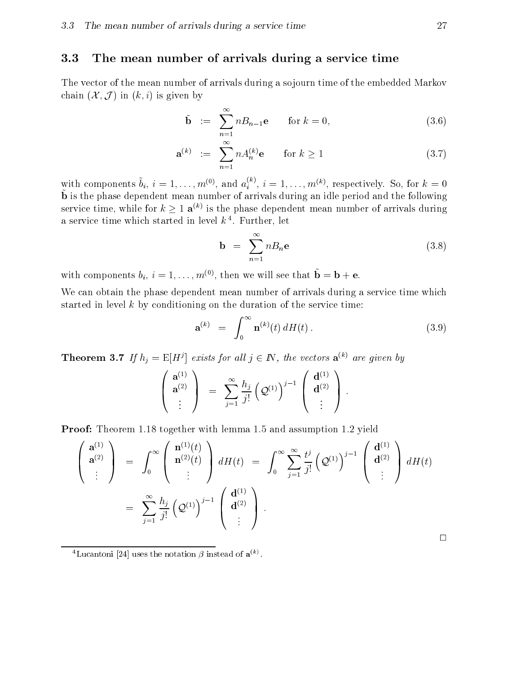#### 3.3 The mean number of arrivals during a service time

The vector of the mean number of arrivals during a sojourn time of the embedded Markov chain  $(\mathcal{X}, \mathcal{J})$  in  $(k, i)$  is given by

$$
\tilde{\mathbf{b}} := \sum_{n=1}^{\infty} n B_{n-1} \mathbf{e} \quad \text{for } k = 0,
$$
\n(3.6)

$$
\mathbf{a}^{(k)} := \sum_{n=1}^{\infty} n A_n^{(k)} \mathbf{e} \quad \text{for } k \ge 1
$$
 (3.7)

with components  $b_i, i = 1, \ldots, m^{(0)}$ , and  $a_i^{(0)}, i = 1, \ldots, m^{(k)}$ , respectively. So, for  $k = 0$ b~ is the phase dependent mean number of arrivals during an idle period and the following service time, while for  $k \geq 1$   $\mathbf{a}^{(k)}$  is the phase dependent mean number of arrivals during a service time which started in level  $\kappa$   $\cdot$  . Further, let

$$
\mathbf{b} = \sum_{n=1}^{\infty} n B_n \mathbf{e}
$$
 (3.8)

with components  $v_i, i = 1, \ldots, m^{(+)},$  then we will see that  $\mathbf{b} = \mathbf{b} + \mathbf{e}$ .

We can obtain the phase dependent mean number of arrivals during a service time which started in level  $k$  by conditioning on the duration of the service time:

$$
\mathbf{a}^{(k)} = \int_0^\infty \mathbf{n}^{(k)}(t) dH(t).
$$
 (3.9)

 $\ddot{\phantom{1}}$ 

**Theorem 3.7** If  $n_i = E[H^i]$  exists for all  $j \in I_N$ , the vectors  $\mathbf{a}^{(k)}$  are given by

$$
\left(\begin{array}{c} {\bf a}^{(1)}\\ {\bf a}^{(2)}\\ \vdots \end{array}\right) \;\; = \;\; \sum_{j=1}^{\infty} \frac{h_j}{j!} \left({\cal Q}^{(1)}\right)^{j-1} \, \left(\begin{array}{c} {\bf d}^{(1)}\\ {\bf d}^{(2)}\\ \vdots \end{array}\right) \; .
$$

Proof: Theorem 1.18 together with lemma 1.5 and assumption 1.2 yield

$$
\begin{pmatrix}\n\mathbf{a}^{(1)} \\
\mathbf{a}^{(2)} \\
\vdots\n\end{pmatrix} = \int_0^\infty \begin{pmatrix}\n\mathbf{n}^{(1)}(t) \\
\mathbf{n}^{(2)}(t) \\
\vdots\n\end{pmatrix} dH(t) = \int_0^\infty \sum_{j=1}^\infty \frac{t^j}{j!} \left(\mathcal{Q}^{(1)}\right)^{j-1} \begin{pmatrix}\n\mathbf{d}^{(1)} \\
\mathbf{d}^{(2)} \\
\vdots\n\end{pmatrix} dH(t)
$$
\n
$$
= \sum_{j=1}^\infty \frac{h_j}{j!} \left(\mathcal{Q}^{(1)}\right)^{j-1} \begin{pmatrix}\n\mathbf{d}^{(1)} \\
\mathbf{d}^{(2)} \\
\vdots\n\end{pmatrix}.
$$

 $\Box$ 

<sup>-</sup>Lucantoni  $|24|$  uses the notation  $\rho$  instead of  $\mathbf{a}^{\scriptscriptstyle{(w)}}$ .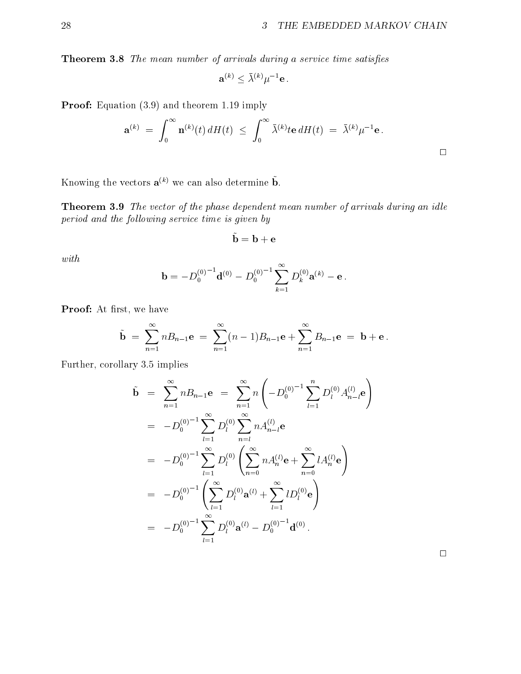Theorem 3.8 The mean number of arrivals during a service time satisfies

$$
\mathbf{a}^{(k)}\leq \bar{\lambda}^{(k)}\mu^{-1}\mathbf{e}\,.
$$

Proof: Equation  $(3.9)$  and theorem 1.19 imply

$$
\mathbf{a}^{(k)} = \int_0^\infty \mathbf{n}^{(k)}(t) \, dH(t) \ \leq \ \int_0^\infty \bar{\lambda}^{(k)} t \mathbf{e} \, dH(t) \ = \ \bar{\lambda}^{(k)} \mu^{-1} \mathbf{e} \, .
$$

Knowing the vectors  $\mathbf{a}^{(k)}$  we can also determine  $\tilde{\mathbf{b}}$ .

**Theorem 3.9** The vector of the phase dependent mean number of arrivals during an idle period and the following service time is given by

$$
\mathbf{b} = \mathbf{b} + \mathbf{e}
$$

 $\sim$ 

with

$$
\mathbf{b} = -D_0^{(0)}^{-1} \mathbf{d}^{(0)} - D_0^{(0)}^{-1} \sum_{k=1}^{\infty} D_k^{(0)} \mathbf{a}^{(k)} - \mathbf{e}.
$$

Proof: At first, we have

$$
\tilde{\mathbf{b}} = \sum_{n=1}^{\infty} n B_{n-1} \mathbf{e} = \sum_{n=1}^{\infty} (n-1) B_{n-1} \mathbf{e} + \sum_{n=1}^{\infty} B_{n-1} \mathbf{e} = \mathbf{b} + \mathbf{e}.
$$

Further, corollary 3.5 implies

$$
\tilde{\mathbf{b}} = \sum_{n=1}^{\infty} n B_{n-1} \mathbf{e} = \sum_{n=1}^{\infty} n \left( -D_0^{(0)} - 1 \sum_{l=1}^n D_l^{(0)} A_{n-l}^{(l)} \mathbf{e} \right)
$$
  
\n
$$
= -D_0^{(0)} - 1 \sum_{l=1}^{\infty} D_l^{(0)} \sum_{n=l}^{\infty} n A_{n-l}^{(l)} \mathbf{e}
$$
  
\n
$$
= -D_0^{(0)} - 1 \sum_{l=1}^{\infty} D_l^{(0)} \left( \sum_{n=0}^{\infty} n A_n^{(l)} \mathbf{e} + \sum_{n=0}^{\infty} l A_n^{(l)} \mathbf{e} \right)
$$
  
\n
$$
= -D_0^{(0)} - 1 \left( \sum_{l=1}^{\infty} D_l^{(0)} \mathbf{a}^{(l)} + \sum_{l=1}^{\infty} l D_l^{(0)} \mathbf{e} \right)
$$
  
\n
$$
= -D_0^{(0)} - 1 \sum_{l=1}^{\infty} D_l^{(0)} \mathbf{a}^{(l)} - D_0^{(0)} - 1 \mathbf{d}^{(0)} .
$$

 $\Box$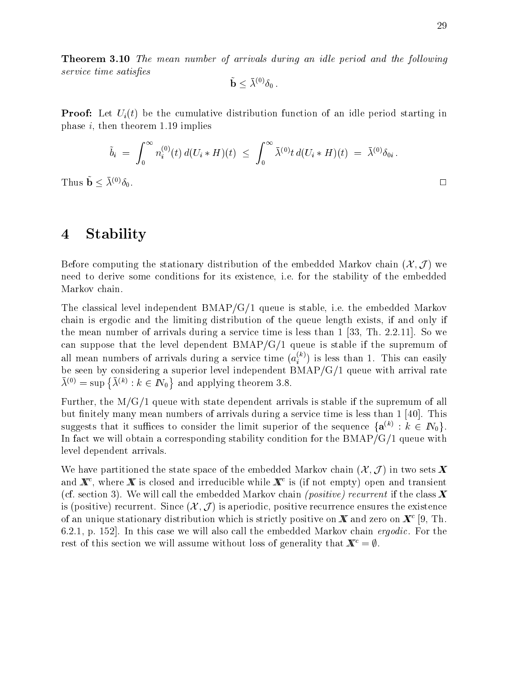**Theorem 3.10** The mean number of arrivals during an idle period and the following service time satisfies

$$
\tilde{\bf b} \leq \bar\lambda^{(0)} \delta_0\,.
$$

**Proof:** Let  $U_i(t)$  be the cumulative distribution function of an idle period starting in phase  $i$ , then theorem 1.19 implies

$$
\tilde{b}_i = \int_0^\infty n_i^{(0)}(t) d(U_i * H)(t) \leq \int_0^\infty \bar{\lambda}^{(0)} t d(U_i * H)(t) = \bar{\lambda}^{(0)} \delta_{0i}.
$$
  
Thus  $\tilde{\mathbf{b}} \leq \bar{\lambda}^{(0)} \delta_{0}.$ 

# 4 Stability

Before computing the stationary distribution of the embedded Markov chain  $(\mathcal{X}, \mathcal{J})$  we need to derive some conditions for its existence, i.e. for the stability of the embedded Markov chain.

The classical level independent  $BMAP/G/1$  queue is stable, i.e. the embedded Markov chain is ergodic and the limiting distribution of the queue length exists, if and only if the mean number of arrivals during a service time is less than 1 [33, Th. 2.2.11]. So we can suppose that the level dependent  $BMAP/G/1$  queue is stable if the supremum of all mean numbers of arrivals during a service time  $(a_i^{\leftrightarrow})$  is less than 1. This can easily be seen by considering a superior level independent BMAP/G/1 queue with arrival rate  $\lambda^{(0)} = \sup \{ \lambda^{(k)} : k \in \mathbb{N}_0 \}$  and applying theorem 3.8.

Further, the M/G/1 queue with state dependent arrivals is stable if the supremum of all but finitely many mean numbers of arrivals during a service time is less than  $1 \, [40]$ . This suggests that it suffices to consider the limit superior of the sequence  $\{a^{\alpha\beta}\,:\,\kappa\,\in\,\mathbb{I}\}$ . In fact we will obtain a corresponding stability condition for the  $BMAP/G/1$  queue with level dependent arrivals.

We have partitioned the state space of the embedded Markov chain  $(\mathcal{X}, \mathcal{J})$  in two sets X and  $\bm{A}$  , where  $\bm{A}$  is closed and irreducible while  $\bm{A}$  is (if not empty) open and transient (cf. section 3). We will call the embedded Markov chain *(positive) recurrent* if the class  $\mathbf{X}$ is (positive) recurrent. Since  $(\mathcal{X}, \mathcal{J})$  is aperiodic, positive recurrence ensures the existence of an unique stationary distribution which is strictly positive on  $\mathbf{\Lambda}{}$  and zero on  $\mathbf{\Lambda}{}^<$  [9, Th. 6.2.1, p. 152. In this case we will also call the embedded Markov chain *ergodic*. For the rest of this section we will assume without loss of generality that  $\mathbf{X}^c = \emptyset$ .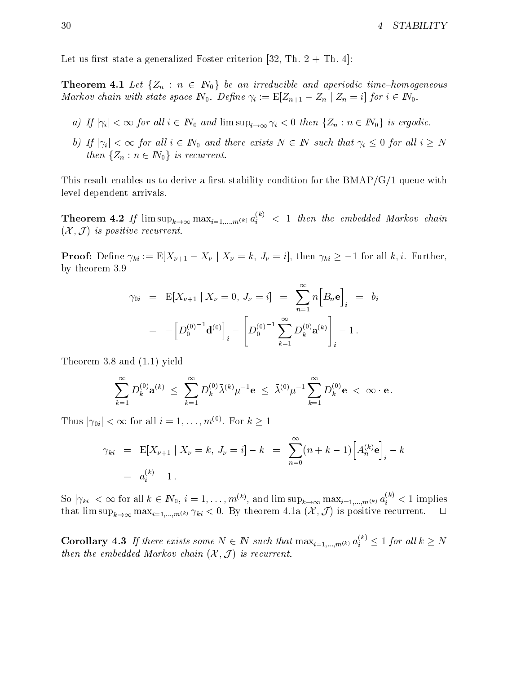Let us first state a generalized Foster criterion [32, Th.  $2 + Th. 4$ ]:

**Theorem 4.1** Let  $\{Z_n : n \in \mathbb{N}_0\}$  be an irreducible and aperiodic time-homogeneous Markov chain with state space  $N_0$ . Define  $\gamma_i := \mathbb{E}[Z_{n+1} - Z_n | Z_n = i]$  for  $i \in N_0$ .

- a) If  $|\gamma_i| < \infty$  for all  $i \in \mathbb{N}_0$  and  $\limsup_{i \to \infty} \gamma_i < 0$  then  $\{Z_n : n \in \mathbb{N}_0\}$  is ergodic.
- b) If  $|\gamma_i| < \infty$  for all  $i \in \mathbb{N}_0$  and there exists  $N \in \mathbb{N}$  such that  $\gamma_i \leq 0$  for all  $i \geq N$ then  $\{Z_n : n \in \mathbb{N}_0\}$  is recurrent.

This result enables us to derive a first stability condition for the  $BMAP/G/1$  queue with level dependent arrivals.

**Theorem 4.2** If  $\limsup_{k\to\infty} \max_{i=1,\dots,m^{(k)}} a_i^{i\gamma} < 1$  then the embedded Markov chain  $(X, \mathcal{J})$  is positive recurrent.

**Proof:** Define  $\gamma_{ki} := \mathbb{E}[X_{\nu+1} - X_{\nu} \mid X_{\nu} = k, J_{\nu} = i]$ , then  $\gamma_{ki} \ge -1$  for all k, i. Further, by theorem 3.9

$$
\gamma_{0i} = \mathbb{E}[X_{\nu+1} | X_{\nu} = 0, J_{\nu} = i] = \sum_{n=1}^{\infty} n [B_n \mathbf{e}]_i = b_i
$$
  
=  $-\left[D_0^{(0)}^{-1} \mathbf{d}^{(0)}\right]_i - \left[D_0^{(0)}^{-1} \sum_{k=1}^{\infty} D_k^{(0)} \mathbf{a}^{(k)}\right]_i - 1.$ 

Theorem 3.8 and (1.1) yield

$$
\sum_{k=1}^\infty D_k^{(0)} \mathbf a^{(k)} \ \leq \ \sum_{k=1}^\infty D_k^{(0)} \bar \lambda^{(k)} \mu^{-1} \mathbf e \ \leq \ \bar \lambda^{(0)} \mu^{-1} \sum_{k=1}^\infty D_k^{(0)} \mathbf e \ < \ \infty \cdot \mathbf e \, .
$$

I fits  $|\gamma_{0i}| < \infty$  for all  $i = 1, \ldots, m$ . For  $k \ge 1$ 

$$
\gamma_{ki} = \mathbb{E}[X_{\nu+1} | X_{\nu} = k, J_{\nu} = i] - k = \sum_{n=0}^{\infty} (n+k-1) \Big[ A_n^{(k)} \mathbf{e} \Big]_i - k
$$
  
=  $a_i^{(k)} - 1$ .

So  $|\gamma_{ki}| < \infty$  for all  $k \in \mathbb{N}_0$ ,  $i = 1, \ldots, m^{(k)}$ , and  $\limsup_{k \to \infty} \max_{i=1,\ldots,m^{(k)}} a_i^{(k)} < 1$  implies that  $\limsup_{k\to\infty} \max_{i=1,\dots,m^{(k)}} \gamma_{ki} < 0$ . By theorem 4.1a  $(\mathcal{X}, \mathcal{J})$  is positive recurrent.  $\Box$ 

**Corollary 4.3** If there exists some  $N \in \mathbb{N}$  such that  $\max_{i=1,...,m^{(k)}} a_i^{(k)} \leq 1$  for all  $k \geq N$ then the embedded Markov chain  $(X, \mathcal{J})$  is recurrent.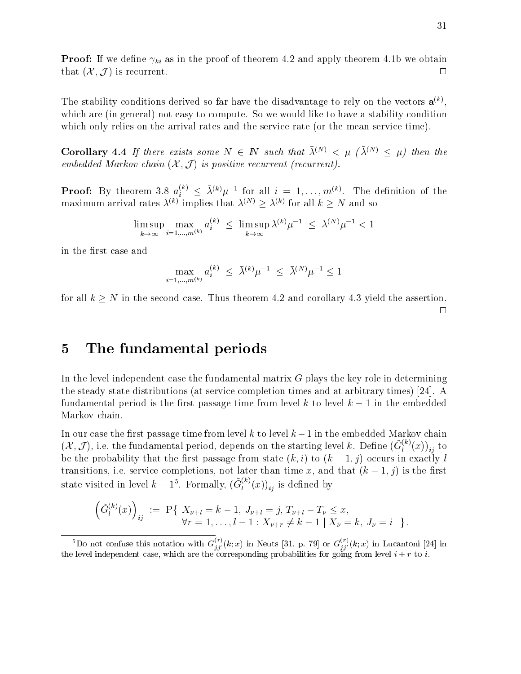**Proof:** If we define  $\gamma_{ki}$  as in the proof of theorem 4.2 and apply theorem 4.1b we obtain that  $(\mathcal{X}, \mathcal{J})$  is recurrent.

The stability conditions derived so far have the disadvantage to rely on the vectors  $\mathbf{a}^{\scriptscriptstyle{(n)}}$ , which are (in general) not easy to compute. So we would like to have a stability condition which only relies on the arrival rates and the service rate (or the mean service time).

**Corollary 4.4** If there exists some  $N \in \mathbb{N}$  such that  $\bar{\lambda}^{(N)} < \mu$  ( $\bar{\lambda}^{(N)} < \mu$ ) then the embedded Markov chain  $(X, \mathcal{J})$  is positive recurrent (recurrent).

**Proof:** By theorem 3.8  $a_i^{(k)} \leq \lambda^{(k)} \mu^{-1}$  for all  $i = 1, \ldots, m^{(k)}$ . The definition of the maximum arrival rates  $\lambda^{(n)}$  implies that  $\lambda^{(n)} \geq \lambda^{(n)}$  for all  $k \geq N$  and so

$$
\limsup_{k \to \infty} \max_{i=1,...,m^{(k)}} a_i^{(k)} \le \limsup_{k \to \infty} \bar{\lambda}^{(k)} \mu^{-1} \le \bar{\lambda}^{(N)} \mu^{-1} < 1
$$

in the first case and

$$
\max_{i=1,\dots,m^{(k)}} a_i^{(k)} \leq \bar{\lambda}^{(k)} \mu^{-1} \leq \bar{\lambda}^{(N)} \mu^{-1} \leq 1
$$

for all  $k \geq N$  in the second case. Thus theorem 4.2 and corollary 4.3 yield the assertion.

 $\Box$ 

# 5 The fundamental periods

In the level independent case the fundamental matrix  $G$  plays the key role in determining the steady state distributions (at service completion times and at arbitrary times) [24]. A fundamental period is the first passage time from level k to level  $k-1$  in the embedded Markov chain.

In our case the first passage time from level  $k$  to level  $k-1$  in the embedded Markov chain  $(\mathcal{X}, \mathcal{J})$ , i.e. the fundamental period, depends on the starting level k. Define  $(G_l^{\leftrightarrow}(x))_{ii}$  to  $\alpha$  the probability that the state passage from state (k) to (k  $\alpha$  ) to (k  $\alpha$  ) occurs in  $\alpha$ transitions, i.e. service completions, not later than time x, and that  $(k-1, j)$  is the first state visited in level  $k-1$ °. Formally,  $(G_l^{(s)}(x))_{ii}$  is defined by

$$
\left(\tilde{G}_l^{(k)}(x)\right)_{ij} := \mathbf{P}\{\begin{array}{l}\nX_{\nu+l} = k - 1, J_{\nu+l} = j, T_{\nu+l} - T_{\nu} \leq x, \\
\forall r = 1, \dots, l - 1: X_{\nu+r} \neq k - 1 \mid X_{\nu} = k, J_{\nu} = i\n\end{array}\}.
$$

Do not confuse this notation with  $G_{ij}^{\vee}(k; x)$  in Neuts [31, p. 79] or  $G_{ij}^{\vee}(k; x)$  in Lucantoni [24] in the level independent case, which are the corresponding probabilities for going from level i + r to i.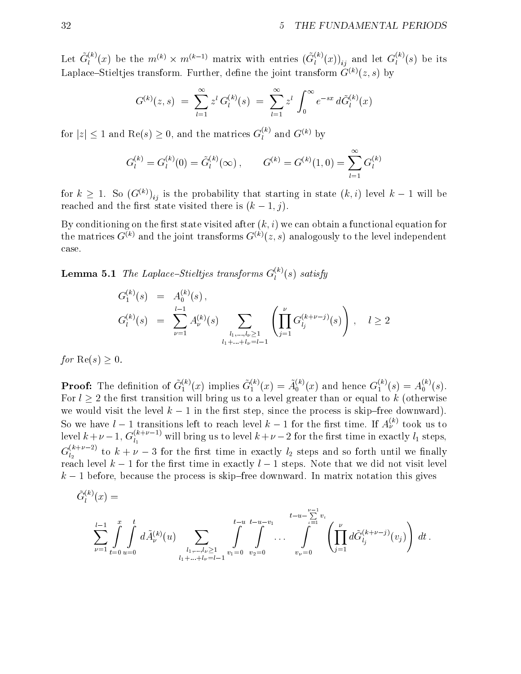Let  $G_l^{(0)}(x)$  be the  $m^{(k)} \times m^{(k-1)}$  matrix with entries  $(G_l^{(0)}(x))_{ii}$  and let  $G_l^{(0)}(s)$  be its Laplace–Stieltjes transform. Further, define the joint transform  $\tilde{G}^{(k)}(z, s)$  by

$$
G^{(k)}(z,s) = \sum_{l=1}^{\infty} z^l G_l^{(k)}(s) = \sum_{l=1}^{\infty} z^l \int_0^{\infty} e^{-sx} d\tilde{G}_l^{(k)}(x)
$$

for  $|z| \leq 1$  and Re(s)  $\geq 0$ , and the matrices  $G_l^{(k)}$  and  $G^{(k)}$  by

$$
G_l^{(k)} = G_l^{(k)}(0) = \tilde{G}_l^{(k)}(\infty), \qquad G^{(k)} = G^{(k)}(1,0) = \sum_{l=1}^{\infty} G_l^{(k)}
$$

for  $\kappa \geq 1$ . So  $(G^{(k)})_{ij}$  is the probability that starting in state  $(\kappa, \iota)$  level  $\kappa = 1$  will be reached and the first state visited there is  $(k-1, j)$ .

By conditioning on the first state visited after  $(k, i)$  we can obtain a functional equation for the matrices  $G^{(k)}$  and the joint transforms  $G^{(k)}(z, s)$  analogously to the level independent case.

**Lemma 5.1** The Laplace–Stieltjes transforms  $G_l^{\gamma}(s)$  satisfy

$$
G_l^{(k)}(s) = A_0^{(k)}(s),
$$
  
\n
$$
G_l^{(k)}(s) = \sum_{\nu=1}^{l-1} A_{\nu}^{(k)}(s) \sum_{\substack{l_1, \dots, l_{\nu} \ge 1 \\ l_1 + \dots + l_{\nu} = l-1}} \left( \prod_{j=1}^{\nu} G_{l_j}^{(k+\nu-j)}(s) \right), \quad l \ge 2
$$

for  $\text{Re}(s) > 0$ .

**Proof:** The definition of  $G_1^{(n)}(x)$  implies  $G_1^{(n)}(x) = A_0^{(n)}(x)$  and hence  $G_1^{(n)}(s) = A_0^{(n)}(s)$ . For  $l \geq 2$  the first transition will bring us to a level greater than or equal to k (otherwise we would visit the level  $k-1$  in the first step, since the process is skip-free downward). So we have  $l-1$  transitions left to reach level  $k-1$  for the first time. If  $A_{\nu}^{\gamma\gamma}$  took us to level  $k+\nu-1,$   $G_{l_1}^{\cdots}$  will bring us to level  $k+\nu-2$  for the first time in exactly  $l_1$  steps,  $G_{l_2}^{(m+2)}$  to  $k+\nu-3$  for the first time in exactly  $l_2$  steps and so forth until we finally reach level  $k-1$  for the first time in exactly  $l-1$  steps. Note that we did not visit level  $k-1$  before, because the process is skip-free downward. In matrix notation this gives

$$
\tilde{G}_l^{(k)}(x) = \sum_{\nu=1}^{l-1} \int_{t=0}^x \int_{u=0}^t d\tilde{A}_{\nu}^{(k)}(u) \sum_{\substack{l_1,\ldots,l_{\nu} \geq 1 \\ l_1+\ldots+l_{\nu}=l-1}} \int_{v_1=0}^{t-u} \int_{v_2=0}^{t-u-v_1} \cdots \int_{v_{\nu}=0}^{t-u-\sum\limits_{\iota=1}^{ \nu-1} v_{\iota}} \left( \prod_{j=1}^{\nu} d\tilde{G}_{l_j}^{(k+\nu-j)}(v_j) \right) dt.
$$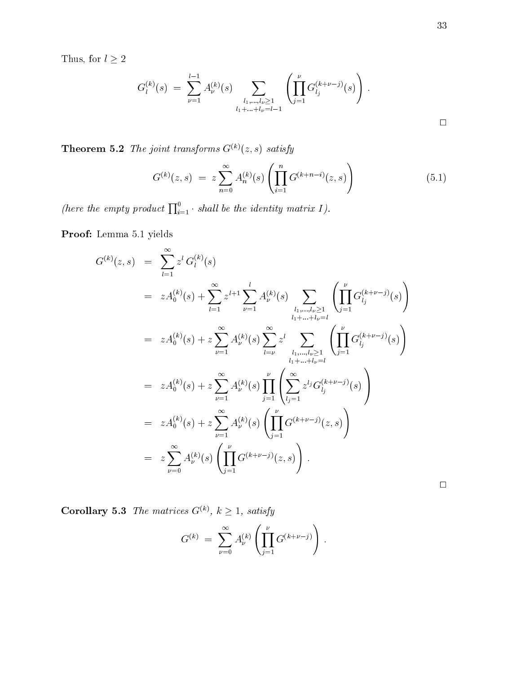$\Box$ 

Thus, for  $l\geq 2$ 

$$
G_l^{(k)}(s) = \sum_{\nu=1}^{l-1} A_{\nu}^{(k)}(s) \sum_{\substack{l_1, \dots, l_{\nu} \geq 1 \\ l_1 + \dots + l_{\nu} = l-1}} \left( \prod_{j=1}^{\nu} G_{l_j}^{(k+\nu-j)}(s) \right).
$$

**Theorem 5.2** The joint transforms  $G^{(k)}(z, s)$  satisfy

$$
G^{(k)}(z,s) = z \sum_{n=0}^{\infty} A_n^{(k)}(s) \left( \prod_{i=1}^n G^{(k+n-i)}(z,s) \right)
$$
(5.1)

(here the empty product  $\prod_{i=1}^{0}$  shall be the identity matrix I).

Proof: Lemma 5.1 yields

$$
G^{(k)}(z,s) = \sum_{l=1}^{\infty} z^{l} G_{l}^{(k)}(s)
$$
  
\n
$$
= z A_{0}^{(k)}(s) + \sum_{l=1}^{\infty} z^{l+1} \sum_{\nu=1}^{l} A_{\nu}^{(k)}(s) \sum_{\substack{l_{1},...,l_{\nu}\geq 1 \\ l_{1}+...+l_{\nu}=l}} \left( \prod_{j=1}^{\nu} G_{l_{j}}^{(k+\nu-j)}(s) \right)
$$
  
\n
$$
= z A_{0}^{(k)}(s) + z \sum_{\nu=1}^{\infty} A_{\nu}^{(k)}(s) \sum_{l=\nu}^{\infty} z^{l} \sum_{\substack{l_{1},...,l_{\nu}\geq 1 \\ l_{1}+...+l_{\nu}=l}} \left( \prod_{j=1}^{\nu} G_{l_{j}}^{(k+\nu-j)}(s) \right)
$$
  
\n
$$
= z A_{0}^{(k)}(s) + z \sum_{\nu=1}^{\infty} A_{\nu}^{(k)}(s) \prod_{j=1}^{\nu} \left( \sum_{l_{j}=1}^{\infty} z^{l_{j}} G_{l_{j}}^{(k+\nu-j)}(s) \right)
$$
  
\n
$$
= z A_{0}^{(k)}(s) + z \sum_{\nu=1}^{\infty} A_{\nu}^{(k)}(s) \left( \prod_{j=1}^{\nu} G^{(k+\nu-j)}(z,s) \right)
$$
  
\n
$$
= z \sum_{\nu=0}^{\infty} A_{\nu}^{(k)}(s) \left( \prod_{j=1}^{\nu} G^{(k+\nu-j)}(z,s) \right).
$$

**Corollary 5.3** The matrices  $G^{(k)}$ ,  $k \geq 1$ , satisfy

$$
G^{(k)} = \sum_{\nu=0}^{\infty} A_{\nu}^{(k)} \left( \prod_{j=1}^{\nu} G^{(k+\nu-j)} \right).
$$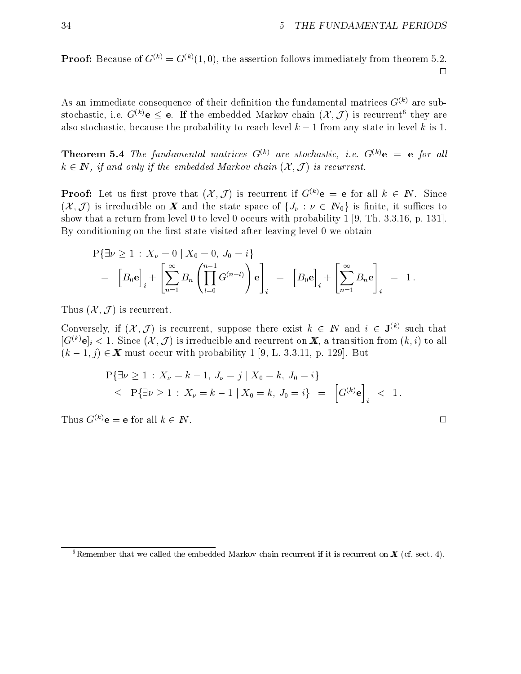**Proof:** Because of  $G^{(k)} = G^{(k)}(1,0)$ , the assertion follows immediately from theorem 5.2.  $\Box$ 

As an immediate consequence of their definition the fundamental matrices  $G^{(k)}$  are substochastic, i.e.  $G^{\vee\vee}$ e  $\leq$  e. If the embedded Markov chain ( $\lambda$ , J) is recurrent they are also stochastic, because the probability to reach level  $k-1$  from any state in level k is 1.

**Theorem 5.4** The fundamental matrices  $G^{(k)}$  are stochastic, i.e.  $G^{(k)}$ **e** = **e** for all  $k \in \mathbb{N}$ , if and only if the embedded Markov chain  $(\mathcal{X}, \mathcal{J})$  is recurrent.

**Proof:** Let us first prove that  $(X, \mathcal{J})$  is recurrent if  $G^{(k)}e = e$  for all  $k \in \mathbb{N}$ . Since  $(\mathcal{X}, \mathcal{J})$  is irreducible on **X** and the state space of  $\{J_\nu : \nu \in \mathbb{N}_0\}$  is finite, it suffices to show that a return from level 0 to level 0 occurs with probability 1 [9, Th. 3.3.16, p. 131]. By conditioning on the first state visited after leaving level 0 we obtain

$$
P{\exists \nu \ge 1 : X_{\nu} = 0 | X_0 = 0, J_0 = i}
$$
  
=  $[B_0 \mathbf{e}]_i + \left[\sum_{n=1}^{\infty} B_n \left(\prod_{l=0}^{n-1} G^{(n-l)}\right) \mathbf{e}\right]_i = [B_0 \mathbf{e}]_i + \left[\sum_{n=1}^{\infty} B_n \mathbf{e}\right]_i = 1.$ 

Thus  $(\mathcal{X}, \mathcal{J})$  is recurrent.

Conversely, if  $(\mathcal{X}, \mathcal{J})$  is recurrent, suppose there exist  $k \in \mathbb{N}$  and  $i \in \mathbf{J}^{(k)}$  such that  $[G^{(k)}e]_i \leq 1$ . Since  $(\mathcal{A}, \mathcal{J})$  is irreducible and recurrent on  $\mathbf{A}$ , a transition from  $(k, i)$  to all  $(k-1, j) \in \mathbb{X}$  must occur with probability 1 [9, L. 3.3.11, p. 129]. But

$$
\begin{aligned} \mathcal{P}\{\exists \nu \ge 1 \,:\, X_{\nu} = k - 1, \, J_{\nu} = j \mid X_0 = k, \, J_0 = i \} \\ &\le \mathcal{P}\{\exists \nu \ge 1 \,:\, X_{\nu} = k - 1 \mid X_0 = k, \, J_0 = i \} \quad = \quad \left[ G^{(k)} \mathbf{e} \right]_i \quad < \quad 1 \, . \end{aligned}
$$

Thus  $G^{(k)}$ **e** = **e** for all  $k \in \mathbb{N}$ .

<sup>&</sup>lt;sup>6</sup>Remember that we called the embedded Markov chain recurrent if it is recurrent on  $\mathbf{X}$  (cf. sect. 4).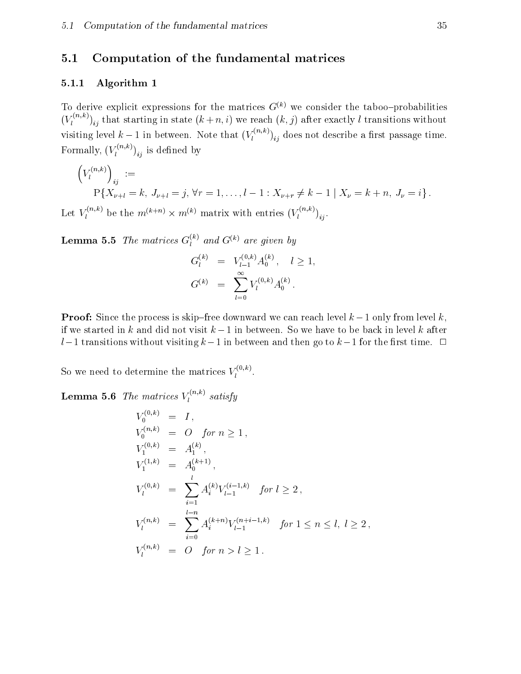# 5.1 Computation of the fundamental matrices

### 5.1.1 Algorithm 1

To derive explicit expressions for the matrices  $G^{(k)}$  we consider the taboo-probabilities  $(V_l^{(m,n)})_{ii}$  that starting in state  $(k + n, i)$  we reach  $(k, j)$  after exactly l transitions without visiting level  $k-1$  in between. Note that  $(V_l^{\otimes n})_{ij}$  does not describe a first passage time. Formally,  $(V_l^{(1)},l_i)$  is defined by

$$
\left(V_l^{(n,k)}\right)_{ij} :=
$$
  
P{X<sub>ν+l</sub> = k, J<sub>ν+l</sub> = j, ∀r = 1, ..., l - 1 : X<sub>ν+r</sub> ≠ k - 1 | X<sub>ν</sub> = k + n, J<sub>ν</sub> = i}.

Let  $V_l^{(m,n)}$  be the  $m^{(n+n)} \times m^{(n)}$  matrix with entries  $(V_l^{(m,n)})_{ij}$ .

**Lemma 5.5** The matrices  $G_l^{(m)}$  and  $G^{(m)}$  are given by

$$
G_l^{(k)} = V_{l-1}^{(0,k)} A_0^{(k)}, \quad l \ge 1,
$$
  

$$
G^{(k)} = \sum_{l=0}^{\infty} V_l^{(0,k)} A_0^{(k)}.
$$

**Proof:** Since the process is skip-free downward we can reach level  $k-1$  only from level k. if we started in k and did not visit  $k-1$  in between. So we have to be back in level k after  $l-1$  transitions without visiting  $k-1$  in between and then go to  $k-1$  for the first time.  $\Box$ 

So we need to determine the matrices  $V_l^{\langle\cdot,\cdot,\cdot\rangle}$ .

**Lemma 5.6** The matrices  $V_l^{(m,n)}$  satisfy

$$
V_0^{(0,k)} = I,
$$
  
\n
$$
V_0^{(0,k)} = O \text{ for } n \ge 1,
$$
  
\n
$$
V_1^{(0,k)} = A_1^{(k)},
$$
  
\n
$$
V_1^{(1,k)} = A_0^{(k+1)},
$$
  
\n
$$
V_1^{(0,k)} = \sum_{i=1}^l A_i^{(k)} V_{l-1}^{(i-1,k)} \text{ for } l \ge 2,
$$
  
\n
$$
V_l^{(n,k)} = \sum_{i=0}^{l-n} A_i^{(k+n)} V_{l-1}^{(n+i-1,k)} \text{ for } 1 \le n \le l, l \ge 2,
$$
  
\n
$$
V_l^{(n,k)} = O \text{ for } n > l \ge 1.
$$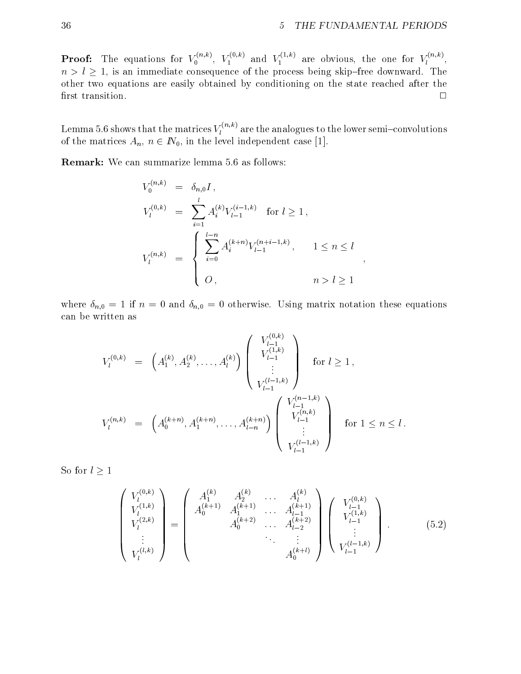;

**Proof:** The equations for  $V_0^{(m)}$ ,  $V_1^{(m)}$  and  $V_1^{(m)}$  are obvious, the one for  $V_l^{(m)}$ , n and in the consequence of the process being free downward. The process being the process being the state of the process of the process being the process of the process of the process of the process of the process of the other two equations are easily obtained by conditioning on the state reached after the  $\Box$ 

Lemma 5.6 shows that the matrices  $V_l^{\langle\cdots,\cdots\rangle}$  are the analogues to the lower semi–convolutions of the matrices  $A_n$ ,  $n \in \mathbb{N}_0$ , in the level independent case [1].

Remark: We can summarize lemma 5.6 as follows:

$$
V_0^{(n,k)} = \delta_{n,0} I,
$$
  
\n
$$
V_l^{(0,k)} = \sum_{i=1}^l A_i^{(k)} V_{l-1}^{(i-1,k)} \text{ for } l \ge 1,
$$
  
\n
$$
V_l^{(n,k)} = \begin{cases} \sum_{i=0}^{l-n} A_i^{(k+n)} V_{l-1}^{(n+i-1,k)}, & 1 \le n \le l \\ 0, & n > l \ge 1 \end{cases},
$$

where  $\delta_{n,0} = 1$  if  $n = 0$  and  $\delta_{n,0} = 0$  otherwise. Using matrix notation these equations can be written as

$$
V_l^{(0,k)} = \left(A_1^{(k)}, A_2^{(k)}, \dots, A_l^{(k)}\right) \begin{pmatrix} V_{l-1}^{(0,k)} \\ V_{l-1}^{(1,k)} \\ \vdots \\ V_{l-1}^{(l-1,k)} \end{pmatrix} \text{ for } l \ge 1,
$$
  

$$
V_l^{(n,k)} = \left(A_0^{(k+n)}, A_1^{(k+n)}, \dots, A_{l-n}^{(k+n)}\right) \begin{pmatrix} V_{l-1}^{(n-k)} \\ V_{l-1}^{(n,k)} \\ \vdots \\ V_{l-1}^{(l-1,k)} \end{pmatrix} \text{ for } 1 \le n \le l.
$$

So for  $l \geq 1$ 

$$
\begin{pmatrix}\nV_l^{(0,k)} \\
V_l^{(1,k)} \\
V_l^{(2,k)} \\
\vdots \\
V_l^{(l,k)}\n\end{pmatrix} = \begin{pmatrix}\nA_1^{(k)} & A_2^{(k)} & \cdots & A_l^{(k)} \\
A_0^{(k+1)} & A_1^{(k+1)} & \cdots & A_{l-1}^{(k+1)} \\
\vdots & \vdots & \ddots & \vdots \\
A_0^{(k+2)} & \cdots & A_0^{(k+2)}\n\end{pmatrix} \begin{pmatrix}\nV_{l-1}^{(0,k)} \\
V_{l-1}^{(1,k)} \\
\vdots \\
V_{l-1}^{(l-1,k)}\n\end{pmatrix} .
$$
\n(5.2)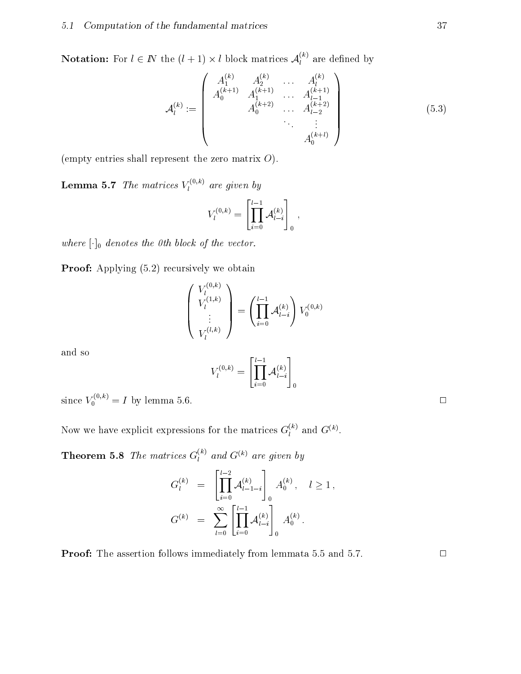**Notation:** For  $l \in I\!N$  the  $(l + 1) \times l$  block matrices  $\mathcal{A}_l^{(l)}$  are defined by

$$
\mathcal{A}_{l}^{(k)} := \begin{pmatrix} A_{1}^{(k)} & A_{2}^{(k)} & \dots & A_{l}^{(k)} \\ A_{0}^{(k+1)} & A_{1}^{(k+1)} & \dots & A_{l-1}^{(k+1)} \\ & & A_{0}^{(k+2)} & \dots & A_{l-2}^{(k+2)} \\ & & & & \vdots & \\ & & & & A_{0}^{(k+l)} \end{pmatrix}
$$
(5.3)

(empty entries shall represent the zero matrix  $O$ ).

**Lemma 5.7** The matrices  $V_l^{\langle \cdot \rangle \langle \cdot \rangle}$  are given by

$$
V_l^{(0,k)} = \left[\prod_{i=0}^{l-1} A_{l-i}^{(k)}\right]_0,
$$

where  $[\cdot]_0$  denotes the 0th block of the vector.

Proof: Applying  $(5.2)$  recursively we obtain

$$
\left(\begin{array}{c} V_l^{(0,k)} \\ V_l^{(1,k)} \\ \vdots \\ V_l^{(l,k)} \end{array}\right) = \left(\prod_{i=0}^{l-1} \mathcal{A}_{l-i}^{(k)}\right) V_0^{(0,k)}
$$

and so

$$
V_l^{(0,k)}=\left[\prod_{i=0}^{l-1}{\mathcal A}_{l-i}^{(k)}\right]_0
$$

since  $V_0^{\gamma}$   $\gamma = I$  by lemma 5.6.  $\Box$ 

Now we have explicit expressions for the matrices  $G_l^{(k)}$  and  $G_{l}^{(k)}$ .

**Theorem 5.8** The matrices  $G_l^{(m)}$  and  $G^{(m)}$  are given by

$$
G_l^{(k)} = \left[ \prod_{i=0}^{l-2} \mathcal{A}_{l-1-i}^{(k)} \right]_0 A_0^{(k)}, \quad l \ge 1,
$$
  

$$
G^{(k)} = \sum_{l=0}^{\infty} \left[ \prod_{i=0}^{l-1} \mathcal{A}_{l-i}^{(k)} \right]_0 A_0^{(k)}.
$$

**Proof:** The assertion follows immediately from lemmata 5.5 and 5.7.  $\Box$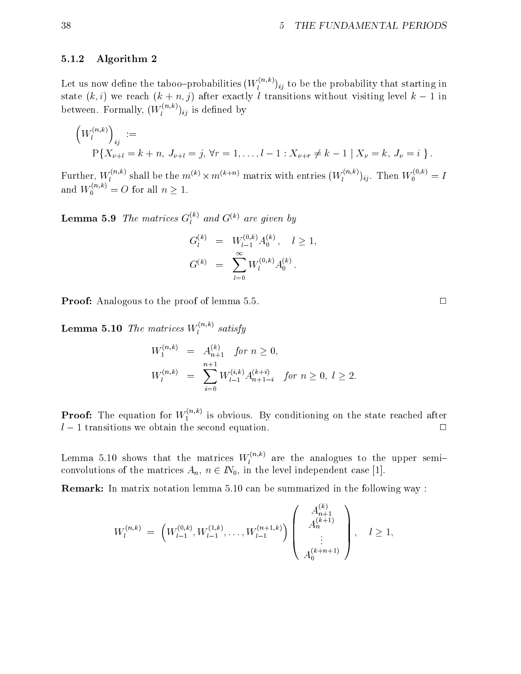### 5.1.2 Algorithm 2

Let us now define the taboo–probabilities  $(W_l^{\langle \cdots, \rangle})_{ij}$  to be the probability that starting in state  $(k, i)$  we reach  $(k + n, j)$  after exactly l transitions without visiting level  $k - 1$  in between. Formally,  $(W_l^{\text{max}})_{ij}$  is defined by

$$
\left(W_l^{(n,k)}\right)_{ij} :=
$$
  
P{X<sub>u+l</sub> = k + n, J<sub>u+l</sub> = j,  $\forall r = 1, ..., l - 1 : X_{u+r} \neq k - 1 | X_u = k, J_u = i}.$ 

Further,  $W_l^{(k,m)}$  shall be the  $m^{(k)} \times m^{(k+n)}$  matrix with entries  $(W_l^{(k,m)})_{ij}$ . Then  $W_0^{(k,m)} = I$ and  $W_0^{(m,n)} = O$  for all  $n \geq 1$ .

**Lemma 5.9** The matrices  $G_l^{\scriptscriptstyle{(n)}}$  and  $G^{\scriptscriptstyle{(n)}}$  are given by

$$
G_l^{(k)} = W_{l-1}^{(0,k)} A_0^{(k)}, \quad l \ge 1,
$$
  

$$
G^{(k)} = \sum_{l=0}^{\infty} W_l^{(0,k)} A_0^{(k)}.
$$

**Proof:** Analogous to the proof of lemma 5.5.  $\Box$ 

**Lemma 5.10** The matrices  $W_l^{(m,n)}$  satisfy

$$
W_1^{(n,k)} = A_{n+1}^{(k)} \quad \text{for } n \ge 0,
$$
  
\n
$$
W_l^{(n,k)} = \sum_{i=0}^{n+1} W_{l-1}^{(i,k)} A_{n+1-i}^{(k+i)} \quad \text{for } n \ge 0, l \ge 2.
$$

**Proof:** The equation for  $W_1^{\ldots,\ldots}$  is obvious. By conditioning on the state reached after  $l - 1$  transitions we obtain the second equation.  $\Box$ 

Lemma 5.10 shows that the matrices  $W_l^{\otimes (n)}$  are the analogues to the upper semiconvolutions of the matrices  $A_n$ ,  $n \in \mathbb{N}_0$ , in the level independent case [1].

Remark: In matrix notation lemma 5.10 can be summarized in the following way :

$$
W_l^{(n,k)} = \left(W_{l-1}^{(0,k)}, W_{l-1}^{(1,k)}, \dots, W_{l-1}^{(n+1,k)}\right) \left(\begin{array}{c} A_{n+1}^{(k)} \\ A_n^{(k+1)} \\ \vdots \\ A_0^{(k+n+1)} \end{array}\right), \quad l \ge 1,
$$

 $\overline{L}$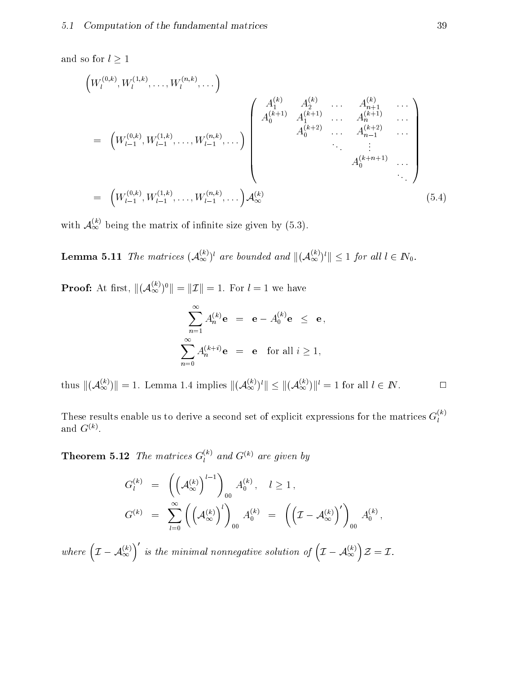and so for  $l\geq 1$ 

$$
\left(W_l^{(0,k)}, W_l^{(1,k)}, \dots, W_l^{(n,k)}, \dots\right)
$$
\n
$$
= \left(W_{l-1}^{(0,k)}, W_{l-1}^{(1,k)}, \dots, W_{l-1}^{(n,k)}, \dots\right) \begin{pmatrix} A_1^{(k)} & A_2^{(k)} & \dots & A_{n+1}^{(k)} & \dots \\ A_0^{(k+1)} & A_1^{(k+1)} & \dots & A_n^{(k+1)} & \dots \\ A_0^{(k+2)} & \dots & A_{n-1}^{(k+2)} & \dots \\ & \vdots & \vdots & \vdots & \vdots \\ A_0^{(k+n+1)} & \dots & A_0^{(k+n+1)} & \dots \\ & \vdots & \vdots & \vdots & \vdots \\ A_{l-1}^{(0,k)}, W_{l-1}^{(1,k)}, \dots, W_{l-1}^{(n,k)}, \dots \right) A_{\infty}^{(k)} \end{pmatrix} \tag{5.4}
$$

with  $\mathcal{A}_{\infty}^{\infty}$  being the matrix of infinite size given by (5.3).

**Lemma 5.11** The matrices  $(\mathcal{A}_{\infty}^{\infty})^{\mathsf{v}}$  are bounded and  $||(\mathcal{A}_{\infty}^{\infty})^{\mathsf{v}}|| \leq 1$  for all  $l \in I\mathsf{V}_0$ .

**Proof:** At first,  $\|(\mathcal{A}_{\infty}^{\infty})^{\circ}\| = \|\mathcal{I}\| = 1$ . For  $l = 1$  we have

$$
\sum_{n=1}^{\infty} A_n^{(k)} \mathbf{e} = \mathbf{e} - A_0^{(k)} \mathbf{e} \le \mathbf{e},
$$
  

$$
\sum_{n=0}^{\infty} A_n^{(k+i)} \mathbf{e} = \mathbf{e} \text{ for all } i \ge 1,
$$

thus  $\|(\mathcal{A}_{\infty})\| = 1$ . Lemma 1.4 implies  $\|(\mathcal{A}_{\infty})^*\| \leq \|(\mathcal{A}_{\infty})\|^2 = 1$  for all  $l \in I\!N$ .

These results enable us to derive a second set of explicit expressions for the matrices  $G_l^{\alpha\beta}$ and  $\mathbf{G}^{\vee\vee}$ .

**Theorem 5.12** The matrices  $G_l^{\wedge n}$  and  $G^{(n)}$  are given by

$$
G_l^{(k)} = \left( \left( \mathcal{A}_{\infty}^{(k)} \right)^{l-1} \right)_{00} A_0^{(k)}, \quad l \ge 1,
$$
  

$$
G^{(k)} = \sum_{l=0}^{\infty} \left( \left( \mathcal{A}_{\infty}^{(k)} \right)^l \right)_{00} A_0^{(k)} = \left( \left( \mathcal{I} - \mathcal{A}_{\infty}^{(k)} \right)^l \right)_{00} A_0^{(k)},
$$

where  $(\mathcal{I}-\mathcal{A}_{\infty}^{(k)})'$  is the mi for is the minimal nonnegative solution of  $(\mathcal{I}-\mathcal{A}_{\infty}^{(k)})\mathcal{Z}=\mathcal{I}.$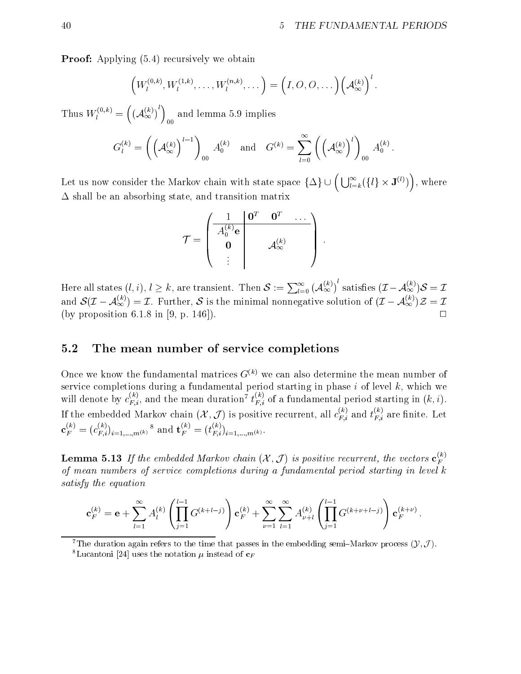**Proof:** Applying  $(5.4)$  recursively we obtain

$$
\left(W_l^{(0,k)},W_l^{(1,k)},\ldots,W_l^{(n,k)},\ldots\right)=\left(I,O,O,\ldots\right)\left(\mathcal{A}_{\infty}^{(k)}\right)^l.
$$

Thus  $W_l^{(\gamma,\gamma)} = (A_{\infty}^{(\gamma)})$  and  $((A_{\infty}^{(k)})^{l})$  and le  $\mathbf{I}$ and lemma 5.9 implies the control of the control of the control of the control of the control of the control o

$$
G_l^{(k)} = \left( \left(\mathcal{A}_\infty^{(k)}\right)^{l-1}\right)_{00} A_0^{(k)} \quad \text{and} \quad G^{(k)} = \sum_{l=0}^\infty \left( \left(\mathcal{A}_\infty^{(k)}\right)^l\right)_{00} A_0^{(k)}.
$$

Let us now consider the Markov chain with state space  $\{\Delta\}\cup\left(\bigcup_{l=k}^{\infty}(\{l\}\times {\bf J}^{(l)})\right)$ , where  $\Delta$  shall be an absorbing state, and transition matrix

$$
\mathcal{T} = \begin{pmatrix} \begin{array}{c|c} 1 & \mathbf{0}^T & \mathbf{0}^T & \dots \\ \hline A_0^{(k)} \mathbf{e} & & & \\ \mathbf{0} & & A_\infty^{(k)} \\ \vdots & & & \end{array} \end{pmatrix} \,.
$$

Here all states  $(l,i), l \geq k$ , are transient. Then  $\mathcal{S} := \sum_{l=0}^{\infty} \left(\mathcal{A}^{(\kappa)}_\infty\right)^c$  satisfies  $(\mathcal{I} - \mathcal{A}^{(\kappa)}_\infty)\mathcal{S} = \mathcal{I}$ and  $\mathcal{S}(L-\mathcal{A}_{\infty}^{\setminus}) = L$ . Further,  $\mathcal{S}$  is the minimal nonnegative solution of  $(L-\mathcal{A}_{\infty}^{\setminus})\mathcal{Z} = L$ (by proposition 6.1.8 in [9, p. 146]).

# 5.2 The mean number of service completions

Once we know the fundamental matrices  $G^{(k)}$  we can also determine the mean number of service completions during a fundamental period starting in phase  $i$  of level  $k$ , which we will denote by  $c_{F,i}^{\perp}$ , and the mean duration'  $t_{F,i}^{\perp}$  of a fundamental period starting in  $(k,i)$ . If the embedded Markov chain  $(\mathcal{X}, \mathcal{J})$  is positive recurrent, all  $c_{F,i}^{K}$  and  $t_{F,i}^{K}$  are finite. Let  ${\bf c}_{F}^{\sigma\sigma\sigma} = (c_{F,i}^{\sigma\sigma})_{i=1,...,m(k)}$  and  ${\bf t}_{F}^{\sigma\sigma\sigma\sigma} = (t_{F,i}^{\sigma\sigma\sigma})_{i=1,...,m(k)}$ .

**Lemma 5.13** If the embedded Markov chain  $(X, J)$  is positive recurrent, the vectors  $\mathbf{c}_{\mathbf{w}}^{\mathbf{w}}$ of mean numbers of service completions during a fundamental period starting in levelk satisfy the equation

$$
\mathbf{c}_{F}^{(k)} = \mathbf{e} + \sum_{l=1}^{\infty} A_{l}^{(k)} \left( \prod_{j=1}^{l-1} G^{(k+l-j)} \right) \mathbf{c}_{F}^{(k)} + \sum_{\nu=1}^{\infty} \sum_{l=1}^{\infty} A_{\nu+l}^{(k)} \left( \prod_{j=1}^{l-1} G^{(k+\nu+l-j)} \right) \mathbf{c}_{F}^{(k+\nu)}.
$$

<sup>7</sup>The duration again refers to the time that passes in the embedding semi-Markov process  $(Y, \mathcal{J})$ . <sup>8</sup>Lucantoni [24] uses the notation  $\mu$  instead of  $c_F$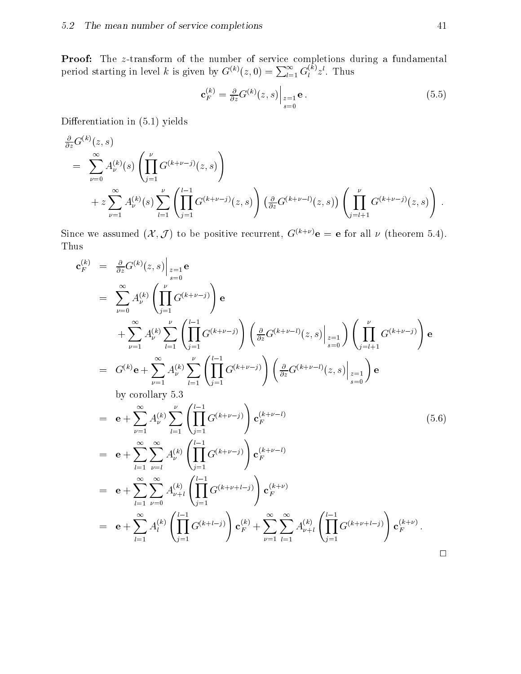period starting in level k is given by  $G^{(k)}(z,0) = \sum_{l=1}^{\infty} G_{l}^{(k)} z^{l}$ . Thus

$$
\mathbf{c}_F^{(k)} = \frac{\partial}{\partial z} G^{(k)}(z, s) \Big|_{\substack{z=1 \ s=0}} \mathbf{e} \,. \tag{5.5}
$$

Differentiation in  $(5.1)$  yields

$$
\frac{\partial}{\partial z} G^{(k)}(z,s) \n= \sum_{\nu=0}^{\infty} A_{\nu}^{(k)}(s) \left( \prod_{j=1}^{\nu} G^{(k+\nu-j)}(z,s) \right) \n+ z \sum_{\nu=1}^{\infty} A_{\nu}^{(k)}(s) \sum_{l=1}^{\nu} \left( \prod_{j=1}^{l-1} G^{(k+\nu-j)}(z,s) \right) \left( \frac{\partial}{\partial z} G^{(k+\nu-l)}(z,s) \right) \left( \prod_{j=l+1}^{\nu} G^{(k+\nu-j)}(z,s) \right).
$$

Since we assumed  $(\mathcal{X}, \mathcal{J})$  to be positive recurrent,  $G^{(k+\nu)}$ **e** = **e** for all  $\nu$  (theorem 5.4). Thus

$$
\mathbf{c}_{F}^{(k)} = \frac{\partial}{\partial z} G^{(k)}(z, s) \Big|_{z=1} \mathbf{e}
$$
\n
$$
= \sum_{\nu=0}^{\infty} A_{\nu}^{(k)} \left( \prod_{j=1}^{\nu} G^{(k+\nu-j)} \right) \mathbf{e}
$$
\n
$$
+ \sum_{\nu=1}^{\infty} A_{\nu}^{(k)} \sum_{l=1}^{\nu} \left( \prod_{j=1}^{l-1} G^{(k+\nu-j)} \right) \left( \frac{\partial}{\partial z} G^{(k+\nu-l)}(z, s) \Big|_{z=1} \right) \left( \prod_{j=l+1}^{\nu} G^{(k+\nu-j)} \right) \mathbf{e}
$$
\n
$$
= G^{(k)} \mathbf{e} + \sum_{\nu=1}^{\infty} A_{\nu}^{(k)} \sum_{l=1}^{\nu} \left( \prod_{j=1}^{l-1} G^{(k+\nu-j)} \right) \left( \frac{\partial}{\partial z} G^{(k+\nu-l)}(z, s) \Big|_{z=1} \right) \mathbf{e}
$$
\nby corollary 5.3\n
$$
= \mathbf{e} + \sum_{\nu=1}^{\infty} A_{\nu}^{(k)} \sum_{l=1}^{\nu} \left( \prod_{j=1}^{l-1} G^{(k+\nu-j)} \right) \mathbf{c}_{F}^{(k+\nu-l)} \qquad (5.6)
$$
\n
$$
= \mathbf{e} + \sum_{l=1}^{\infty} \sum_{\nu=0}^{\infty} A_{\nu}^{(k)} \left( \prod_{j=1}^{l-1} G^{(k+\nu-j)} \right) \mathbf{c}_{F}^{(k+\nu-l)} \qquad (5.6)
$$
\n
$$
= \mathbf{e} + \sum_{l=1}^{\infty} \sum_{\nu=0}^{\infty} A_{\nu+l}^{(k)} \left( \prod_{j=1}^{l-1} G^{(k+\nu+j)} \right) \mathbf{c}_{F}^{(k+\nu)}
$$
\n
$$
= \mathbf{e} + \sum_{l=1}^{\infty} A_{l}^{(k)} \left( \prod_{j=1}^{l-1} G^{(k+l-j)} \right) \mathbf{c}_{F}^{(k)} + \sum_{\nu=1}^{\infty} \sum_{
$$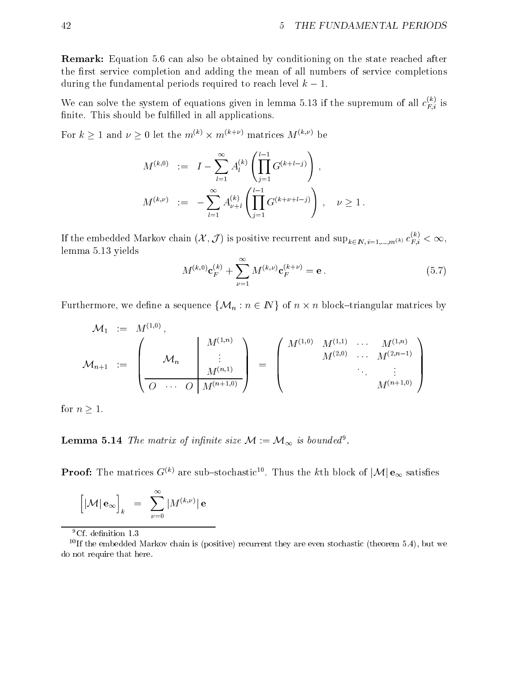Remark: Equation 5.6 can also be obtained by conditioning on the state reached after the first service completion and adding the mean of all numbers of service completions during the fundamental periods required to reach level  $k - 1$ .

We can solve the system of equations given in lemma 5.13 if the supremum of all  $c_{F,i}^{\infty}$  is finite. This should be fulfilled in all applications.

For  $\kappa > 1$  and  $\nu > 0$  let the  $m^{k+\ell} \times m^{k+\ell+\ell}$  matrices  $M^{k+\ell+\ell}$  be

$$
M^{(k,0)} := I - \sum_{l=1}^{\infty} A_l^{(k)} \left( \prod_{j=1}^{l-1} G^{(k+l-j)} \right),
$$
  

$$
M^{(k,\nu)} := - \sum_{l=1}^{\infty} A_{\nu+l}^{(k)} \left( \prod_{j=1}^{l-1} G^{(k+\nu+l-j)} \right), \quad \nu \ge 1.
$$

If the embedded Markov chain  $(X, \mathcal{J})$  is positive recurrent and  $\sup_{k \in I\!\!N, i=1,...,m^{(k)}} c_{F,i}^{\sim} < \infty,$ lemma 5.13 yields

$$
M^{(k,0)}\mathbf{c}_F^{(k)} + \sum_{\nu=1}^{\infty} M^{(k,\nu)}\mathbf{c}_F^{(k+\nu)} = \mathbf{e}.
$$
 (5.7)

, we define a sequence for a sequence for  $\mathcal{N}$  in  $\mathcal{N}$  in  $\mathcal{N}$  of n  $\mathcal{N}$ 

M1 := <sup>M</sup>(1;0) Mn+1 := 0 B B B @ M(1;n) Mn M(n;1) O O M(n+1;0) 1 C C C A = <sup>0</sup> B B B @ M(1;0) M(1;1) M(1;n) M(2;0) M(2;n1) M(n+1;0) 1 C C C A

for  $n \geq 1$ .

**Lemma 5.14** The matrix of infinite size  $\mathcal{M} := \mathcal{M}_{\infty}$  is bounded.

**Proof:** The matrices  $G^{\vee\vee}$  are sub-stochastic<sup>--</sup>. Thus the kth block of  $|\mathcal{M}| \, e_{\infty}$  satisfies

$$
\Big[|\mathcal{M}|\,\mathbf{e}_{\infty}\Big]_k \ \ = \ \ \sum_{\nu=0}^{\infty} |M^{(k,\nu)}|\,\mathbf{e}
$$

<sup>9</sup>Cf. definition 1.3

<sup>&</sup>lt;sup>10</sup>If the embedded Markov chain is (positive) recurrent they are even stochastic (theorem 5.4), but we do not require that here.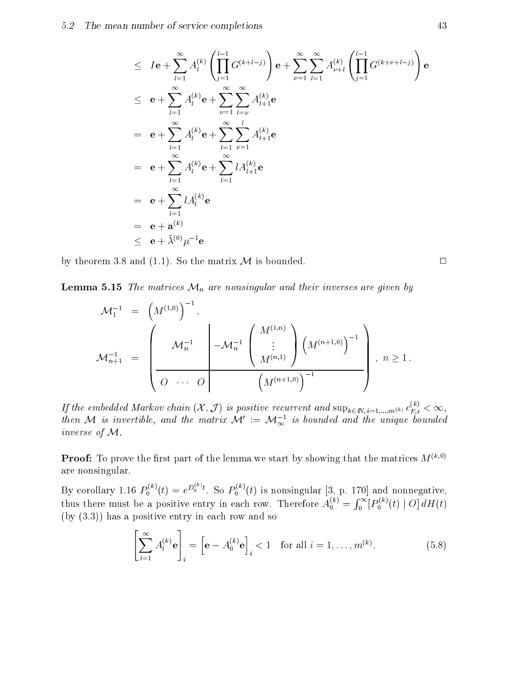$$
\leq I\mathbf{e} + \sum_{l=1}^{\infty} A_l^{(k)} \left( \prod_{j=1}^{l-1} G^{(k+l-j)} \right) \mathbf{e} + \sum_{\nu=1}^{\infty} \sum_{l=1}^{\infty} A_{\nu+l}^{(k)} \left( \prod_{j=1}^{l-1} G^{(k+\nu+l-j)} \right) \mathbf{e}
$$
\n
$$
\leq \mathbf{e} + \sum_{l=1}^{\infty} A_l^{(k)} \mathbf{e} + \sum_{\nu=1}^{\infty} \sum_{l=\nu}^{\infty} A_{l+1}^{(k)} \mathbf{e}
$$
\n
$$
= \mathbf{e} + \sum_{l=1}^{\infty} A_l^{(k)} \mathbf{e} + \sum_{l=1}^{\infty} \sum_{\nu=1}^{\infty} A_{l+1}^{(k)} \mathbf{e}
$$
\n
$$
= \mathbf{e} + \sum_{l=1}^{\infty} A_l^{(k)} \mathbf{e} + \sum_{l=1}^{\infty} l A_{l+1}^{(k)} \mathbf{e}
$$
\n
$$
= \mathbf{e} + \sum_{l=1}^{\infty} l A_l^{(k)} \mathbf{e}
$$
\n
$$
= \mathbf{e} + \mathbf{a}^{(k)}
$$
\n
$$
< \mathbf{e} + \lambda^{(0)} \mu^{-1} \mathbf{e}
$$

by theorem 3.8 and (1.1). So the matrix  $\mathcal M$  is bounded.  $\Box$ 

**Lemma 5.15** The matrices  $\mathcal{M}_n$  are nonsingular and their inverses are given by

$$
\begin{array}{rcl} \mathcal{M}^{-1}_1 & = & \left(M^{(1,0)}\right)^{-1}, \\ & & \\ \mathcal{M}^{-1}_{n+1} & = & \left(\begin{array}{c|c} & \mathcal{M}^{-1}_n & \mathcal{M}^{-1}_n \end{array}\right|\left(\begin{array}{c} M^{(1,n)} \\ \vdots \\ M^{(n,1)} \end{array}\right)\left(\begin{array}{c} M^{(n+1,0)} \end{array}\right)^{-1}\right),\; n\geq 1\, . \end{array}
$$

If the embedded Markov chain  $(X, J)$  is positive recurrent and  $\sup_{k \in \mathbb{N}, i=1,...,m(k)} c_{F,i}^{\vee} < \infty$ , then M is invertible, and the matrix M  $:=$  M $_{\infty}^{-}$  is bounded and the unique bounded inverse of M.

**Proof:** To prove the first part of the lemma we start by showing that the matrices  $M^{(k,0)}$ are nonsingular.

By corollary 1.16  $P_0^{(k)}(t) = e^{D_0^{(k)}(t)}$ . So  $P_0^{(k)}(t)$  is nonsingular [3, p. 170] and nonnegative, thus there must be a positive entry in each row. Therefore  $A_0^+ = \int_0^1 \left[ P_0^+{}'(t) \right]$  $f^{\infty}$  $\mathbf{E}^{(k)}$  $\wedge$   $\mathbf{E}$  $\int_0$   $[P_0^{\wedge} (t) | O] dH(t)$ (by (3.3)) has a positive entry in each row and so

$$
\left[\sum_{l=1}^{\infty} A_l^{(k)} \mathbf{e}\right]_i = \left[\mathbf{e} - A_0^{(k)} \mathbf{e}\right]_i < 1 \quad \text{for all } i = 1, \dots, m^{(k)}.\tag{5.8}
$$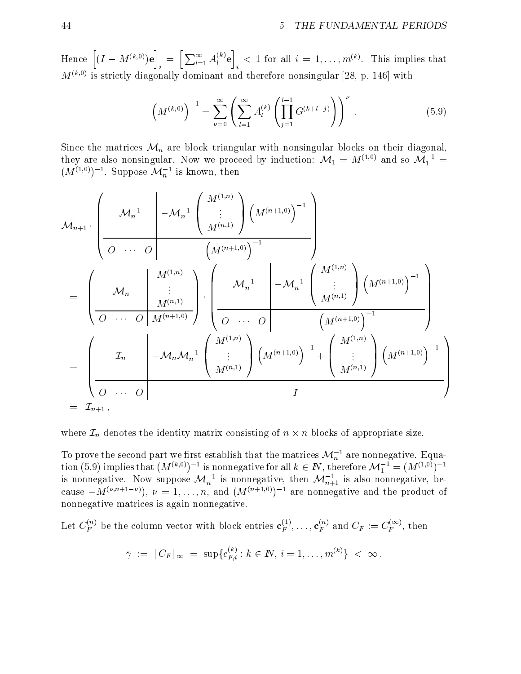Hence  $[(I - M^{(k,0)})e] = [\nabla$ i a control de la control de la control de la control de la control de la control de la control de la control d  $i \leftarrow l \leftarrow l = 1 \quad l$  $\left[\sum_{l=1}^{\infty} A_l^{(k)} \mathbf{e}\right]$  < 1 for <u>in the community of the community of the community of the community of the community of the community of the community of the community of the community of the community of the community of the community of the community </u> in the company of the company of the  $\langle$  1 for an  $i = 1, \ldots, m^{\omega}$ . This implies that  $M^{(k,0)}$  is strictly diagonally dominant and therefore nonsingular [28, p. 146] with

$$
\left(M^{(k,0)}\right)^{-1} = \sum_{\nu=0}^{\infty} \left(\sum_{l=1}^{\infty} A_l^{(k)} \left(\prod_{j=1}^{l-1} G^{(k+l-j)}\right)\right)^{\nu} . \tag{5.9}
$$

Since the matrices  $\mathcal{M}_n$  are block-triangular with nonsingular blocks on their diagonal, they are also nonsingular. Now we proceed by induction:  $\mathcal{M}_1 = M^{(+,0)}$  and so  $\mathcal{M}_1$  =  $(M^{(1)})$  . Suppose  $\mathcal{M}_n$  is known, then

$$
\mathcal{M}_{n+1} \cdot \left( \underbrace{\mathcal{M}_{n}^{-1}}_{\mathcal{O}} \underbrace{\begin{pmatrix} \mathcal{M}_{n}^{-1} & \begin{pmatrix} M^{(1,n)} \\ \vdots \\ M^{(n,1)} \end{pmatrix} \begin{pmatrix} M^{(n+1,0)} \end{pmatrix}}_{\mathcal{M}^{(n,1)}} \right) \left( M^{(n+1,0)} \right)^{-1} }_{\mathcal{M}_{n}^{-1}} \right)
$$
\n
$$
= \left( \underbrace{\mathcal{M}_{n} \qquad \qquad \downarrow}_{\mathcal{M}^{(n,1)}} \right) \left( \underbrace{\mathcal{M}_{n}^{-1}}_{\mathcal{O} \qquad \cdots \qquad \mathcal{O}} \begin{pmatrix} M^{(1,n)} \\ \vdots \\ M^{(n,1)} \end{pmatrix} \begin{pmatrix} M^{(n+1,0)} \\ \vdots \\ M^{(n,1)} \end{pmatrix}}_{\mathcal{M}^{(n+1,0)}} \right)^{-1}
$$
\n
$$
= \left( \underbrace{\mathcal{I}_{n} \qquad \qquad \downarrow}_{\mathcal{O} \qquad \cdots \qquad \mathcal{O}} \begin{pmatrix} M^{(1,n)} \\ \vdots \\ M^{(n,1)} \end{pmatrix} \left( M^{(n+1,0)} \right)^{-1} + \left( \underbrace{\begin{pmatrix} M^{(1,n)} \\ \vdots \\ M^{(n,1)} \end{pmatrix}}_{\mathcal{M}^{(n+1,0)}} \right)^{-1} \right)
$$
\n
$$
= \mathcal{I}_{n+1} \,,
$$

where  $\mathcal{L}$  is a set of appropriate size. In the intervals of n - intervals of appropriate size. In the intervals of appropriate size. In the intervals of appropriate size. In the intervals of appropriate size. In the

To prove the second part we first establish that the matrices  $\mathcal{M}_n^{-1}$  are nonnegative. Equa<sup>n</sup> are nonnegative. Equation (5.9) implies that  $(M^{(k)})$  1 is nonnegative for all  $k \in I$  , therefore  $\mathcal{M}_1^- = (M^{(k)})^+$ is nonnegative. Now suppose  $\mathcal{M}_n$  is nonnegative, then  $\mathcal{M}_{n+1}$  is also nonnegative, because  $-M^{(\nu,n+1-\nu)}$ ,  $\nu=1,\ldots,n$ , and  $(M^{(n+1,0)})^{-1}$  are nonnegative and the product of nonnegative matrices is again nonnegative.

Let  $C_F^{\rightarrow}$  be the column vector with block entries  ${\bf c}_F^{\rightarrow}, \ldots, {\bf c}_F^{\rightarrow}$  and  $C_F := C_F^{\rightarrow}$ , then

$$
\bar{\gamma} \; := \; \|C_F\|_{\infty} \; = \; \sup\{c_{F,i}^{(k)} : k \in I\!\!N, \, i = 1, \ldots, m^{(k)}\} \; < \; \infty \, .
$$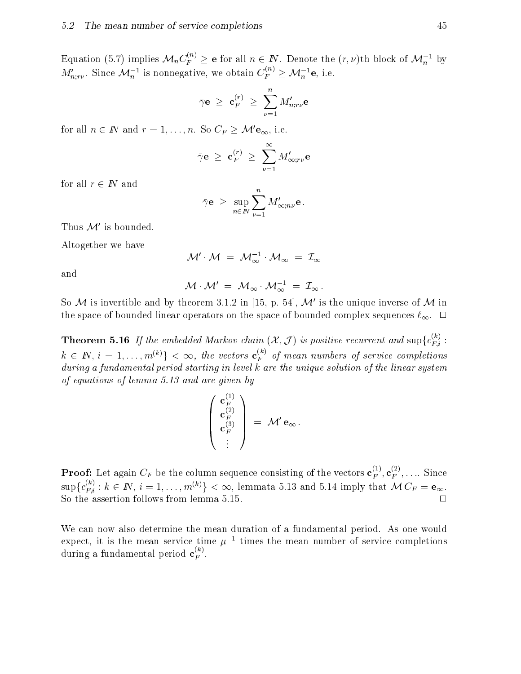Equation (5.7) implies  $\mathcal{M}_n C_F^{\sim} \geq e$  for all  $n \in I\!N$ . Denote the  $(r, \nu)$ th block of  $\mathcal{M}_n^{-1}$  by  $M_{n:r\nu}^{\prime}$ . Since  $\mathcal{M}_n^{-1}$  is nonnegative, we obtain  $C_F^{\sim} \geq \mathcal{M}_n^{-1}$ e, i.e.

$$
\bar{\gamma} {\bf e} \; \ge \; {\bf c}_F^{(r)} \; \ge \; \sum_{\nu=1}^n M'_{n;r\nu} {\bf e}
$$

for all  $n \in \mathbb{N}$  and  $r = 1, \ldots, n$ . So  $C_F \geq \mathcal{M}'\mathbf{e}_{\infty}$ , i.e.

$$
\bar{\gamma} \mathbf{e} \ \geq \ \mathbf{c}_F^{(r)} \ \geq \ \sum_{\nu=1}^{\infty} M'_{\infty; r\nu} \mathbf{e}
$$

for all  $r \in \mathbb{N}$  and

$$
\bar{\gamma} \mathbf{e} \ \geq \ \sup_{n \in \mathbb{N}} \sum_{\nu=1}^n M'_{\infty; n \nu} \mathbf{e} \, .
$$

Thus  $\mathcal{M}'$  is bounded.

Altogether we have

$$
\mathcal{M}'\cdot \mathcal{M}~=~\mathcal{M}_{\infty}^{-1}\cdot \mathcal{M}_{\infty}~=~\mathcal{I}_{\infty}
$$

and

$$
\mathcal{M}\cdot \mathcal{M}'\;=\;\mathcal{M}_{\infty}\cdot \mathcal{M}_{\infty}^{-1}\;=\;\mathcal{I}_{\infty}\,.
$$

So M is invertible and by theorem 3.1.2 in [15, p. 54],  $\mathcal{M}'$  is the unique inverse of M in the space of bounded linear operators on the space of bounded complex sequences  $\ell_{\infty}$ .  $\Box$ 

**Theorem 5.16** If the embedded Markov chain  $(\mathcal{X}, \mathcal{J})$  is positive recurrent and  $\sup\{c_{F,i}^{-1}$ :  $k \in \mathbb{N}, i = 1, \ldots, m^{\langle n \rangle}\} < \infty$ , the vectors  $\mathbf{c}_F^{\sim}$  of mean numbers of service completions during a fundamental period starting in level k are the unique solution of the linear system of equations of lemma 5.13 and are given by

$$
\left(\begin{array}{c} \mathbf{c}_F^{(1)} \\ \mathbf{c}_F^{(2)} \\ \mathbf{c}_F^{(3)} \\ \vdots \end{array}\right) \ = \ \mathcal{M}'\, \mathbf{e}_\infty\,.
$$

**Proof:** Let again  $C_F$  be the column sequence consisting of the vectors  ${\bf c}_F^{\scriptscriptstyle (F)},{\bf c}_F^{\scriptscriptstyle (F)},{\ldots}$  Since  $\sup\{c_{F,i}^{(r)}:k\in I\!\!N,\,i=1,\ldots,m^{(n)}\}\leq\infty,$  lemmata 5.13 and 5.14 imply that  $\mathcal{M}\,C_{F}=\mathbf{e}_{\infty}.$ So the assertion follows from lemma  $5.15$ .  $\Box$ 

We can now also determine the mean duration of a fundamental period. As one would expect, it is the mean service time  $\mu^{-1}$  times the mean number of service completions during a fundamental period  $\mathbf{c}^{\scriptscriptstyle \vee}_F$  .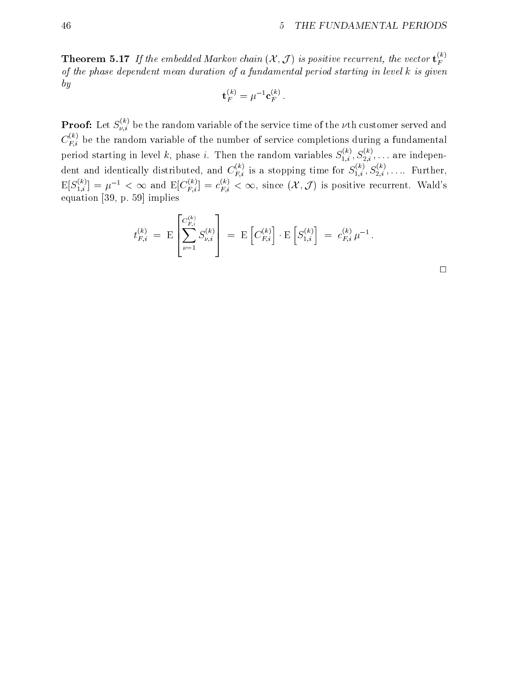**Theorem 5.17** If the embedded Markov chain  $(X, J)$  is positive recurrent, the vector  $\mathbf{t}_{F}^{\sim}$ of the phase dependent mean duration of a fundamental period starting in level k is given by

$$
\mathbf{t}_F^{(k)} = \mu^{-1} \mathbf{c}_F^{(k)}\ .
$$

**Proof:** Let  $S_{\nu,i}^{\nu,\gamma}$  be the random variable of the service time of the  $\nu$ th customer served and  $C_{Fi}^{\sim}$  be the random variable of the number of service completions during a fundamental period starting in level k, phase i. Then the random variables  $S_{1,i}^{\alpha},S_{2,i}^{\alpha},\ldots$  are independent and identically distributed, and  $C_{Fi}^{\cdots}$  is a stopping time for  $S_{1,i}^{\cdots}, S_{2,i}^{\cdots}, \ldots$  Further,  $\mathbb{E}[S_{1,i}^{(k)}] = \mu^{-1} < \infty$  and  $\mathbb{E}[C_{F,i}^{(k)}] = c_{F,i}^{(k)} < \infty$ , since  $(\mathcal{X}, \mathcal{J})$  is positive recurrent. Wald's equation is a set of product of the set of the set of the set of the set of the set of the set of the set of the set of the set of the set of the set of the set of the set of the set of the set of the set of the set of the

$$
t_{F,i}^{(k)} \ = \ \mathrm{E}\left[\sum_{\nu=1}^{C_{F,i}^{(k)}} S_{\nu,i}^{(k)}\right] \ = \ \mathrm{E}\left[C_{F,i}^{(k)}\right] \cdot \mathrm{E}\left[S_{1,i}^{(k)}\right] \ = \ c_{F,i}^{(k)} \ \mu^{-1} \ .
$$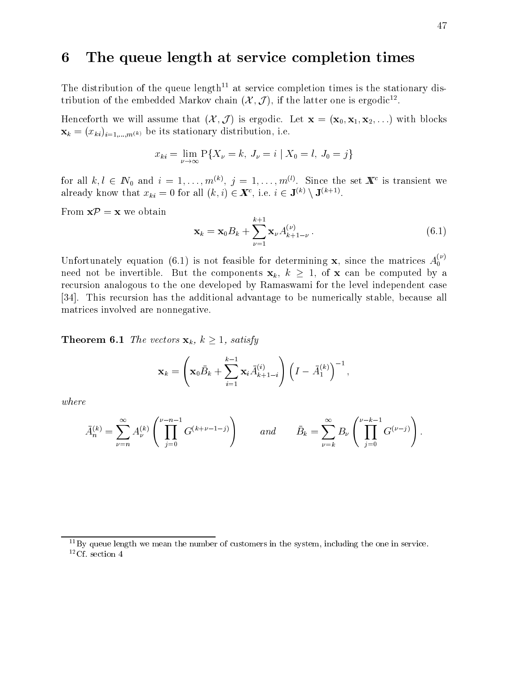# 6 The queue length at service completion times

The distribution of the queue length<sup>11</sup> at service completion times is the stationary distribution of the embedded Markov chain  $(\mathcal{X}, \mathcal{J})$ , if the latter one is ergodic<sup>12</sup>.

Henceforth we will assume that  $(\mathcal{X}, \mathcal{J})$  is ergodic. Let  $\mathbf{x} = (\mathbf{x}_0, \mathbf{x}_1, \mathbf{x}_2, \ldots)$  with blocks  $\mathcal{I} = \mathcal{I}$ is stationary distribution is stationary distribution, i.e., i.e., i.e., i.e., i.e., i.e., i.e., i.e., i.e., i.e., i.e., i.e., i.e., i.e., i.e., i.e., i.e., i.e., i.e., i.e., i.e., i.e., i.e., i.e., i.e., i

$$
x_{ki} = \lim_{\nu \to \infty} P\{X_{\nu} = k, J_{\nu} = i \mid X_0 = l, J_0 = j\}
$$

for all  $\kappa, \iota \in I\!\!N_0$  and  $\iota = 1, \ldots, m \land \iota$   $j = 1, \ldots, m \lor \iota$  since the set  $\bm{A}$  is transient we already know that  $x_{ki} = 0$  for all  $(\kappa, \iota) \in \mathbb{A}^*$ , i.e.  $i \in \mathsf{J}^{(k)} \setminus \mathsf{J}^{(k+1)}$ .

From  $\mathbf{x}\mathcal{P}=\mathbf{x}$  we obtain

$$
\mathbf{x}_{k} = \mathbf{x}_{0} B_{k} + \sum_{\nu=1}^{k+1} \mathbf{x}_{\nu} A_{k+1-\nu}^{(\nu)} \,. \tag{6.1}
$$

Unfortunately equation (6.1) is not feasible for determining x, since the matrices  $A_0^{(\nu)}$ need not be invertible. But the components  $x_k$ ,  $k \geq 1$ , of x can be computed by a recursion analogous to the one developed by Ramaswami for the level independent case [34]. This recursion has the additional advantage to be numerically stable, because all matrices involved are nonnegative.

**Theorem 6.1** The vectors  $\mathbf{x}_k$ ,  $k \geq 1$ , satisfy

$$
\mathbf{x}_k = \left(\mathbf{x}_0 \bar{B}_k + \sum_{i=1}^{k-1} \mathbf{x}_i \bar{A}_{k+1-i}^{(i)}\right) \left(I - \bar{A}_1^{(k)}\right)^{-1},
$$

where

$$
\bar{A}_n^{(k)} = \sum_{\nu=n}^{\infty} A_{\nu}^{(k)} \left( \prod_{j=0}^{\nu-n-1} G^{(k+\nu-1-j)} \right) \quad and \quad \bar{B}_k = \sum_{\nu=k}^{\infty} B_{\nu} \left( \prod_{j=0}^{\nu-k-1} G^{(\nu-j)} \right).
$$

 $11By$  queue length we mean the number of customers in the system, including the one in service.  $12C$ f. section 4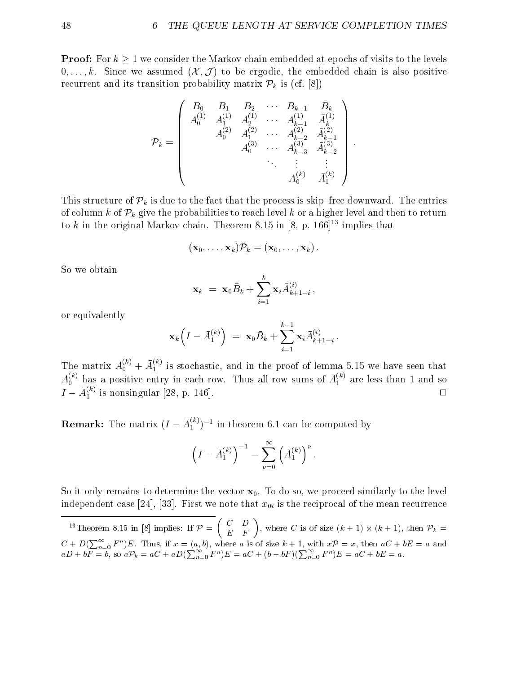**Proof:** For  $k \geq 1$  we consider the Markov chain embedded at epochs of visits to the levels  $0,\ldots,k$ . Since we assumed  $(\mathcal{X},\mathcal{J})$  to be ergodic, the embedded chain is also positive recurrent and its transition probability matrix  $\mathcal{P}_k$  is (cf. [8])

$$
\mathcal{P}_k=\left(\begin{array}{ccccc}B_0&B_1&B_2&\cdots&B_{k-1}&\bar{B}_k\\A_0^{(1)}&A_1^{(1)}&A_2^{(1)}&\cdots&A_{k-1}^{(1)}&\bar{A}_k^{(1)}\\A_0^{(2)}&A_1^{(2)}&\cdots&A_{k-2}^{(2)}&\bar{A}_{k-1}^{(2)}\\A_0^{(3)}&\cdots&A_{k-3}^{(3)}&\bar{A}_{k-2}^{(3)}\\&&\ddots&\vdots&\vdots\\&&&A_0^{(k)}&\bar{A}_1^{(k)}\end{array}\right).
$$

This structure of  $\mathcal{P}_k$  is due to the fact that the process is skip-free downward. The entries of column k of  $\mathcal{P}_k$  give the probabilities to reach level k or a higher level and then to return to k in the original Markov chain. Theorem 8.15 in [8, p. 166]<sup>13</sup> implies that

$$
(\mathbf{x}_0,\ldots,\mathbf{x}_k)\mathcal{P}_k=(\mathbf{x}_0,\ldots,\mathbf{x}_k)\,.
$$

So we obtain

$$
\mathbf{x}_k \; = \; \mathbf{x}_0 \bar{B}_k + \sum_{i=1}^k \mathbf{x}_i \bar{A}^{(i)}_{k+1-i} \,,
$$

or equivalently

$$
\mathbf{x}_k\left(I - \bar{A}_1^{(k)}\right) = \mathbf{x}_0 \bar{B}_k + \sum_{i=1}^{k-1} \mathbf{x}_i \bar{A}_{k+1-i}^{(i)}.
$$

The matrix  $A_0^{(0)} + A_1^{(0)}$  is stochastic, and in the proof of lemma 5.15 we have seen that  $A_0^{(0)}$  has a positive entry in each row. Thus all row sums of  $A_1^{(0)}$  are less than 1 and so  $I - A_1^{\gamma}$  is nonsingular [28, p. 146].

**Remark:** The matrix  $(I - A_1^{(n)})^{-1}$  in theorem 6.1 can be computed by

$$
\left(I - \bar{A}_1^{(k)}\right)^{-1} = \sum_{\nu=0}^{\infty} \left(\bar{A}_1^{(k)}\right)^{\nu}.
$$

So it only remains to determine the vector  $x_0$ . To do so, we proceed similarly to the level independent case [24], [33]. First we note that  $x_{0i}$  is the reciprocal of the mean recurrence

 $\lceil$  I neorem 8.15 in [8] implies: If  $P = \lceil$  C D  $\left( \begin{array}{cc} C & D \ E & F \end{array} \right)$ , where C is of size  $(k+1) \times (k+1)$ , then  $\mathcal{P}_k =$  $C + D(\sum_{n=0}^{\infty} F^n)E$ . Thus, if  $x = (a, b)$ , where a is of size  $k + 1$ , with  $x\mathcal{P} = x$ , then  $aC + bE = a$  and  $aD + bF = b$ , so  $a\mathcal{P}_k = aC + aD(\sum_{n=0}^{\infty} F^n)E = aC + (b - bF)(\sum_{n=0}^{\infty} F^n)E = aC + bE = a$ .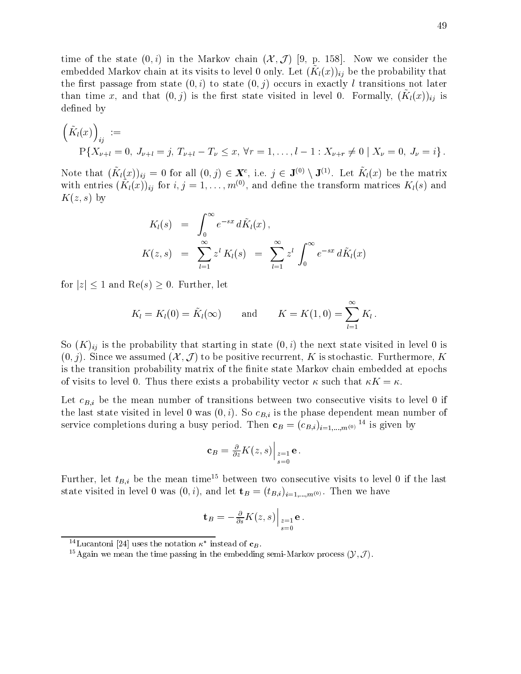time of the state  $(0, i)$  in the Markov chain  $(\mathcal{X}, \mathcal{J})$  [9, p. 158]. Now we consider the embedded Markov chain at its visits to level 0 only. Let  $(X(\{x\})_{ij})$  be the probability that the first passage from state  $(0, i)$  to state  $(0, j)$  occurs in exactly l transitions not later  $\liminf$  time  $x$ , and that  $(0, f)$  is the mist state visited in level 0. Formally,  $(X(\{x\})_{ij})$  is defined by

$$
\left(\tilde{K}_l(x)\right)_{ij} :=
$$
\n
$$
P\{X_{\nu+l} = 0, J_{\nu+l} = j, T_{\nu+l} - T_{\nu} \leq x, \forall r = 1, \dots, l-1 : X_{\nu+r} \neq 0 \mid X_{\nu} = 0, J_{\nu} = i\}.
$$

Note that  $(\mathbf{A}_l(x))_{ij} = 0$  for all  $(0, j) \in \mathbf{A}^*$ , i.e.  $j \in \mathbf{J}^{(*)} \setminus \mathbf{J}^{(*)}$ . Let  $\mathbf{A}_l(x)$  be the matrix with entries  $(K_l(x))_{ij}$  for  $i, j = 1, \ldots, m^{\gamma}$ , and define the transform matrices  $K_l(s)$  and  $K(z, s)$  by

$$
K_l(s) = \int_0^\infty e^{-sx} d\tilde{K}_l(x),
$$
  
\n
$$
K(z,s) = \sum_{l=1}^\infty z^l K_l(s) = \sum_{l=1}^\infty z^l \int_0^\infty e^{-sx} d\tilde{K}_l(x)
$$

for  $|z| \leq 1$  and  $\text{Re}(s) \geq 0$ . Further, let

$$
K_l = K_l(0) = \tilde{K}_l(\infty) \quad \text{and} \quad K = K(1,0) = \sum_{l=1}^{\infty} K_l.
$$

So  $(K)_{ij}$  is the probability that starting in state  $(0, i)$  the next state visited in level 0 is  $(0, j)$ . Since we assumed  $(\mathcal{X}, \mathcal{J})$  to be positive recurrent, K is stochastic. Furthermore, K is the transition probability matrix of the finite state Markov chain embedded at epochs of visits to level 0. Thus there exists a probability vector  $\kappa$  such that  $\kappa K = \kappa$ .

Let  $c_{B,i}$  be the mean number of transitions between two consecutive visits to level 0 if the last state visited in level 0 was  $(0, i)$ . So  $c_{B,i}$  is the phase dependent mean number of service completions during a busy period. Then  $\mathbf{c}_B = (c_{B,i})_{i=1,...,m^{(0)}}$  is given by

$$
\mathbf{c}_B = \frac{\partial}{\partial z} K(z, s) \Big|_{\substack{z=1 \\ s=0}} \mathbf{e}.
$$

Further, let  $t_{B,i}$  be the mean time<sup>15</sup> between two consecutive visits to level 0 if the last state visited in the level  $(0,1)$  ,  $(1,1)$  and let the  $B$  and  $\{1,2\}$   $\{1,1\}$  . Then we have have have have have have have  $\{1,2\}$ 

$$
\mathbf{t}_{B} = -\frac{\partial}{\partial s}K(z,s)\Big|_{\substack{z=1\\s=0}}\mathbf{e}.
$$

 $\lceil$ -Lucantoni [24] uses the notation  $\kappa$  -mstead of  $\mathbf{c}_B$ .

<sup>&</sup>lt;sup>15</sup>Again we mean the time passing in the embedding semi-Markov process  $(\mathcal{Y}, \mathcal{J})$ .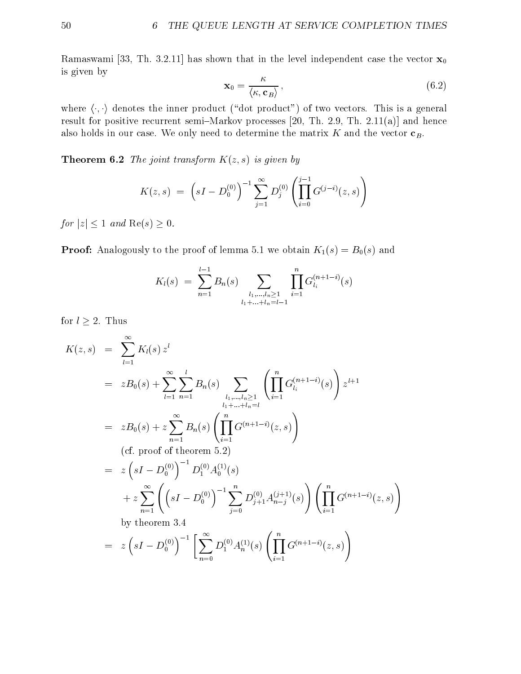Ramaswami [33, Th. 3.2.11] has shown that in the level independent case the vector  $\mathbf{x}_0$ is given by

$$
\mathbf{x}_0 = \frac{\kappa}{\langle \kappa, \mathbf{c}_B \rangle},\tag{6.2}
$$

where  $\langle \cdot, \cdot \rangle$  denotes the inner product ("dot product") of two vectors. This is a general result for positive recurrent semi-Markov processes  $[20, Th. 2.9, Th. 2.11(a)]$  and hence also holds in our case. We only need to determine the matrix  $K$  and the vector  $\mathbf{c}_B$ .

**Theorem 6.2** The joint transform  $K(z, s)$  is given by

$$
K(z,s) = \left(sI - D_0^{(0)}\right)^{-1} \sum_{j=1}^{\infty} D_j^{(0)} \left(\prod_{i=0}^{j-1} G^{(j-i)}(z,s)\right)
$$

for  $|z| \leq 1$  and  $\text{Re}(s) \geq 0$ .

**Proof:** Analogously to the proof of lemma 5.1 we obtain  $K_1(s) = B_0(s)$  and

$$
K_l(s) = \sum_{n=1}^{l-1} B_n(s) \sum_{\substack{l_1,\ldots,l_n \geq 1 \\ l_1 + \ldots + l_n = l-1}} \prod_{i=1}^n G_{l_i}^{(n+1-i)}(s)
$$

for  $l \geq 2$ . Thus

$$
K(z,s) = \sum_{l=1}^{\infty} K_l(s) z^l
$$
  
\n
$$
= zB_0(s) + \sum_{l=1}^{\infty} \sum_{n=1}^{l} B_n(s) \sum_{\substack{l_1, \dots, l_n \ge 1 \\ l_1 + \dots + l_n = l}} \left( \prod_{i=1}^n G_{l_i}^{(n+1-i)}(s) \right) z^{l+1}
$$
  
\n
$$
= zB_0(s) + z \sum_{n=1}^{\infty} B_n(s) \left( \prod_{i=1}^n G^{(n+1-i)}(z,s) \right)
$$
  
\n(cf. proof of theorem 5.2)  
\n
$$
= z \left( sI - D_0^{(0)} \right)^{-1} D_1^{(0)} A_0^{(1)}(s)
$$
  
\n
$$
+ z \sum_{n=1}^{\infty} \left( \left( sI - D_0^{(0)} \right)^{-1} \sum_{j=0}^n D_{j+1}^{(0)} A_{n-j}^{(j+1)}(s) \right) \left( \prod_{i=1}^n G^{(n+1-i)}(z,s) \right)
$$
  
\nby theorem 3.4  
\n
$$
= z \left( sI - D_0^{(0)} \right)^{-1} \left[ \sum_{n=0}^{\infty} D_1^{(0)} A_n^{(1)}(s) \left( \prod_{i=1}^n G^{(n+1-i)}(z,s) \right) \right]
$$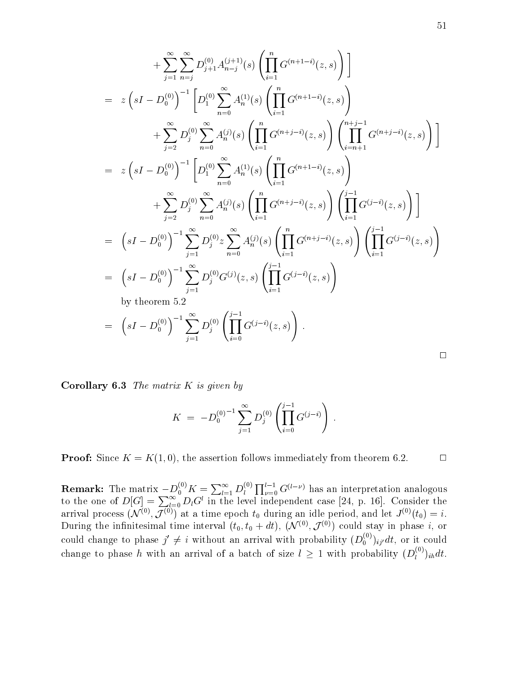$$
+\sum_{j=1}^{\infty} \sum_{n=j}^{\infty} D_{j+1}^{(0)} A_{n-j}^{(j+1)}(s) \left( \prod_{i=1}^{n} G^{(n+1-i)}(z, s) \right) \Bigg]
$$
  
\n
$$
= z \left( sI - D_0^{(0)} \right)^{-1} \left[ D_1^{(0)} \sum_{n=0}^{\infty} A_n^{(1)}(s) \left( \prod_{i=1}^{n} G^{(n+1-i)}(z, s) \right) \right.
$$
  
\n
$$
+ \sum_{j=2}^{\infty} D_j^{(0)} \sum_{n=0}^{\infty} A_n^{(j)}(s) \left( \prod_{i=1}^{n} G^{(n+j-i)}(z, s) \right) \left( \prod_{i=n+1}^{n+j-1} G^{(n+j-i)}(z, s) \right) \Bigg]
$$
  
\n
$$
= z \left( sI - D_0^{(0)} \right)^{-1} \left[ D_1^{(0)} \sum_{n=0}^{\infty} A_n^{(1)}(s) \left( \prod_{i=1}^{n} G^{(n+1-i)}(z, s) \right) \right]
$$
  
\n
$$
+ \sum_{j=2}^{\infty} D_j^{(0)} \sum_{n=0}^{\infty} A_n^{(j)}(s) \left( \prod_{i=1}^{n} G^{(n+j-i)}(z, s) \right) \left( \prod_{i=1}^{j-1} G^{(j-i)}(z, s) \right) \Bigg]
$$
  
\n
$$
= (sI - D_0^{(0)})^{-1} \sum_{j=1}^{\infty} D_j^{(0)} z \sum_{n=0}^{\infty} A_n^{(j)}(s) \left( \prod_{i=1}^{n} G^{(n+j-i)}(z, s) \right) \left( \prod_{i=1}^{j-1} G^{(j-i)}(z, s) \right)
$$
  
\nby theorem 5.2  
\n
$$
= (sI - D_0^{(0)})^{-1} \sum_{j=1}^{\infty} D_j^{(0)} G^{(j)}(z, s) \left( \prod_{i=0}^{j-1} G^{(j-i)}(z, s) \right).
$$

**Corollary 6.3** The matrix  $K$  is given by

$$
K\;=\; -{D_0^{(0)}}^{-1}\sum_{j=1}^\infty D_j^{(0)}\left(\prod_{i=0}^{j-1}G^{(j-i)}\right)\;.
$$

**Proof:** Since  $K = K(1,0)$ , the assertion follows immediately from theorem 6.2.

**Remark:** The matrix  $-D_0^{(0)}K = \sum_{l=1}^{\infty} D_l^{(0)} \prod_{\nu=0}^{l-1} G^{(l-\nu)}$  has an interpretation analogous to the one of  $D[G] = \sum_{l=0}^{\infty} D_l G^l$  in the level independent case [24, p. 16]. Consider the arrival process (N  $(\gamma, \mathcal{J}^{(\gamma)})$  at a time epoch  $\iota_0$  during an idle period, and let  $J^{(\gamma)}(\iota_0) = \iota.$ During the infinitesimal time interval  $(t_0, t_0 + a t)$ ,  $(\mathcal{N}^{(+)}, \mathcal{J}^{(+)})$  could stay in phase  $i$ , or could change to phase  $j' \neq i$  without an arrival with probability  $(D_0^{(+)})_{ij'} dt$ , or it could change to phase  $h$  with an arrival of a batch of size  $l\,\geq\,1$  with probability  $(D_{l}^{\times})_{ih}dt.$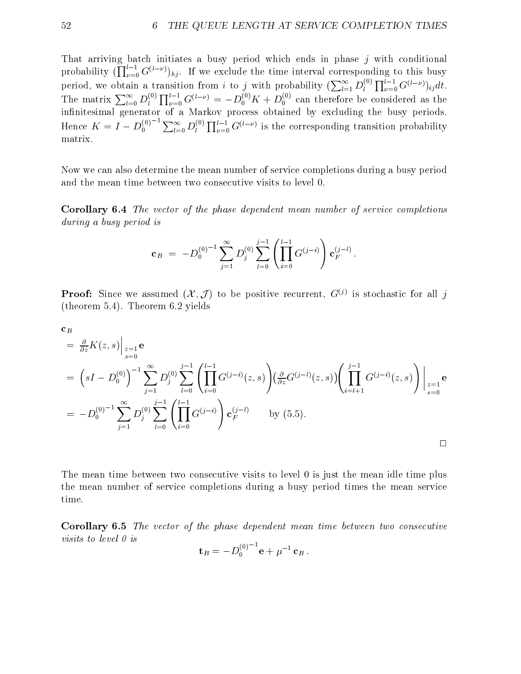That arriving batch initiates a busy period which ends in phase j with conditional probability  $(\prod_{\nu=0}^{\mu-1} G^{(\ell-\nu)})_{hj}$ . If we exclude the time interval corresponding to this busy period, we obtain a transition from i to j with probability  $(\sum_{l=1}^{\infty} D_l^{(0)} \prod_{\nu=0}^{l-1} G^{(l-\nu)})_{ij} dt$ . The matrix  $\sum_{l=0}^{\infty} D_l^{(0)} \prod_{\nu=0}^{l-1} G^{(l-\nu)} = -D_0^{(0)}K + D_0^{(0)}$  can therefore be considered as the innitesimal generator of a Markov process obtained by excluding the busy periods. Hence  $K = I - D_0^{(0)}$   $\sum_{l=0}^{\infty} D_l^{(0)} \prod_{\nu=0}^{l-1} G^{(l-\nu)}$  is the corresponding transition probability matrix.

Now we can also determine the mean number of service completions during a busy period and the mean time between two consecutive visits to level 0.

Corollary 6.4 The vector of the phase dependent mean number of service completions during a busy period is

$$
\mathbf{c}_B \;=\; -D_0^{(0)\,-1}\sum_{j=1}^\infty D_j^{(0)}\sum_{l=0}^{j-1}\left(\prod_{i=0}^{l-1}G^{(j-i)}\right)\mathbf{c}_F^{(j-l)}\,.
$$

**Proof:** Since we assumed  $(\mathcal{X}, \mathcal{J})$  to be positive recurrent,  $G^{(j)}$  is stochastic for all j (theorem 5.4). Theorem 6.2 yields

$$
\begin{split}\n&= \left. \frac{\partial}{\partial z} K(z, s) \right|_{z=1} \mathbf{e} \\
&= \left( sI - D_0^{(0)} \right)^{-1} \sum_{j=1}^{\infty} D_j^{(0)} \sum_{l=0}^{j-1} \left( \prod_{i=0}^{l-1} G^{(j-i)}(z, s) \right) \left( \frac{\partial}{\partial z} G^{(j-l)}(z, s) \right) \left( \prod_{i=l+1}^{j-1} G^{(j-i)}(z, s) \right) \Big|_{z=1}^{z=1} \mathbf{e} \\
&= -D_0^{(0)-1} \sum_{j=1}^{\infty} D_j^{(0)} \sum_{l=0}^{j-1} \left( \prod_{i=0}^{l-1} G^{(j-i)} \right) \mathbf{c}_F^{(j-l)} \qquad \text{by (5.5)}.\n\end{split}
$$

The mean time between two consecutive visits to level 0 is just the mean idle time plus the mean number of service completions during a busy period times the mean service time.

Corollary 6.5 The vector of the phase dependent mean time between two consecutive visits to level 0 is

$$
\mathbf{t}_{B} = -D_0^{(0)}{}^{-1} \mathbf{e} + \mu^{-1} \mathbf{c}_B .
$$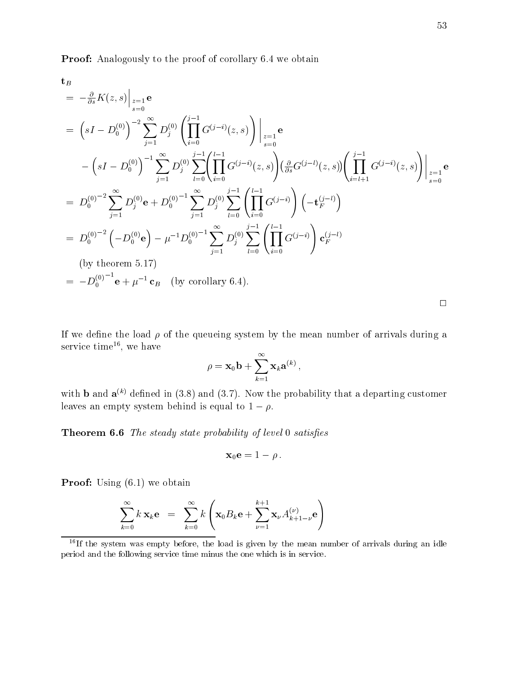Proof: Analogously to the proof of corollary 6.4 we obtain

$$
= -\frac{\partial}{\partial s} K(z, s) \Big|_{\substack{z=1 \ 0}} = 0
$$
  
\n
$$
= (sI - D_0^{(0)})^{-2} \sum_{j=1}^{\infty} D_j^{(0)} \left( \prod_{i=0}^{j-1} G^{(j-i)}(z, s) \right) \Big|_{\substack{z=1 \ 0}} = 0
$$
  
\n
$$
- (sI - D_0^{(0)})^{-1} \sum_{j=1}^{\infty} D_j^{(0)} \sum_{l=0}^{j-1} \left( \prod_{i=0}^{l-1} G^{(j-i)}(z, s) \right) \left( \frac{\partial}{\partial s} G^{(j-l)}(z, s) \right) \left( \prod_{i=l+1}^{j-1} G^{(j-i)}(z, s) \right) \Big|_{\substack{z=1 \ 0}} = D_0^{(0)^{-2}} \sum_{j=1}^{\infty} D_j^{(0)} e + D_0^{(0)^{-1}} \sum_{j=1}^{\infty} D_j^{(0)} \sum_{l=0}^{j-1} \left( \prod_{i=0}^{l-1} G^{(j-i)} \right) \left( -t_F^{(j-l)} \right)
$$
  
\n
$$
= D_0^{(0)^{-2}} \left( -D_0^{(0)} e \right) - \mu^{-1} D_0^{(0)^{-1}} \sum_{j=1}^{\infty} D_j^{(0)} \sum_{l=0}^{j-1} \left( \prod_{i=0}^{l-1} G^{(j-i)} \right) c_F^{(j-l)}
$$
  
\n
$$
(by \text{ theorem 5.17})
$$
  
\n
$$
= -D_0^{(0)^{-1}} e + \mu^{-1} c_B \quad (by \text{ corollary 6.4}).
$$

If we define the load  $\rho$  of the queueing system by the mean number of arrivals during a service umie<sup>11</sup>, we have

$$
\rho=\mathbf{x}_0\mathbf{b}+\sum_{k=1}^{\infty}\mathbf{x}_k\mathbf{a}^{(k)}\,,
$$

with **b** and  $\mathbf{a}^{(k)}$  defined in (3.8) and (3.7). Now the probability that a departing customer leaves an empty system behind is equal to  $1 - \rho$ .

**Theorem 6.6** The steady state probability of level 0 satisfies

$$
\mathbf{x}_0\mathbf{e}=1-\rho\,.
$$

**Proof:** Using  $(6.1)$  we obtain

$$
\sum_{k=0}^{\infty} k \, \mathbf{x}_k \mathbf{e} \;\; = \;\; \sum_{k=0}^{\infty} k \left( \mathbf{x}_0 B_k \mathbf{e} + \sum_{\nu=1}^{k+1} \mathbf{x}_{\nu} A_{k+1-\nu}^{(\nu)} \mathbf{e} \right)
$$

 $16$ If the system was empty before, the load is given by the mean number of arrivals during an idle period and the following service time minus the one which is in service.

 $\Box$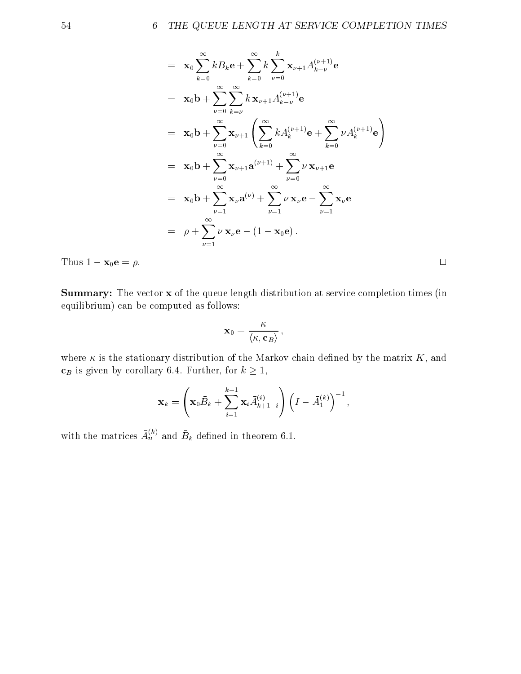$$
= \mathbf{x}_{0} \sum_{k=0}^{\infty} k B_{k} \mathbf{e} + \sum_{k=0}^{\infty} k \sum_{\nu=0}^{k} \mathbf{x}_{\nu+1} A_{k-\nu}^{(\nu+1)} \mathbf{e}
$$
  
\n
$$
= \mathbf{x}_{0} \mathbf{b} + \sum_{\nu=0}^{\infty} \sum_{k=\nu}^{\infty} k \mathbf{x}_{\nu+1} A_{k-\nu}^{(\nu+1)} \mathbf{e}
$$
  
\n
$$
= \mathbf{x}_{0} \mathbf{b} + \sum_{\nu=0}^{\infty} \mathbf{x}_{\nu+1} \left( \sum_{k=0}^{\infty} k A_{k}^{(\nu+1)} \mathbf{e} + \sum_{k=0}^{\infty} \nu A_{k}^{(\nu+1)} \mathbf{e} \right)
$$
  
\n
$$
= \mathbf{x}_{0} \mathbf{b} + \sum_{\nu=0}^{\infty} \mathbf{x}_{\nu+1} \mathbf{a}^{(\nu+1)} + \sum_{\nu=0}^{\infty} \nu \mathbf{x}_{\nu+1} \mathbf{e}
$$
  
\n
$$
= \mathbf{x}_{0} \mathbf{b} + \sum_{\nu=1}^{\infty} \mathbf{x}_{\nu} \mathbf{a}^{(\nu)} + \sum_{\nu=1}^{\infty} \nu \mathbf{x}_{\nu} \mathbf{e} - \sum_{\nu=1}^{\infty} \mathbf{x}_{\nu} \mathbf{e}
$$
  
\n
$$
= \rho + \sum_{\nu=1}^{\infty} \nu \mathbf{x}_{\nu} \mathbf{e} - (1 - \mathbf{x}_{0} \mathbf{e}).
$$

Thus  $1 - x_0 e = \rho$ .

Summary: The vector x of the queue length distribution at service completion times (in equilibrium) can be computed as follows:

$$
\mathbf{x}_0 = \frac{\kappa}{\langle\kappa,\mathbf{c}_B\rangle}\,,
$$

where  $\kappa$  is the stationary distribution of the Markov chain defined by the matrix  $K$ , and  $\mathbf{c}_B$  is given by corollary 6.4. Further, for  $k \geq 1$ ,

$$
\mathbf{x}_{k} = \left(\mathbf{x}_{0} \bar{B}_{k} + \sum_{i=1}^{k-1} \mathbf{x}_{i} \bar{A}_{k+1-i}^{(i)}\right) \left(I - \bar{A}_{1}^{(k)}\right)^{-1},
$$

with the matrices  $A_n^{\langle \cdots \rangle}$  and  $B_k$  defined in theorem 6.1.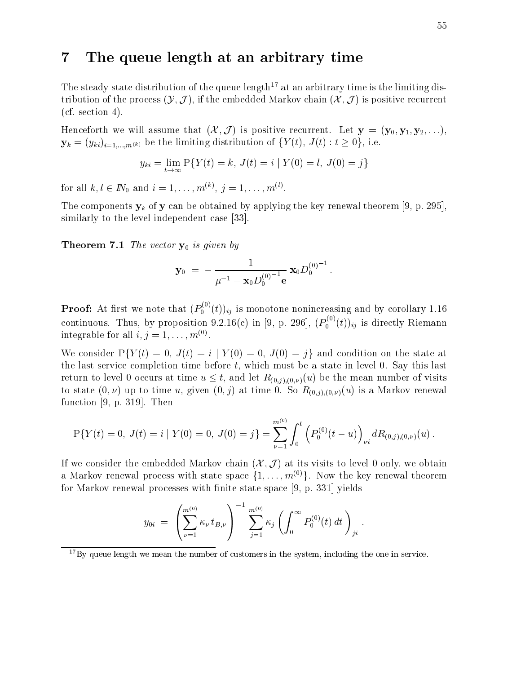# 7 The queue length at an arbitrary time

The steady state distribution of the queue length<sup>17</sup> at an arbitrary time is the limiting distribution of the process  $(\mathcal{Y}, \mathcal{J})$ , if the embedded Markov chain  $(\mathcal{X}, \mathcal{J})$  is positive recurrent  $(cf. section 4).$ 

Henceforth we will assume that  $(\mathcal{X}, \mathcal{J})$  is positive recurrent. Let  $\mathbf{y} = (\mathbf{y}_0, \mathbf{y}_1, \mathbf{y}_2, \ldots)$ ,  $\mathcal{S}^{(k)}$  ,  $\mathcal{S}^{(k)}$  is interested distribution of fraction of  $\mathcal{S}^{(k)}$  ,  $\mathcal{S}^{(k)}$  ,  $\mathcal{S}^{(k)}$  ,  $\mathcal{S}^{(k)}$  ,  $\mathcal{S}^{(k)}$  ,  $\mathcal{S}^{(k)}$  ,  $\mathcal{S}^{(k)}$  ,  $\mathcal{S}^{(k)}$  ,  $\mathcal{S}^{(k)}$  ,  $\mathcal{S}^{(k)}$  ,

$$
y_{ki} = \lim_{t \to \infty} P\{Y(t) = k, J(t) = i \mid Y(0) = l, J(0) = j\}
$$

for all  $\kappa, \iota \in I\mathbb{N}_0$  and  $\iota = 1,\ldots,m^{(\mathbb{N})},\ j = 1,\ldots,m^{(\mathbb{N})}.$ 

The components  $y_k$  of y can be obtained by applying the key renewal theorem [9, p. 295], similarly to the level independent case [33].

**Theorem 7.1** The vector  $y_0$  is given by

$$
\mathbf{y}_0 \; = \; -\frac{1}{\mu^{-1} - \mathbf{x}_0 D_0^{(0)^{-1}} \mathbf{e}} \, \mathbf{x}_0 D_0^{(0)^{-1}} \, .
$$

**Proof:** At first we note that  $(P_0^{\alpha}(t))_{ij}$  is monotone nonincreasing and by corollary 1.16 continuous. Thus, by proposition  $9.2.16(c)$  in [9, p. 296],  $(P_0^{\alpha\beta}(t))_{ij}$  is directly Riemann integrable for all  $i, \gamma = 1, \ldots, m^{\gamma}$ .

We consider  $P(Y(t) = 0, J(t) = i | Y(0) = 0, J(0) = j$  and condition on the state at the last service completion time before  $t$ , which must be a state in level 0. Say this last return to level 0 occurs at time  $u \leq t$ , and let  $R_{(0,i),(0,\nu)}(u)$  be the mean number of visits to state  $(0, \nu)$  up to time u, given  $(0, j)$  at time 0. So  $R_{(0, j), (0, \nu)}(u)$  is a Markov renewal function [9, p. 319]. Then

$$
P\{Y(t) = 0, J(t) = i \mid Y(0) = 0, J(0) = j\} = \sum_{\nu=1}^{m^{(0)}} \int_0^t \left( P_0^{(0)}(t - u) \right)_{\nu i} dR_{(0,j),(0,\nu)}(u) .
$$

If we consider the embedded Markov chain  $(\mathcal{X}, \mathcal{J})$  at its visits to level 0 only, we obtain a Markov renewal process with state space  $\{1,\ldots,m^{(0)}\}$ . Now the key renewal theorem for Markov renewal processes with finite state space  $[9, p. 331]$  yields

$$
y_{0i} = \left(\sum_{\nu=1}^{m^{(0)}} \kappa_{\nu} t_{B,\nu}\right)^{-1} \sum_{j=1}^{m^{(0)}} \kappa_j \left(\int_0^{\infty} P_0^{(0)}(t) dt\right)_{ji}.
$$

 $17By$  queue length we mean the number of customers in the system, including the one in service.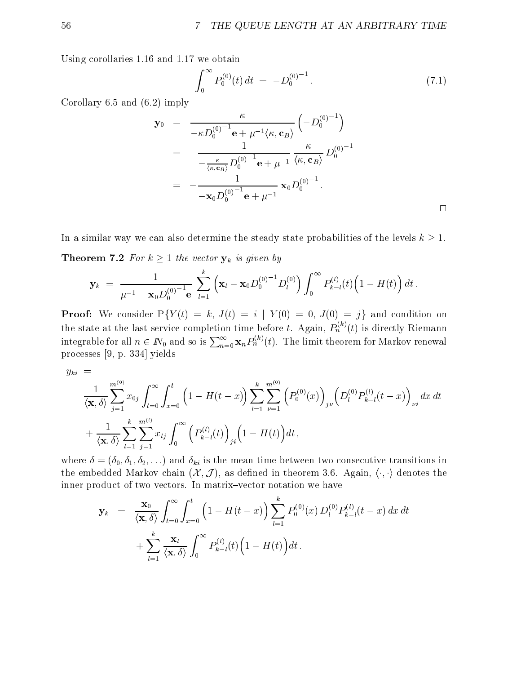Using corollaries 1.16 and 1.17 we obtain

$$
\int_0^\infty P_0^{(0)}(t) dt = -D_0^{(0)^{-1}}.
$$
\n(7.1)

Corollary 6.5 and (6.2) imply

$$
\mathbf{y}_0 = \frac{\kappa}{-\kappa D_0^{(0)}^{-1} \mathbf{e} + \mu^{-1} \langle \kappa, \mathbf{c}_B \rangle} \left( -D_0^{(0)}^{-1} \right)
$$
  
= 
$$
-\frac{1}{-\frac{\kappa}{\langle \kappa, \mathbf{c}_B \rangle} D_0^{(0)}^{-1} \mathbf{e} + \mu^{-1}} \frac{\kappa}{\langle \kappa, \mathbf{c}_B \rangle} D_0^{(0)-1}
$$
  
= 
$$
-\frac{1}{-\mathbf{x}_0 D_0^{(0)}^{-1} \mathbf{e} + \mu^{-1}} \mathbf{x}_0 D_0^{(0)^{-1}}.
$$

In a similar way we can also determine the steady state probabilities of the levels  $k \geq 1$ . **Theorem 7.2** For  $k \geq 1$  the vector  $y_k$  is given by

$$
\mathbf{y}_k \; = \; \frac{1}{\mu^{-1} - \mathbf{x}_0 D_0^{(0)^{-1}} \mathbf{e}} \; \sum_{l=1}^k \left( \mathbf{x}_l - \mathbf{x}_0 D_0^{(0)^{-1}} D_l^{(0)} \right) \int_0^\infty P_{k-l}^{(l)}(t) \Big( 1 - H(t) \Big) \, dt \; .
$$

**Proof:** We consider  $P\{Y(t) = k, J(t) = i | Y(0) = 0, J(0) = j\}$  and condition on the state at the last service completion time before t. Again,  $P_n^{\infty \in} (t)$  is directly Riemann<br>integrable for all  $n \in I\!\!N_0$  and so is  $\sum_{n=0}^\infty \mathbf{x}_n P_n^{(k)}(t)$ . The limit theorem for Markov renewal processes [9, p. 334] yields

$$
y_{ki}~=~
$$

$$
\frac{1}{\langle \mathbf{x}, \delta \rangle} \sum_{j=1}^{m^{(0)}} x_{0j} \int_{t=0}^{\infty} \int_{x=0}^{t} \left(1 - H(t-x)\right) \sum_{l=1}^{k} \sum_{\nu=1}^{m^{(0)}} \left(P_0^{(0)}(x)\right)_{j\nu} \left(D_l^{(0)} P_{k-l}^{(l)}(t-x)\right)_{\nu i} dx dt + \frac{1}{\langle \mathbf{x}, \delta \rangle} \sum_{l=1}^{k} \sum_{j=1}^{m^{(l)}} x_{lj} \int_{0}^{\infty} \left(P_{k-l}^{(l)}(t)\right)_{ji} \left(1 - H(t)\right) dt ,
$$

where  $\delta = (\delta_0, \delta_1, \delta_2, \ldots)$  and  $\delta_{ki}$  is the mean time between two consecutive transitions in the embedded Markov chain  $(\mathcal{X}, \mathcal{J})$ , as defined in theorem 3.6. Again,  $\langle \cdot, \cdot \rangle$  denotes the inner product of two vectors. In matrix-vector notation we have

$$
\mathbf{y}_{k} = \frac{\mathbf{x}_{0}}{\langle \mathbf{x}, \delta \rangle} \int_{t=0}^{\infty} \int_{x=0}^{t} \left( 1 - H(t-x) \right) \sum_{l=1}^{k} P_{0}^{(0)}(x) D_{l}^{(0)} P_{k-l}^{(l)}(t-x) dx dt + \sum_{l=1}^{k} \frac{\mathbf{x}_{l}}{\langle \mathbf{x}, \delta \rangle} \int_{0}^{\infty} P_{k-l}^{(l)}(t) \left( 1 - H(t) \right) dt.
$$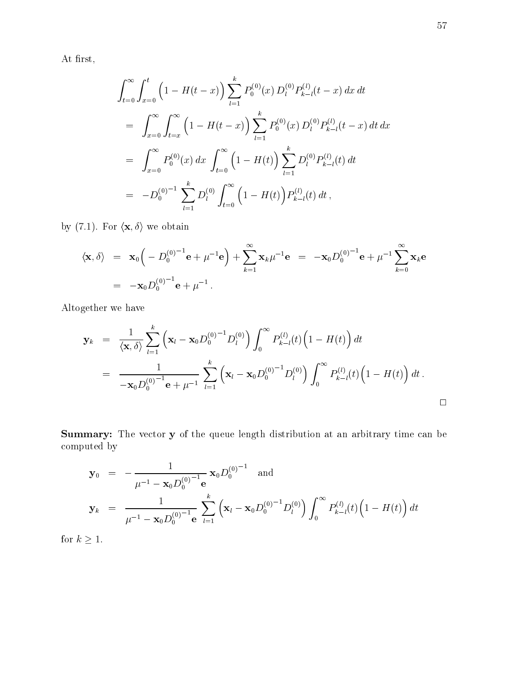At first,

$$
\int_{t=0}^{\infty} \int_{x=0}^{t} \left(1 - H(t-x)\right) \sum_{l=1}^{k} P_0^{(0)}(x) D_l^{(0)} P_{k-l}(t-x) dx dt
$$
  
\n
$$
= \int_{x=0}^{\infty} \int_{t=x}^{\infty} \left(1 - H(t-x)\right) \sum_{l=1}^{k} P_0^{(0)}(x) D_l^{(0)} P_{k-l}(t-x) dt dx
$$
  
\n
$$
= \int_{x=0}^{\infty} P_0^{(0)}(x) dx \int_{t=0}^{\infty} \left(1 - H(t)\right) \sum_{l=1}^{k} D_l^{(0)} P_{k-l}(t) dt
$$
  
\n
$$
= -D_0^{(0)-1} \sum_{l=1}^{k} D_l^{(0)} \int_{t=0}^{\infty} \left(1 - H(t)\right) P_{k-l}(t) dt,
$$

by (7.1). For  $\langle \mathbf{x}, \delta \rangle$  we obtain

$$
\langle \mathbf{x}, \delta \rangle = \mathbf{x}_0 \Big( -D_0^{(0)-1} \mathbf{e} + \mu^{-1} \mathbf{e} \Big) + \sum_{k=1}^{\infty} \mathbf{x}_k \mu^{-1} \mathbf{e} = -\mathbf{x}_0 D_0^{(0)-1} \mathbf{e} + \mu^{-1} \sum_{k=0}^{\infty} \mathbf{x}_k \mathbf{e}
$$
  
= -\mathbf{x}\_0 D\_0^{(0)-1} \mathbf{e} + \mu^{-1}.

Altogether we have

$$
\mathbf{y}_{k} = \frac{1}{\langle \mathbf{x}, \delta \rangle} \sum_{l=1}^{k} (\mathbf{x}_{l} - \mathbf{x}_{0} D_{0}^{(0)})^{-1} D_{l}^{(0)}) \int_{0}^{\infty} P_{k-l}^{(l)}(t) (1 - H(t)) dt
$$
  
\n
$$
= \frac{1}{-\mathbf{x}_{0} D_{0}^{(0)-1} \mathbf{e} + \mu^{-1}} \sum_{l=1}^{k} (\mathbf{x}_{l} - \mathbf{x}_{0} D_{0}^{(0)-1} D_{l}^{(0)}) \int_{0}^{\infty} P_{k-l}^{(l)}(t) (1 - H(t)) dt.
$$

Summary: The vector y of the queue length distribution at an arbitrary time can be computed by

$$
\mathbf{y}_0 = -\frac{1}{\mu^{-1} - \mathbf{x}_0 D_0^{(0)-1}} \mathbf{x}_0 D_0^{(0)-1} \text{ and}
$$
  
\n
$$
\mathbf{y}_k = \frac{1}{\mu^{-1} - \mathbf{x}_0 D_0^{(0)-1}} \sum_{l=1}^k (\mathbf{x}_l - \mathbf{x}_0 D_0^{(0)-1} D_l^{(0)}) \int_0^\infty P_{k-l}^{(l)}(t) (1 - H(t)) dt
$$

for  $k \geq 1$ .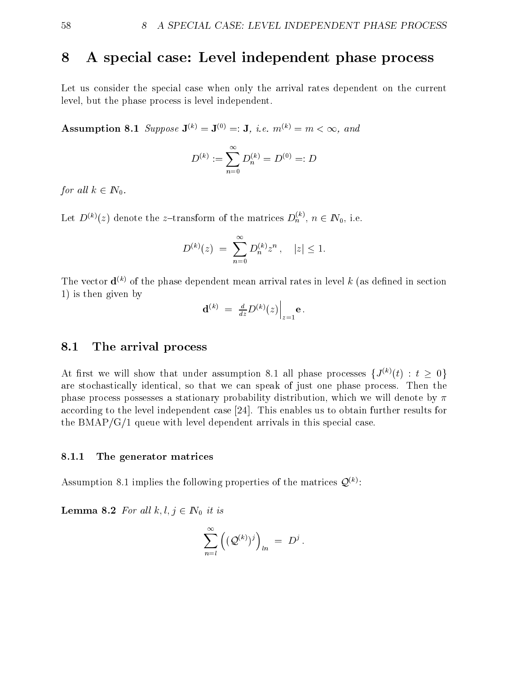# 8 A special case: Level independent phase process

Let us consider the special case when only the arrival rates dependent on the current level, but the phase process is level independent.

Assumption 8.1 Suppose  $\mathbf{J}^{(k)} = \mathbf{J}^{(0)} =: \mathbf{J}$ , i.e.  $m^{(k)} = m < \infty$ , and

$$
D^{(k)}:=\sum_{n=0}^\infty D^{(k)}_n=D^{(0)}=:D
$$

for all  $k \in \mathbb{N}_0$ .

Let  $D^{(n)}(z)$  denote the z-transform of the matrices  $D_h^{\gamma}$ ,  $n \in I\!N_0$ , i.e.

$$
D^{(k)}(z) = \sum_{n=0}^{\infty} D_n^{(k)} z^n, \quad |z| \le 1.
$$

The vector  $\mathbf{d}^{(k)}$  of the phase dependent mean arrival rates in level k (as defined in section 1) is then given by

$$
\mathbf{d}^{(k)} \ = \ \frac{d}{dz} D^{(k)}(z) \Big|_{z=1} \mathbf{e} \, .
$$

# 8.1 The arrival process

At first we will show that under assumption 8.1 all phase processes  $\{J^{(k)}(t) : t \geq 0\}$ are stochastically identical, so that we can speak of just one phase process. Then the phase process possesses a stationary probability distribution, which we will denote by  $\pi$ according to the level independent case [24]. This enables us to obtain further results for the  $BMAP/G/1$  queue with level dependent arrivals in this special case.

#### 8.1.1 The generator matrices

Assumption 8.1 implies the following properties of the matrices  $\mathcal{Q}^{(k)}$ :

**Lemma 8.2** For all  $k, l, j \in \mathbb{N}_0$  it is

$$
\sum_{n=l}^{\infty}\left((\mathcal{Q}^{(k)})^j\right)_{ln}\;=\;D^j\;.
$$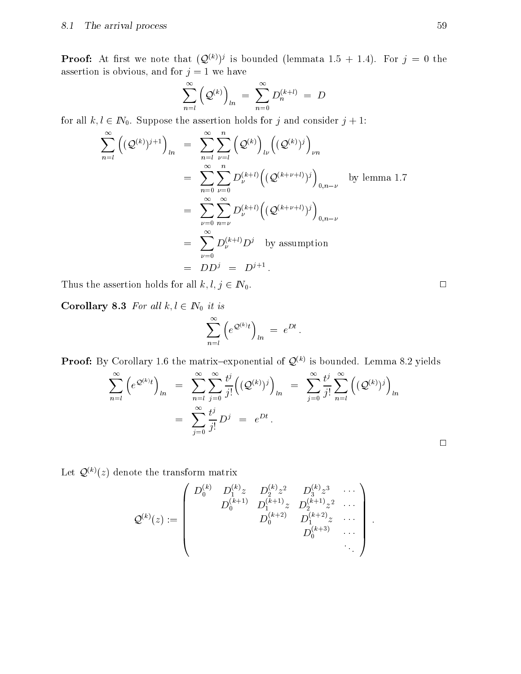**Proof:** At first we note that  $(\mathcal{Q}^{(k)})^p$  is bounded (lemmata 1.5  $\pm$  1.4). For  $\eta = 0$  the assertion is obvious, and for  $j = 1$  we have

$$
\sum_{n=l}^{\infty} \left( \mathcal{Q}^{(k)} \right)_{ln} \ = \ \sum_{n=0}^{\infty} D^{(k+l)}_{n} \ = \ D
$$

for all  $k, l \in \mathbb{N}_0$ . Suppose the assertion holds for j and consider  $j + 1$ :

$$
\sum_{n=1}^{\infty} \left( (\mathcal{Q}^{(k)})^{j+1} \right)_{ln} = \sum_{n=1}^{\infty} \sum_{\nu=l}^{n} \left( \mathcal{Q}^{(k)} \right)_{l\nu} \left( (\mathcal{Q}^{(k)})^{j} \right)_{\nu n}
$$
  
\n
$$
= \sum_{n=0}^{\infty} \sum_{\nu=0}^{n} D_{\nu}^{(k+l)} \left( (\mathcal{Q}^{(k+\nu+l)})^{j} \right)_{0,n-\nu} \text{ by lemma 1.7}
$$
  
\n
$$
= \sum_{\nu=0}^{\infty} \sum_{n=\nu}^{\infty} D_{\nu}^{(k+l)} \left( (\mathcal{Q}^{(k+\nu+l)})^{j} \right)_{0,n-\nu}
$$
  
\n
$$
= \sum_{\nu=0}^{\infty} D_{\nu}^{(k+l)} D^{j} \text{ by assumption}
$$
  
\n
$$
= DD^{j} = D^{j+1}.
$$

Thus the assertion holds for all  $k, l, j \in \mathbb{N}_0$ .

Corollary 8.3 For all  $k, l \in \mathbb{N}_0$  it is

$$
\sum_{n=l}^{\infty} \left( e^{\mathcal{Q}^{(k)}t} \right)_{ln} = e^{Dt}.
$$

**Proof:** By Corollary 1.6 the matrix-exponential of  $\mathcal{Q}^{(k)}$  is bounded. Lemma 8.2 yields

$$
\sum_{n=l}^{\infty} \left( e^{\mathcal{Q}^{(k)}t} \right)_{ln} = \sum_{n=l}^{\infty} \sum_{j=0}^{\infty} \frac{t^j}{j!} \left( (\mathcal{Q}^{(k)})^j \right)_{ln} = \sum_{j=0}^{\infty} \frac{t^j}{j!} \sum_{n=l}^{\infty} \left( (\mathcal{Q}^{(k)})^j \right)_{ln}
$$
  

$$
= \sum_{j=0}^{\infty} \frac{t^j}{j!} D^j = e^{Dt}.
$$

 $\Box$ 

Let  $\mathcal{Q}^{(k)}(z)$  denote the transform matrix

$$
\mathcal{Q}^{(k)}(z) := \left(\begin{array}{cccc} D_0^{(k)} & D_1^{(k)}z & D_2^{(k)}z^2 & D_3^{(k)}z^3 & \cdots \\ & D_0^{(k+1)} & D_1^{(k+1)}z & D_2^{(k+1)}z^2 & \cdots \\ & & D_0^{(k+2)} & D_1^{(k+2)}z & \cdots \\ & & & D_0^{(k+3)} & \cdots \\ & & & & \ddots \end{array}\right).
$$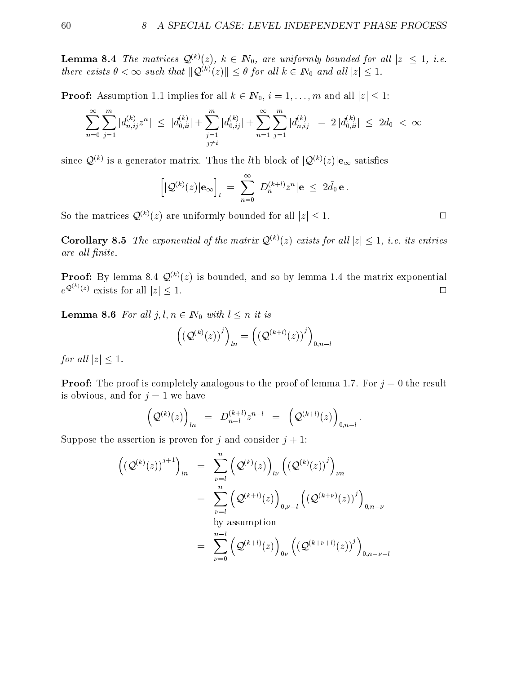**Lemma 8.4** The matrices  $Q^{(k)}(z)$ ,  $k \in \mathbb{N}_0$ , are uniformly bounded for all  $|z| \leq 1$ , i.e. there exists  $\theta < \infty$  such that  $\|\mathcal{Q}^{(k)}(z)\| \leq \theta$  for all  $k \in \mathbb{N}_0$  and all  $|z| \leq 1$ .

**Proof:** Assumption 1.1 implies for all  $k \in \mathbb{N}_0$ ,  $i = 1, \ldots, m$  and all  $|z| \leq 1$ :

$$
\sum_{n=0}^{\infty}\sum_{j=1}^{m}|d_{n,ij}^{(k)}z^n|\leq |d_{0,ii}^{(k)}|+\sum_{\substack{j=1\\j\neq i}}^{m}|d_{0,ij}^{(k)}|+\sum_{n=1}^{\infty}\sum_{j=1}^{m}|d_{n,ij}^{(k)}|=2\,|d_{0,ii}^{(k)}|\leq 2\bar{d}_0\,<\,\infty
$$

since  $\mathcal{Q}^{(k)}$  is a generator matrix. Thus the *l*th block of  $|\mathcal{Q}^{(k)}(z)|\mathbf{e}_{\infty}$  satisfies

$$
\left[|\mathcal{Q}^{(k)}(z)|\mathbf{e}_{\infty}\right]_{l} \ = \ \sum_{n=0}^{\infty} |D^{(k+l)}_{n}z^{n}|\mathbf{e}| \leq \ 2 \bar{d}_{0} \, \mathbf{e} \, .
$$

So the matrices  $\mathcal{Q}^{(k)}(z)$  are uniformly bounded for all  $|z| < 1$ .

**Corollary 8.5** The exponential of the matrix  $Q^{(k)}(z)$  exists for all  $|z| \leq 1$ , i.e. its entries are all finite.

**Proof:** By lemma 8.4  $\mathcal{Q}^{(k)}(z)$  is bounded, and so by lemma 1.4 the matrix exponential  $e^{\mathcal{Q}^{(k)}(z)}$  exists for all  $|z| \leq 1$ .

**Lemma 8.6** For all  $j, l, n \in \mathbb{N}_0$  with  $l \leq n$  it is

$$
\left(\left(\mathcal{Q}^{(k)}(z)\right)^j\right)_{ln}=\left(\left(\mathcal{Q}^{(k+l)}(z)\right)^j\right)_{0,n-l}
$$

for all  $|z| \leq 1$ .

**Proof:** The proof is completely analogous to the proof of lemma 1.7. For  $j = 0$  the result is obvious, and for  $j = 1$  we have

$$
\Big( {\cal Q}^{(k)}(z) \Big)_{ln} \;\; = \;\; D^{(k+l)}_{n-l} z^{n-l} \;\; = \;\; \Big( {\cal Q}^{(k+l)}(z) \Big)_{0,n-l} \, .
$$

Suppose the assertion is proven for j and consider  $j + 1$ :

$$
\begin{aligned}\n\left(\left(\mathcal{Q}^{(k)}(z)\right)^{j+1}\right)_{ln} &= \sum_{\nu=l}^{n} \left(\mathcal{Q}^{(k)}(z)\right)_{l\nu} \left(\left(\mathcal{Q}^{(k)}(z)\right)^{j}\right)_{\nu n} \\
&= \sum_{\nu=l}^{n} \left(\mathcal{Q}^{(k+l)}(z)\right)_{0,\nu-l} \left(\left(\mathcal{Q}^{(k+\nu)}(z)\right)^{j}\right)_{0,n-\nu} \\
&= \sum_{\nu=0}^{n-l} \left(\mathcal{Q}^{(k+l)}(z)\right)_{0\nu} \left(\left(\mathcal{Q}^{(k+\nu+l)}(z)\right)^{j}\right)_{0,n-\nu-l}\n\end{aligned}
$$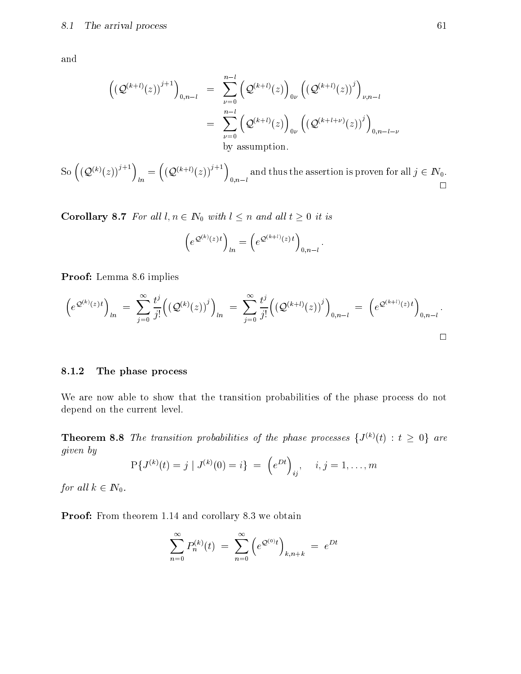and

$$
\begin{aligned}\n\left(\left(\mathcal{Q}^{(k+l)}(z)\right)^{j+1}\right)_{0,n-l} &= \sum_{\nu=0}^{n-l} \left(\mathcal{Q}^{(k+l)}(z)\right)_{0\nu} \left(\left(\mathcal{Q}^{(k+l)}(z)\right)^j\right)_{\nu,n-l} \\
&= \sum_{\nu=0}^{n-l} \left(\mathcal{Q}^{(k+l)}(z)\right)_{0\nu} \left(\left(\mathcal{Q}^{(k+l+\nu)}(z)\right)^j\right)_{0,n-l-\nu} \\
&\text{by assumption.}\n\end{aligned}
$$

So  $((\mathcal{O}^{(k)}(z))^{j+1}) = ((\mathcal{O}^{(k)}))^{j+1}$  $\ln$   $\sqrt{2}$   $\sqrt{2}$  $\left(\left(\mathcal{Q}^{(k+l)}(z)\right)^{j+1}\right)$  and the  $0,n-l$  $\Box$ 

**Corollary 8.7** For all  $l, n \in \mathbb{N}_0$  with  $l \leq n$  and all  $t \geq 0$  it is

$$
(e^{\mathcal{Q}^{(k)}(z) t})_{ln} = (e^{\mathcal{Q}^{(k+l)}(z) t})_{0,n-l}.
$$

Proof: Lemma 8.6 implies

$$
\left(e^{\mathcal{Q}^{(k)}(z) t}\right)_{ln} = \sum_{j=0}^{\infty} \frac{t^j}{j!} \left(\left(\mathcal{Q}^{(k)}(z)\right)^j\right)_{ln} = \sum_{j=0}^{\infty} \frac{t^j}{j!} \left(\left(\mathcal{Q}^{(k+l)}(z)\right)^j\right)_{0,n-l} = \left(e^{\mathcal{Q}^{(k+l)}(z) t}\right)_{0,n-l}.
$$

## 8.1.2 The phase process

We are now able to show that the transition probabilities of the phase process do not depend on the current level.

**Theorem 8.8** The transition probabilities of the phase processes  $\{J^{(k)}(t) : t \geq 0\}$  are given by

$$
P{J^{(k)}(t) = j | J^{(k)}(0) = i} = (e^{Dt})_{ij}, \quad i, j = 1, ..., m
$$

for all  $k \in \mathbb{N}_0$ .

Proof: From theorem 1.14 and corollary 8.3 we obtain

$$
\sum_{n=0}^{\infty} P_n^{(k)}(t) = \sum_{n=0}^{\infty} \left( e^{\mathcal{Q}^{(0)}t} \right)_{k,n+k} = e^{Dt}
$$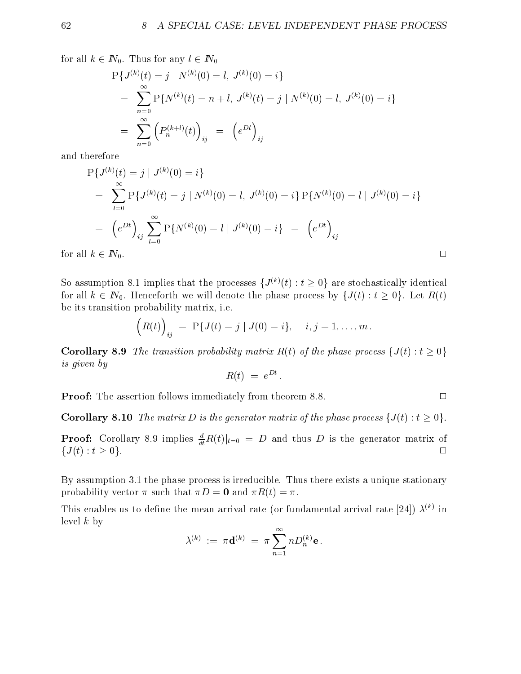for all  $k \in I\!N_0$ . Thus for any  $l \in I\!N_0$ 

$$
P{J^{(k)}(t) = j | N^{(k)}(0) = l, J^{(k)}(0) = i}
$$
  
= 
$$
\sum_{n=0}^{\infty} P{N^{(k)}(t) = n + l, J^{(k)}(t) = j | N^{(k)}(0) = l, J^{(k)}(0) = i}
$$
  
= 
$$
\sum_{n=0}^{\infty} (P_n^{(k+l)}(t))_{ij} = (e^{Dt})_{ij}
$$

and therefore

$$
P{J^{(k)}(t) = j | J^{(k)}(0) = i}
$$
  
= 
$$
\sum_{l=0}^{\infty} P{J^{(k)}(t) = j | N^{(k)}(0) = l, J^{(k)}(0) = i} P{N^{(k)}(0) = l | J^{(k)}(0) = i}
$$
  
= 
$$
(e^{Dt})_{ij} \sum_{l=0}^{\infty} P{N^{(k)}(0) = l | J^{(k)}(0) = i} = (e^{Dt})_{ij}
$$

for all  $k \in \mathbb{N}_0$ .

So assumption 8.1 implies that the processes  $\{J^{(k)}(t) : t \geq 0\}$  are stochastically identical for all  $k \in \mathbb{N}_0$ . Henceforth we will denote the phase process by  $\{J(t) : t \geq 0\}$ . Let  $R(t)$ be its transition probability matrix, i.e.

$$
(R(t))_{ij} = P\{J(t) = j \mid J(0) = i\}, \quad i, j = 1, \dots, m.
$$

**Corollary 8.9** The transition probability matrix  $R(t)$  of the phase process  $\{J(t): t \geq 0\}$ is given by

$$
R(t) = e^{Dt}.
$$

**Proof:** The assertion follows immediately from theorem 8.8.

**Corollary 8.10** The matrix D is the generator matrix of the phase process  $\{J(t): t \geq 0\}$ .

**Proof:** Corollary 8.9 implies  $\frac{d}{dt}R(t)|_{t=0} = D$  and thus D is the generator matrix of  $\{J(t): t \geq 0\}.$ 

By assumption 3.1 the phase process is irreducible. Thus there exists a unique stationary probability vector  $\pi$  such that  $\pi D = 0$  and  $\pi R(t) = \pi$ .

This enables us to define the mean arrival rate (or fundamental arrival rate [24])  $\lambda^{(k)}$  in level  $k$  by

$$
\lambda^{(k)} \ := \ \pi \mathbf{d}^{(k)} \ = \ \pi \sum_{n=1}^\infty n D^{(k)}_n \mathbf{e} \, .
$$

$$
\Box
$$

 $\Box$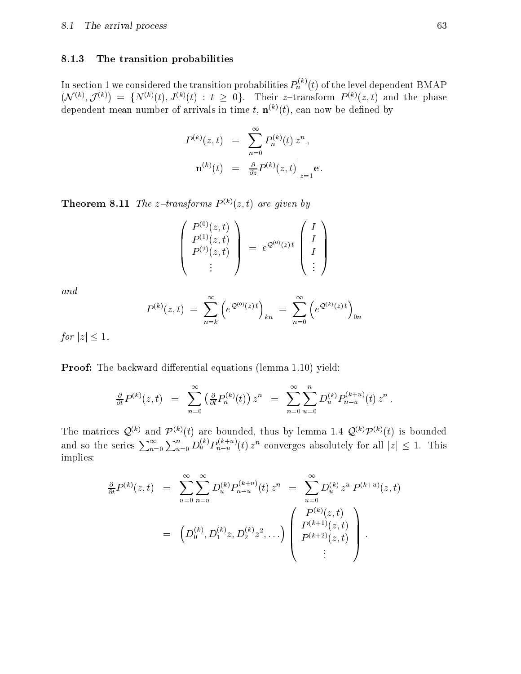## 8.1.3 The transition probabilities

In section 1 we considered the transition probabilities  $P_h^{\pi\ \prime}(t)$  of the level dependent BMAP  $(N^{(k)}, J^{(k)}) = \{N^{(k)}(t), J^{(k)}(t) \, : \, t \geq 0\}$ . Their z-transform  $P^{(k)}(z, t)$  and the phase dependent mean number of arrivals in time t,  $\mathbf{n}^{(k)}(t)$ , can now be defined by

$$
P^{(k)}(z,t) = \sum_{n=0}^{\infty} P_n^{(k)}(t) z^n ,
$$
  

$$
\mathbf{n}^{(k)}(t) = \frac{\partial}{\partial z} P^{(k)}(z,t) \Big|_{z=1} \mathbf{e} .
$$

**Theorem 8.11** The z-transforms  $P^{(k)}(z, t)$  are given by

$$
\begin{pmatrix}\nP^{(0)}(z,t) \\
P^{(1)}(z,t) \\
P^{(2)}(z,t) \\
\vdots\n\end{pmatrix} = e^{\mathcal{Q}^{(0)}(z) t} \begin{pmatrix}\nI \\
I \\
I \\
\vdots\n\end{pmatrix}
$$

and

$$
P^{(k)}(z,t) = \sum_{n=k}^{\infty} \left( e^{\mathcal{Q}^{(0)}(z) t} \right)_{kn} = \sum_{n=0}^{\infty} \left( e^{\mathcal{Q}^{(k)}(z) t} \right)_{0n}
$$

for  $|z| \leq 1$ .

**Proof:** The backward differential equations (lemma 1.10) yield:

$$
\frac{\partial}{\partial t}P^{(k)}(z,t) = \sum_{n=0}^{\infty} \left( \frac{\partial}{\partial t} P_n^{(k)}(t) \right) z^n = \sum_{n=0}^{\infty} \sum_{u=0}^n D_u^{(k)} P_{n-u}^{(k+u)}(t) z^n.
$$

The matrices  $\mathcal{Q}^{(k)}$  and  $\mathcal{P}^{(k)}(t)$  are bounded, thus by lemma 1.4  $\mathcal{Q}^{(k)}\mathcal{P}^{(k)}(t)$  is bounded and so the series  $\sum_{n=0}^{\infty}\sum_{u=0}^{n}D_u^{(\kappa)}P_{n-u}^{(\kappa+u)}(t) z^n$  converges absolutely for all  $|z|\leq 1$ . This implies:

$$
\frac{\partial}{\partial t}P^{(k)}(z,t) = \sum_{u=0}^{\infty} \sum_{n=u}^{\infty} D_u^{(k)} P_{n-u}^{(k+u)}(t) z^n = \sum_{u=0}^{\infty} D_u^{(k)} z^u P^{(k+u)}(z,t) \n= (D_0^{(k)}, D_1^{(k)} z, D_2^{(k)} z^2, \ldots) \begin{pmatrix} P^{(k)}(z,t) \\ P^{(k+1)}(z,t) \\ P^{(k+2)}(z,t) \\ \vdots \end{pmatrix}.
$$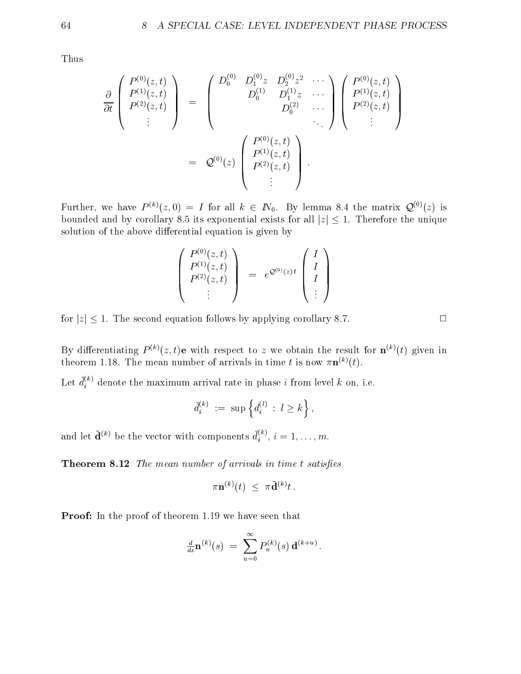Thus

$$
\frac{\partial}{\partial t}\begin{pmatrix} P^{(0)}(z,t) \\ P^{(1)}(z,t) \\ P^{(2)}(z,t) \\ \vdots \end{pmatrix} = \begin{pmatrix} D_0^{(0)} & D_1^{(0)}z & D_2^{(0)}z^2 & \cdots \\ D_0^{(1)} & D_1^{(1)}z & \cdots \\ D_0^{(2)} & \cdots & D_0^{(2)} \\ \vdots & \vdots \end{pmatrix} \begin{pmatrix} P^{(0)}(z,t) \\ P^{(2)}(z,t) \\ \vdots \end{pmatrix}
$$

$$
= \mathcal{Q}^{(0)}(z) \begin{pmatrix} P^{(0)}(z,t) \\ P^{(1)}(z,t) \\ P^{(2)}(z,t) \\ \vdots \end{pmatrix}.
$$

Further, we have  $P^{(k)}(z,0) = I$  for all  $k \in \mathbb{N}_0$ . By lemma 8.4 the matrix  $\mathcal{Q}^{(0)}(z)$  is bounded and by corollary 8.5 its exponential exists for all  $|z| \leq 1$ . Therefore the unique solution of the above differential equation is given by

$$
\begin{pmatrix}\nP^{(0)}(z,t) \\
P^{(1)}(z,t) \\
P^{(2)}(z,t) \\
\vdots\n\end{pmatrix} = e^{\mathcal{Q}^{(0)}(z)t} \begin{pmatrix}\nI \\
I \\
I \\
\vdots\n\end{pmatrix}
$$

for  $|z| \leq 1$ . The second equation follows by applying corollary 8.7.

By differentiating  $P^{(k)}(z,t)$ e with respect to z we obtain the result for  $\mathbf{n}^{(k)}(t)$  given in theorem 1.18. The mean number of arrivals in time t is now  $\pi \mathbf{n}^{(k)}(t)$ .

Let  $d_i^{\scriptscriptstyle (\cdots)}$  denote the maximum arrival rate in phase  $i$  from level k on, i.e.

$$
\bar d_i^{(k)} \ := \ \sup \left\{ d_i^{(l)} \ : \ l \geq k \right\},
$$

and let  $\mathbf{d}^{(k)}$  be the vector with components  $d_i^{(k)}, i = 1,\ldots,m$ .

**Theorem 8.12** The mean number of arrivals in time  $t$  satisfies

$$
\pi \mathbf{n}^{(k)}(t) \ \leq \ \pi \bar{\mathbf{d}}^{(k)} t \ .
$$

Proof: In the proof of theorem 1.19 we have seen that

$$
\frac{d}{ds}\mathbf{n}^{(k)}(s) = \sum_{u=0}^{\infty} P_u^{(k)}(s) \mathbf{d}^{(k+u)}.
$$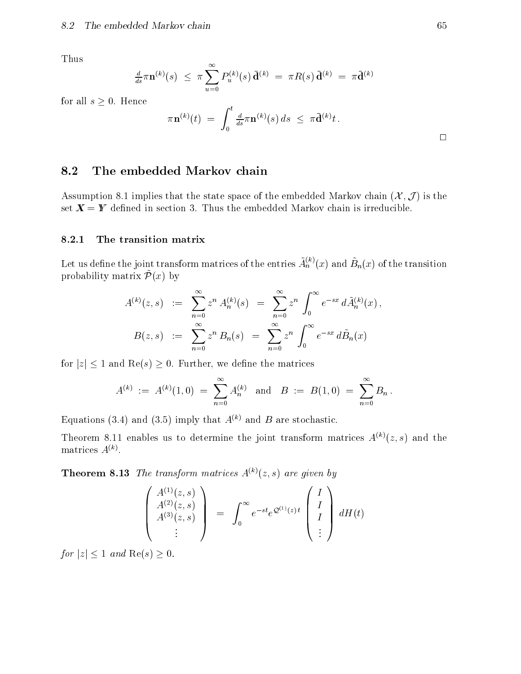Thus

$$
\frac{d}{ds}\pi \mathbf{n}^{(k)}(s) \ \leq \ \pi \sum_{u=0}^{\infty} P_u^{(k)}(s) \, \bar{\mathbf{d}}^{(k)} \ = \ \pi R(s) \, \bar{\mathbf{d}}^{(k)} \ = \ \pi \bar{\mathbf{d}}^{(k)}
$$

for all  $s \geq 0$ . Hence

$$
\pi {\bf n}^{(k)}(t)\; =\; \int_0^t \tfrac{d}{ds} \pi {\bf n}^{(k)}(s)\, ds\;\leq\; \pi \bar{{\bf d}}^{(k)} t\, .
$$

## 8.2 The embedded Markov chain

Assumption 8.1 implies that the state space of the embedded Markov chain  $(\mathcal{X}, \mathcal{J})$  is the set  $X = Y$  defined in section 3. Thus the embedded Markov chain is irreducible.

## 8.2.1 The transition matrix

Let us define the joint transform matrices of the entries  $A_n^{\sim}(x)$  and  $B_n(x)$  of the transition  $p_1$ obability matrix  $P(x)$  by

$$
A^{(k)}(z,s) := \sum_{n=0}^{\infty} z^n A_n^{(k)}(s) = \sum_{n=0}^{\infty} z^n \int_0^{\infty} e^{-sx} d\tilde{A}_n^{(k)}(x),
$$
  

$$
B(z,s) := \sum_{n=0}^{\infty} z^n B_n(s) = \sum_{n=0}^{\infty} z^n \int_0^{\infty} e^{-sx} d\tilde{B}_n(x)
$$

for  $|z| \leq 1$  and  $\text{Re}(s) \geq 0$ . Further, we define the matrices

$$
A^{(k)} \;:=\; A^{(k)}(1,0) \;=\; \sum_{n=0}^\infty A^{(k)}_n \quad \text{and} \quad B \;:=\; B(1,0) \;=\; \sum_{n=0}^\infty B_n\,.
$$

Equations (3.4) and (3.5) imply that  $A^{(k)}$  and B are stochastic.

Theorem 8.11 enables us to determine the joint transform matrices  $A^{(k)}(z, s)$  and the  $maturices$   $A^{\vee\vee}$ .

**Theorem 8.13** The transform matrices  $A^{(k)}(z, s)$  are given by

$$
\begin{pmatrix}\nA^{(1)}(z,s) \\
A^{(2)}(z,s) \\
A^{(3)}(z,s) \\
\vdots\n\end{pmatrix} = \int_0^\infty e^{-st} e^{\mathcal{Q}^{(1)}(z)t} \begin{pmatrix}\nI \\
I \\
I \\
\vdots\n\end{pmatrix} dH(t)
$$

for  $|z| \leq 1$  and  $\text{Re}(s) \geq 0$ .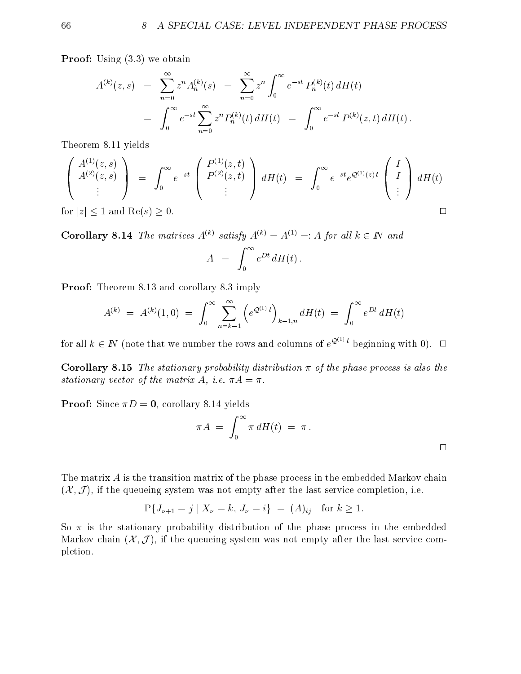**Proof:** Using  $(3.3)$  we obtain

$$
A^{(k)}(z,s) = \sum_{n=0}^{\infty} z^n A_n^{(k)}(s) = \sum_{n=0}^{\infty} z^n \int_0^{\infty} e^{-st} P_n^{(k)}(t) dH(t)
$$
  
= 
$$
\int_0^{\infty} e^{-st} \sum_{n=0}^{\infty} z^n P_n^{(k)}(t) dH(t) = \int_0^{\infty} e^{-st} P^{(k)}(z,t) dH(t).
$$

Theorem 8.11 yields

$$
\begin{pmatrix}\nA^{(1)}(z,s) \\
A^{(2)}(z,s) \\
\vdots\n\end{pmatrix} = \int_0^\infty e^{-st} \begin{pmatrix}\nP^{(1)}(z,t) \\
P^{(2)}(z,t) \\
\vdots\n\end{pmatrix} dH(t) = \int_0^\infty e^{-st} e^{\mathcal{Q}^{(1)}(z)t} \begin{pmatrix}\nI \\
I \\
\vdots\n\end{pmatrix} dH(t)
$$
\nor |z| < 1 and Be(s) > 0.

for  $|z| \leq 1$  and  $\text{Re}(s) \geq 0$ .

**Corollary 8.14** The matrices  $A^{(k)}$  satisfy  $A^{(k)} = A^{(1)} =: A$  for all  $k \in \mathbb{N}$  and za za na matsa ya mwaka wa 1972, wakazi wa 1972, wakazi wa 1982, wakazi wa 1982, wakazi wa 1982, wakazi wa 198

$$
A = \int_0^\infty e^{Dt} dH(t) .
$$

**Proof:** Theorem 8.13 and corollary 8.3 imply

$$
A^{(k)} \ = \ A^{(k)}(1,0) \ = \ \int_0^\infty \sum_{n=k-1}^\infty \left( e^{\mathcal{Q}^{(1)}} \, t \right)_{k-1,n} dH(t) \ = \ \int_0^\infty e^{Dt} \, dH(t)
$$

for all  $k \in \mathbb{N}$  (note that we number the rows and columns of  $e^{\mathcal{Q}^{(1)}t}$  beginning with 0).  $\Box$ 

**Corollary 8.15** The stationary probability distribution  $\pi$  of the phase process is also the stationary vector of the matrix A, i.e.  $\pi A = \pi$ .

**Proof:** Since  $\pi D = 0$ , corollary 8.14 yields

$$
\pi A = \int_0^\infty \pi \, dH(t) = \pi \, .
$$

The matrix A is the transition matrix of the phase process in the embedded Markov chain  $(X, \mathcal{J})$ , if the queueing system was not empty after the last service completion, i.e.

$$
P\{J_{\nu+1}=j \mid X_{\nu}=k,\, J_{\nu}=i\} \ = \ (A)_{ij} \quad \text{for } k \ge 1.
$$

So  $\pi$  is the stationary probability distribution of the phase process in the embedded Markov chain  $(\mathcal{X}, \mathcal{J})$ , if the queueing system was not empty after the last service completion.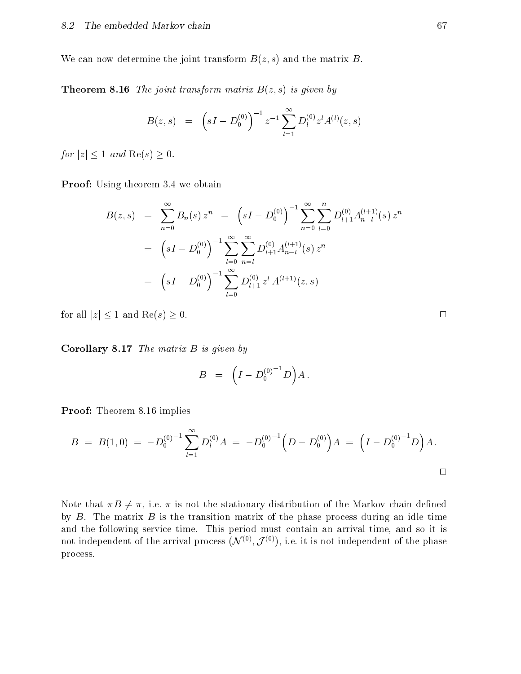We can now determine the joint transform  $B(z, s)$  and the matrix B.

**Theorem 8.16** The joint transform matrix  $B(z, s)$  is given by

$$
B(z,s) = (sI - D_0^{(0)})^{-1} z^{-1} \sum_{l=1}^{\infty} D_l^{(0)} z^l A^{(l)}(z,s)
$$

for  $|z| \leq 1$  and  $\text{Re}(s) \geq 0$ .

**Proof:** Using theorem 3.4 we obtain

$$
B(z,s) = \sum_{n=0}^{\infty} B_n(s) z^n = (sI - D_0^{(0)})^{-1} \sum_{n=0}^{\infty} \sum_{l=0}^{n} D_{l+1}^{(0)} A_{n-l}^{(l+1)}(s) z^n
$$
  

$$
= (sI - D_0^{(0)})^{-1} \sum_{l=0}^{\infty} \sum_{n=l}^{\infty} D_{l+1}^{(0)} A_{n-l}^{(l+1)}(s) z^n
$$
  

$$
= (sI - D_0^{(0)})^{-1} \sum_{l=0}^{\infty} D_{l+1}^{(0)} z^l A^{(l+1)}(z,s)
$$

for all  $|z| \le 1$  and  $\text{Re}(s) \ge 0$ .

Corollary 8.17 The matrix B is given by

$$
B = \left( I - D_0^{(0)}{}^{-1} D \right) A \, .
$$

Proof: Theorem 8.16 implies

$$
B = B(1,0) = -D_0^{(0)-1} \sum_{l=1}^{\infty} D_l^{(0)} A = -D_0^{(0)-1} \Big( D - D_0^{(0)} \Big) A = \Big( I - D_0^{(0)-1} D \Big) A.
$$

Note that  $\pi B \neq \pi$ , i.e.  $\pi$  is not the stationary distribution of the Markov chain defined by  $B$ . The matrix  $B$  is the transition matrix of the phase process during an idle time and the following service time. This period must contain an arrival time, and so it is not independent of the arrival process  $(\mathcal{N}^{(*)}, \mathcal{J}^{(*)})$ , i.e. it is not independent of the phase process.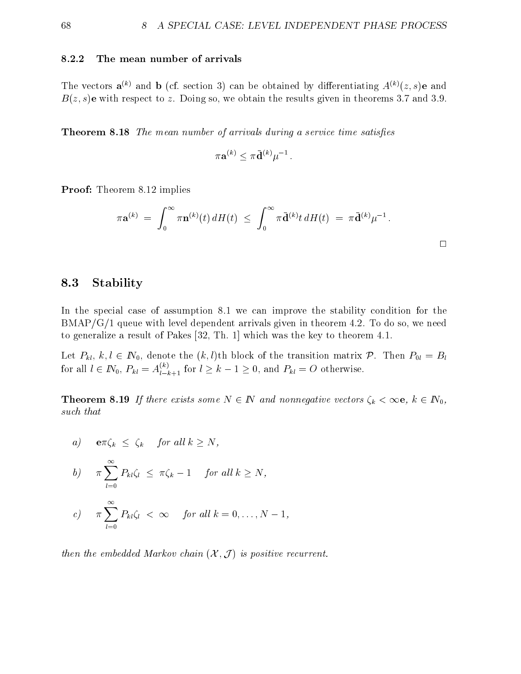### 8.2.2 The mean number of arrivals

The vectors  $\mathbf{a}^{(k)}$  and  $\mathbf{b}$  (cf. section 3) can be obtained by differentiating  $A^{(k)}(z, s)$ **e** and  $B(z, s)$ e with respect to z. Doing so, we obtain the results given in theorems 3.7 and 3.9.

**Theorem 8.18** The mean number of arrivals during a service time satisfies

$$
\pi \mathbf{a}^{(k)} < \pi \bar{\mathbf{d}}^{(k)} \mu^{-1} \, .
$$

Proof: Theorem 8.12 implies

$$
\pi \mathbf{a}^{(k)} = \int_0^\infty \pi \mathbf{n}^{(k)}(t) dH(t) \leq \int_0^\infty \pi \bar{\mathbf{d}}^{(k)} t dH(t) = \pi \bar{\mathbf{d}}^{(k)} \mu^{-1}.
$$

## 8.3 Stability

In the special case of assumption 8.1 we can improve the stability condition for the BMAP/G/1 queue with level dependent arrivals given in theorem 4.2. To do so, we need to generalize a result of Pakes [32, Th. 1] which was the key to theorem 4.1.

Let  $P_{kl}$ ,  $k, l \in \mathbb{N}_0$ , denote the  $(k, l)$ th block of the transition matrix  $\mathcal{P}$ . Then  $P_{0l} = B_l$ for all  $l \in I\!N_0$ ,  $P_{kl} = A_{l-k+1}^{k}$  for  $l \geq k-1 \geq 0$ , and  $P_{kl} = O$  otherwise.

**Theorem 8.19** If there exists some  $N \in \mathbb{N}$  and nonnegative vectors  $\zeta_k < \infty$ ,  $k \in \mathbb{N}_0$ , such that

a)  $\mathbf{e}\pi\zeta_k \leq \zeta_k$  for all  $k \geq N$ ,

b) 
$$
\pi \sum_{l=0}^{\infty} P_{kl} \zeta_l \leq \pi \zeta_k - 1
$$
 for all  $k \geq N$ ,

c) 
$$
\pi \sum_{l=0}^{N} P_{kl} \zeta_l < \infty
$$
 for all  $k = 0, ..., N-1$ ,

then the embedded Markov chain  $(X, \mathcal{J})$  is positive recurrent.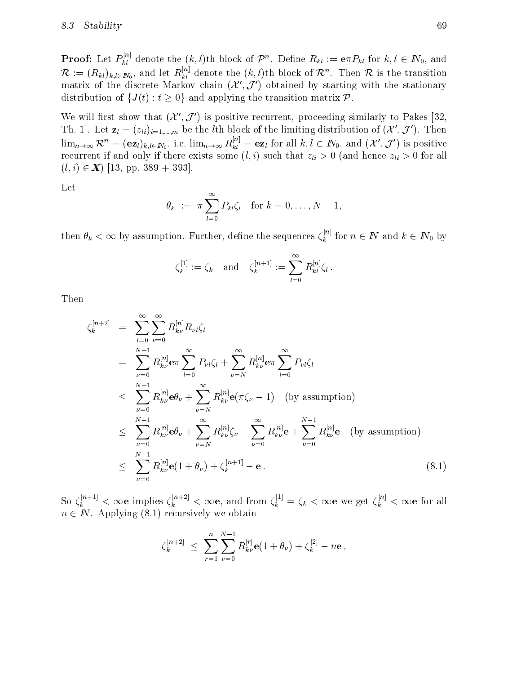**Proof:** Let  $P_{kl}^{(n)}$  denote the  $(k,l)$ th block of  $\mathcal{P}^n$ . Define  $R_{kl} := \mathbf{e} \pi P_{kl}$  for  $k,l \in I\!N_0$ , and  $\mathcal{R} := (R_{kl})_{k,l \in I\!N_0}$ , and let  $R_{kl}$  denote the  $(k,l)$ th block of  $\mathcal{R}^n$ . Then  $\mathcal{R}$  is the transition matrix of the discrete Markov chain ( $\lambda$  ,  $J$  ) obtained by starting with the stationary distribution of  $\{J(t): t \geq 0\}$  and applying the transition matrix  $\mathcal{P}$ .

We will first show that  $(\mathcal{X}', \mathcal{J}')$  is positive recurrent, proceeding similarly to Pakes [32, Th. 1]. Let  $\mathbf{z}_l = (z_{li})_{i=1,...,m}$  be the *l*th block of the limiting distribution of  $(\mathcal{X}', \mathcal{J}')$ . Then  $\lim_{n\to\infty} \mathcal{K}^n = (\mathbf{e}\mathbf{z}_l)_{k,l\in N_0}$ , i.e.  $\lim_{n\to\infty} R_{kl}^{n,j} = \mathbf{e}\mathbf{z}_l$  for all  $k,l\in I\!N_0$ , and  $(\mathcal{X}',\mathcal{J}')$  is positive recurrent if there exists some contract some (i) ) such that  $\{a,b,c\}$  ,  $0$  (where zith  $\{a,b,c\}$  ,  $0$  for all  $(l, i) \in \mathbb{X}$  [13, pp. 389 + 393].

Let

$$
\theta_k := \pi \sum_{l=0}^{\infty} P_{kl} \zeta_l \quad \text{for } k = 0, \dots, N-1,
$$

then  $\theta_k < \infty$  by assumption. Further, define the sequences  $\zeta_k$  for  $n$  $k$  and  $k$  is  $2 - 1$  and  $k$  in  $2 - 0$  by

$$
\zeta_k^{[1]}:=\zeta_k\quad\text{and}\quad \zeta_k^{[n+1]}:=\sum_{l=0}^\infty R_{kl}^{[n]}\zeta_l\,.
$$

Then

$$
\zeta_{k}^{[n+2]} = \sum_{l=0}^{\infty} \sum_{\nu=0}^{\infty} R_{k\nu}^{[n]} R_{\nu l} \zeta_{l}
$$
\n
$$
= \sum_{\nu=0}^{N-1} R_{k\nu}^{[n]} \mathbf{e} \pi \sum_{l=0}^{\infty} P_{\nu l} \zeta_{l} + \sum_{\nu=N}^{\infty} R_{k\nu}^{[n]} \mathbf{e} \pi \sum_{l=0}^{\infty} P_{\nu l} \zeta_{l}
$$
\n
$$
\leq \sum_{\nu=0}^{N-1} R_{k\nu}^{[n]} \mathbf{e} \theta_{\nu} + \sum_{\nu=N}^{\infty} R_{k\nu}^{[n]} \mathbf{e} (\pi \zeta_{\nu} - 1) \quad \text{(by assumption)}
$$
\n
$$
\leq \sum_{\nu=0}^{N-1} R_{k\nu}^{[n]} \mathbf{e} \theta_{\nu} + \sum_{\nu=N}^{\infty} R_{k\nu}^{[n]} \zeta_{\nu} - \sum_{\nu=0}^{\infty} R_{k\nu}^{[n]} \mathbf{e} + \sum_{\nu=0}^{N-1} R_{k\nu}^{[n]} \mathbf{e} \quad \text{(by assumption)}
$$
\n
$$
\leq \sum_{\nu=0}^{N-1} R_{k\nu}^{[n]} \mathbf{e} (1 + \theta_{\nu}) + \zeta_{k}^{[n+1]} - \mathbf{e}. \tag{8.1}
$$

So  $\zeta_k^{n+2} < \infty$ e implies  $\zeta_k^{n+2} < \infty$ e, and from  $\zeta_k^{n+1} = \zeta_k < \infty$ e we get  $\zeta_k^{n+1} < \infty$ e for all  $n \in \mathbb{N}$ . Applying (8.1) recursively we obtain

$$
\zeta_k^{[n+2]} \,\,\leq\,\, \sum_{r=1}^n \sum_{\nu=0}^{N-1} R^{[r]}_{k\nu} \mathbf{e}(1+\theta_\nu\, + \zeta_k^{[2]} - n\mathbf{e} \,,
$$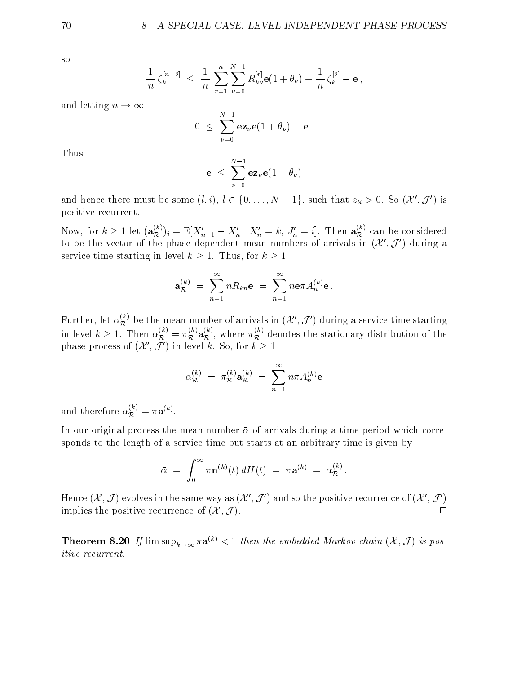so

$$
\frac{1}{n}\zeta_k^{[n+2]}\ \leq\ \frac{1}{n}\,\sum_{r=1}^n\sum_{\nu=0}^{N-1}R_{k\nu}^{[r]}{\bf e}(1+\theta_{\nu})+\frac{1}{n}\,\zeta_k^{[2]}-{\bf e}\,,
$$

and letting  $n \to \infty$ 

$$
0 \leq \sum_{\nu=0}^{N-1} \mathbf{e} \mathbf{z}_{\nu} \mathbf{e} (1 + \theta_{\nu}) - \mathbf{e}.
$$

Thus

$$
\mathbf{e} \; \leq \; \sum_{\nu=0}^{N-1} \mathbf{e} \mathbf{z}_\nu \mathbf{e} (1+\theta_\nu)
$$

and hence there must be some  $(l, i)$ ,  $l \in \{0, \ldots, N - 1\}$ , such that  $z_{li} > 0$ . So  $(\mathcal{X}', \mathcal{J}')$  is positive recurrent.

Now, for  $k \geq 1$  let  $(a_{\mathcal{R}}^{\infty})_i = \mathbb{E}[X_{n+1} - X_n | X_n = k, J_n = i]$ . Then  $a_{\mathcal{R}}^{\infty}$  can be considered to be the vector of the phase dependent mean numbers of arrivals in  $(\mathcal{X}', \mathcal{J}')$  during a service time starting in level  $k \geq 1$ . Thus, for  $k \geq 1$ 

$$
{\bf a}_{{\cal R}}^{(k)}\;=\;\sum_{n=1}^\infty nR_{kn}{\bf e}\;=\;\sum_{n=1}^\infty n{\bf e}\pi A_n^{(k)}{\bf e}\,.
$$

Further, let  $\alpha_{\mathcal{R}}^{\omega}$  be the mean number of arrivals in  $(\mathcal{X}', \mathcal{J}')$  during a service time starting in level  $k\geq 1$ . Then  $\alpha_{\cal R}^{\times}=\pi_{\cal R}^{\times}$  a<sub> ${\cal R}^{\times}$ </sub>, where  $\pi_{\cal R}^{\times}$  denotes the stationary distribution of the phase process of  $(\mathcal{X}', \tilde{\mathcal{J}}')$  in level k. So, for  $k \geq 1$ 

$$
\alpha_{\mathcal{R}}^{(k)} \ = \ \pi_{\mathcal{R}}^{(k)} \mathbf{a}_{\mathcal{R}}^{(k)} \ = \ \sum_{n=1}^{\infty} n \pi A_n^{(k)} \mathbf{e}
$$

and therefore  $\alpha_{\mathcal{R}}^{\times} = \pi \mathbf{a}^{\mathcal{R}}$ .

In our original process the mean number  $\bar{\alpha}$  of arrivals during a time period which corresponds to the length of a service time but starts at an arbitrary time is given by

$$
\bar{\alpha} \,\,=\,\, \int_0^\infty \pi {\bf n}^{(k)}(t) \, dH(t) \,\,=\,\, \pi {\bf a}^{(k)} \,\,=\,\, \alpha_{\cal R}^{(k)} \, .
$$

Hence  $(\mathcal{X}, \mathcal{J})$  evolves in the same way as  $(\mathcal{X}', \mathcal{J}')$  and so the positive recurrence of  $(\mathcal{X}', \mathcal{J}')$ implies the positive recurrence of  $(\mathcal{X}, \mathcal{J})$ .  $\Box$ 

**Theorem 8.20** If  $\limsup_{k\to\infty} \pi \mathbf{a}^{(k)} < 1$  then the embedded Markov chain  $(\mathcal{X}, \mathcal{J})$  is positive recurrent.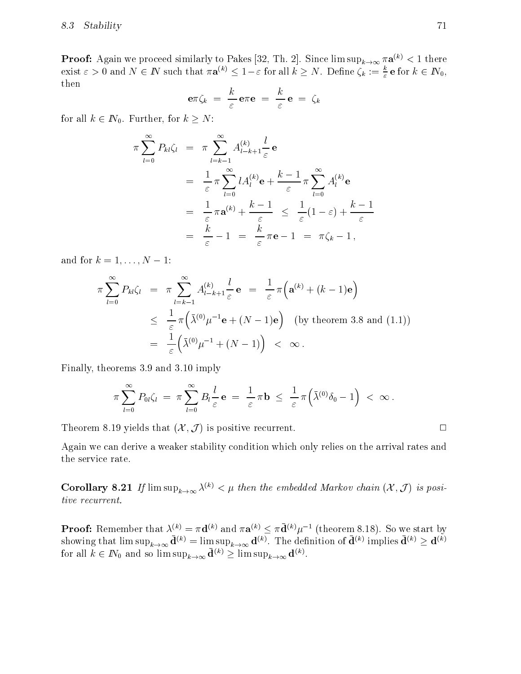**Proof:** Again we proceed similarly to Pakes [52, Th. 2]. Since lim sup $_{k\to\infty}$  # $\mathbf{a}^{k\to\infty}$  < 1 there exist  $\varepsilon > 0$  and  $N \in I$  such that  $\pi \mathbf{a}^{(k)} \leq 1 - \varepsilon$  for all  $k \geq N$ . Define  $\zeta_k := \frac{\varepsilon}{\varepsilon} \mathbf{e}$  for  $k \in I\mathbb{N}_0$ , then

$$
\mathbf{e}\pi\zeta_k = \frac{k}{\varepsilon}\mathbf{e}\pi\mathbf{e} = \frac{k}{\varepsilon}\mathbf{e} = \zeta_k
$$

for all  $k \in \mathbb{N}_0$ . Further, for  $k \geq N$ :

$$
\pi \sum_{l=0}^{\infty} P_{kl} \zeta_l = \pi \sum_{l=k-1}^{\infty} A_{l-k+1}^{(k)} \frac{l}{\varepsilon} \mathbf{e}
$$
  
\n
$$
= \frac{1}{\varepsilon} \pi \sum_{l=0}^{\infty} l A_l^{(k)} \mathbf{e} + \frac{k-1}{\varepsilon} \pi \sum_{l=0}^{\infty} A_l^{(k)} \mathbf{e}
$$
  
\n
$$
= \frac{1}{\varepsilon} \pi \mathbf{a}^{(k)} + \frac{k-1}{\varepsilon} \le \frac{1}{\varepsilon} (1-\varepsilon) + \frac{k-1}{\varepsilon}
$$
  
\n
$$
= \frac{k}{\varepsilon} - 1 = \frac{k}{\varepsilon} \pi \mathbf{e} - 1 = \pi \zeta_k - 1,
$$

and for  $k = 1, ..., N - 1$ :

$$
\pi \sum_{l=0}^{\infty} P_{kl} \zeta_l = \pi \sum_{l=k-1}^{\infty} A_{l-k+1}^{(k)} \frac{l}{\varepsilon} \mathbf{e} = \frac{1}{\varepsilon} \pi \Big( \mathbf{a}^{(k)} + (k-1) \mathbf{e} \Big)
$$
  
\n
$$
\leq \frac{1}{\varepsilon} \pi \Big( \bar{\lambda}^{(0)} \mu^{-1} \mathbf{e} + (N-1) \mathbf{e} \Big) \quad \text{(by theorem 3.8 and (1.1))}
$$
  
\n
$$
= \frac{1}{\varepsilon} \Big( \bar{\lambda}^{(0)} \mu^{-1} + (N-1) \Big) \quad \text{&} \quad \infty \, .
$$

Finally, theorems 3.9 and 3.10 imply

$$
\pi \sum_{l=0}^{\infty} P_{0l} \zeta_l \; = \; \pi \sum_{l=0}^{\infty} B_l \frac{l}{\varepsilon} \, \mathbf{e} \; = \; \frac{1}{\varepsilon} \, \pi \mathbf{b} \; \leq \; \frac{1}{\varepsilon} \, \pi \Big( \bar{\lambda}^{(0)} \delta_0 - 1 \Big) \; < \; \infty \, .
$$

Theorem 8.19 yields that  $(\mathcal{X}, \mathcal{J})$  is positive recurrent.

Again we can derive a weaker stability condition which only relies on the arrival rates and the service rate.

**Corollary 8.21** If  $\limsup_{k\to\infty} \lambda^{(k)} < \mu$  then the embedded Markov chain  $(\mathcal{X}, \mathcal{J})$  is positive recurrent.

**Proof:** Remember that  $\lambda^{(n)} = \pi \mathbf{d}^{(n)}$  and  $\pi \mathbf{a}^{(n)} \leq \pi \mathbf{d}^{(n)} \mu^{-1}$  (theorem 8.18). So we start by showing that lim sup $_{k\to\infty}$   $\mathbf{d}^{\scriptscriptstyle{(n)}}$  = lim sup $_{k\to\infty}$   $\mathbf{d}^{\scriptscriptstyle{(n)}}$ . The definition of  $\mathbf{d}^{\scriptscriptstyle{(n)}}$  implies  $\mathbf{d}^{\scriptscriptstyle{(n)}} \geq \mathbf{d}^{\scriptscriptstyle{(n)}}$ for all  $\kappa \in I\mathfrak{v}_0$  and so lim  $\sup_{k\to\infty} \mathbf{d}^{\times/2} \geq \limsup_{k\to\infty} \mathbf{d}^{\times/2}$ .

 $\Box$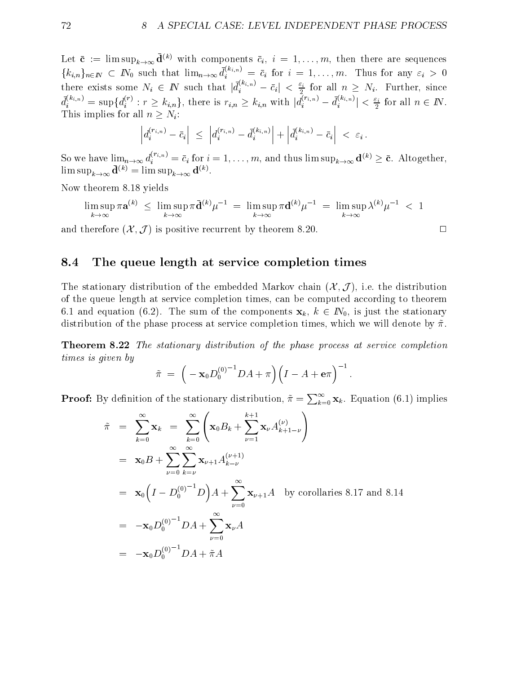Let  $c := \min \sup_{k \to \infty} \mathbf{d}^{i \cdot \cdot}$  with components  $c_i, i = 1, \ldots, m$ , then there are sequences  $\{k_{i,n}\}_{n\in\mathbb{N}}$   $\subset$   $\mathbb{N}_0$  such that  $\lim_{n\to\infty} d_i^{s_{i,n}} = c_i$  for  $i = 1,\ldots,m$ . Thus for any  $\varepsilon_i > 0$ there exists some  $N_i \in I\!N$  such that  $|d_i^{(m_i,n)} - c_i| < \frac{\varepsilon_1}{2}$  for all  $n \ge N_i$ . Further, since  $d_i^{(r_i,n)} = \sup\{d_i^{(r_i)}: r \geq k_{i,n}\}\$ , there is  $r_{i,n} \geq k_{i,n}$  with  $|d_i^{(r_i,n)} - d_i^{(r_i,n)}| < \frac{\varepsilon_i}{2}$  for all  $n \in \mathbb{N}$ . This implies for all  $n > N<sub>i</sub>$ :

$$
\left|d_i^{(r_{i,n})}-\bar{c}_i\right| \leq \left|d_i^{(r_{i,n})}-\bar{d}_i^{(k_{i,n})}\right|+\left|\bar{d}_i^{(k_{i,n})}-\bar{c}_i\right| < \varepsilon_i.
$$

So we have  $\lim_{n\to\infty} d_i^{r,\ldots} = c_i$  for  $i = 1,\ldots,m$ , and thus  $\limsup_{k\to\infty} \mathbf{d}^{(k)} \geq \mathbf{c}$ . Altogether,  $\limsup_{k\to\infty} \mathbf{u}^{\scriptscriptstyle\vee} \neq \limsup_{k\to\infty} \mathbf{u}^{\scriptscriptstyle\vee}$ .

Now theorem 8.18 yields

$$
\limsup_{k \to \infty} \pi \mathbf{a}^{(k)} \leq \limsup_{k \to \infty} \pi \bar{\mathbf{d}}^{(k)} \mu^{-1} = \limsup_{k \to \infty} \pi \mathbf{d}^{(k)} \mu^{-1} = \limsup_{k \to \infty} \lambda^{(k)} \mu^{-1} < 1
$$

and therefore  $(\mathcal{X}, \mathcal{J})$  is positive recurrent by theorem 8.20.

### 8.4 The queue length at service completion times

The stationary distribution of the embedded Markov chain  $(\mathcal{X}, \mathcal{J})$ , i.e. the distribution of the queue length at service completion times, can be computed according to theorem 6.1 and equation (6.2). The sum of the components  $x_k, k \in \mathbb{N}_0$ , is just the stationary distribution of the phase process at service completion times, which we will denote by  $\tilde{\pi}$ .

Theorem 8.22 The stationary distribution of the phase process at service completion times is given by

$$
\tilde{\pi} \; = \; \Big( - \mathbf{x}_0 D_0^{(0)}{}^{-1} DA + \pi \Big) \Big( I - A + \mathbf{e} \pi \Big)^{-1} \, .
$$

**Proof:** By definition of the stationary distribution,  $\tilde{\pi} = \sum_{k=0}^{\infty} \mathbf{x}_k$ . Equation (6.1) implies

$$
\tilde{\pi} = \sum_{k=0}^{\infty} \mathbf{x}_k = \sum_{k=0}^{\infty} \left( \mathbf{x}_0 B_k + \sum_{\nu=1}^{k+1} \mathbf{x}_{\nu} A_{k+1-\nu}^{(\nu)} \right)
$$
\n
$$
= \mathbf{x}_0 B + \sum_{\nu=0}^{\infty} \sum_{k=\nu}^{\infty} \mathbf{x}_{\nu+1} A_{k-\nu}^{(\nu+1)}
$$
\n
$$
= \mathbf{x}_0 \left( I - D_0^{(0)^{-1}} D \right) A + \sum_{\nu=0}^{\infty} \mathbf{x}_{\nu+1} A \text{ by corollaries 8.17 and 8.14}
$$
\n
$$
= -\mathbf{x}_0 D_0^{(0)^{-1}} D A + \sum_{\nu=0}^{\infty} \mathbf{x}_{\nu} A
$$
\n
$$
= -\mathbf{x}_0 D_0^{(0)^{-1}} D A + \tilde{\pi} A
$$

$$
\Box
$$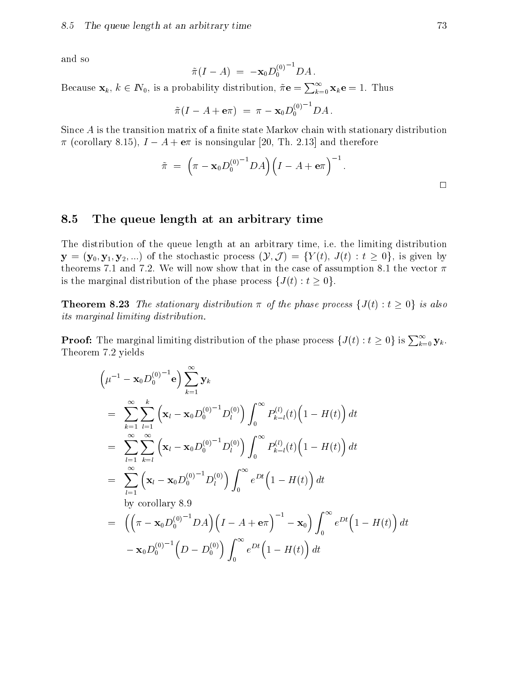and so

$$
\tilde{\pi}(I-A) = -\mathbf{x}_0 D_0^{(0)}{}^{-1} D A.
$$

Because  $\mathbf{x}_k, k \in \mathbb{N}_0$ , is a probability distribution,  $\tilde{\pi} \mathbf{e} = \sum_{k=0}^{\infty} \mathbf{x}_k \mathbf{e} = 1$ . Thus

$$
\tilde{\pi}(I - A + \mathbf{e}\pi) = \pi - \mathbf{x}_0 D_0^{(0)^{-1}} D A.
$$

Since  $A$  is the transition matrix of a finite state Markov chain with stationary distribution  $\pi$  (corollary 8.15),  $I - A + e\pi$  is nonsingular [20, Th. 2.13] and therefore

$$
\tilde{\pi} \;=\; \Big(\pi-{\mathbf x}_0D_0^{(0)}{}^{-1}DA\Big)\Big(I-A+\mathbf{e}\pi\Big)^{-1}\,.
$$

#### 8.5 The queue length at an arbitrary time

The distribution of the queue length at an arbitrary time, i.e. the limiting distribution  $\mathbf{y} = (\mathbf{y}_0, \mathbf{y}_1, \mathbf{y}_2, ...)$  of the stochastic process  $(\mathcal{Y}, \mathcal{J}) = \{Y(t), J(t) : t \geq 0\}$ , is given by theorems 7.1 and 7.2. We will now show that in the case of assumption 8.1 the vector  $\pi$ is the marginal distribution of the phase process  $\{J(t): t \geq 0\}.$ 

**Theorem 8.23** The stationary distribution  $\pi$  of the phase process  $\{J(t): t \geq 0\}$  is also its marginal limiting distribution.

**Proof:** The marginal limiting distribution of the phase process  $\{J(t): t \ge 0\}$  is  $\sum_{k=0}^{\infty} \mathbf{y}_k$ . Theorem 7.2 yields

$$
\begin{split}\n&\left(\mu^{-1} - \mathbf{x}_0 D_0^{(0)}^{-1} \mathbf{e}\right) \sum_{k=1}^{\infty} \mathbf{y}_k \\
&= \sum_{k=1}^{\infty} \sum_{l=1}^k \left(\mathbf{x}_l - \mathbf{x}_0 D_0^{(0)}^{-1} D_l^{(0)}\right) \int_0^{\infty} P_{k-l}^{(l)}(t) \left(1 - H(t)\right) dt \\
&= \sum_{l=1}^{\infty} \sum_{k=l}^{\infty} \left(\mathbf{x}_l - \mathbf{x}_0 D_0^{(0)}^{-1} D_l^{(0)}\right) \int_0^{\infty} P_{k-l}^{(l)}(t) \left(1 - H(t)\right) dt \\
&= \sum_{l=1}^{\infty} \left(\mathbf{x}_l - \mathbf{x}_0 D_0^{(0)}^{-1} D_l^{(0)}\right) \int_0^{\infty} e^{Dt} \left(1 - H(t)\right) dt \\
&\text{by corollary 8.9} \\
&= \left(\left(\pi - \mathbf{x}_0 D_0^{(0)}^{-1} DA\right) \left(I - A + \mathbf{e}\pi\right)^{-1} - \mathbf{x}_0\right) \int_0^{\infty} e^{Dt} \left(1 - H(t)\right) dt \\
&- \mathbf{x}_0 D_0^{(0)-1} \left(D - D_0^{(0)}\right) \int_0^{\infty} e^{Dt} \left(1 - H(t)\right) dt\n\end{split}
$$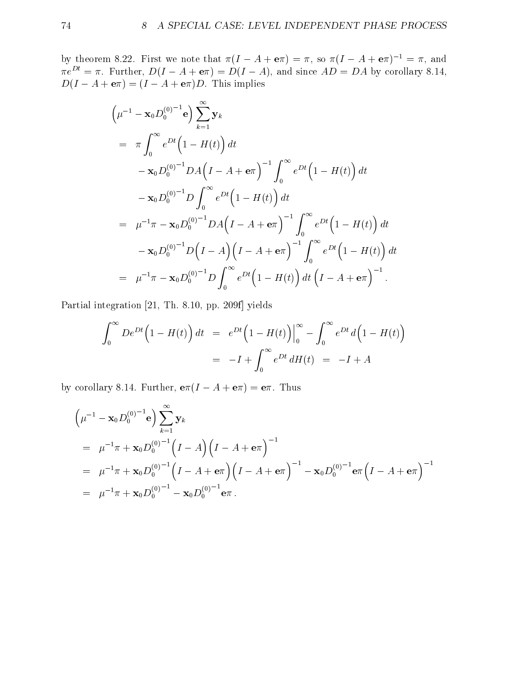by theorem 8.22. First we note that  $\pi(I - A + e) = \pi$ , so  $\pi(I - A + e)$   $I = \pi$ , and  $\pi e^- = \pi$ . Further,  $D(I - A + e\pi) = D(I - A)$ , and since  $AD = DA$  by corollary 8.14,  $D(I - A + e\pi) = (I - A + e\pi)D$ . This implies

$$
\left(\mu^{-1} - \mathbf{x}_0 D_0^{(0)}^{-1} \mathbf{e}\right) \sum_{k=1}^{\infty} \mathbf{y}_k
$$
\n
$$
= \pi \int_0^{\infty} e^{Dt} \left(1 - H(t)\right) dt
$$
\n
$$
- \mathbf{x}_0 D_0^{(0)}^{-1} DA \left(I - A + \mathbf{e}\pi\right)^{-1} \int_0^{\infty} e^{Dt} \left(1 - H(t)\right) dt
$$
\n
$$
- \mathbf{x}_0 D_0^{(0)}^{-1} D \int_0^{\infty} e^{Dt} \left(1 - H(t)\right) dt
$$
\n
$$
= \mu^{-1} \pi - \mathbf{x}_0 D_0^{(0)}^{-1} DA \left(I - A + \mathbf{e}\pi\right)^{-1} \int_0^{\infty} e^{Dt} \left(1 - H(t)\right) dt
$$
\n
$$
- \mathbf{x}_0 D_0^{(0)}^{-1} D \left(I - A\right) \left(I - A + \mathbf{e}\pi\right)^{-1} \int_0^{\infty} e^{Dt} \left(1 - H(t)\right) dt
$$
\n
$$
= \mu^{-1} \pi - \mathbf{x}_0 D_0^{(0)^{-1}} D \int_0^{\infty} e^{Dt} \left(1 - H(t)\right) dt \left(I - A + \mathbf{e}\pi\right)^{-1}.
$$

Partial integration [21, Th. 8.10, pp. 209f] yields

$$
\int_0^\infty De^{Dt}\left(1 - H(t)\right)dt = e^{Dt}\left(1 - H(t)\right)\Big|_0^\infty - \int_0^\infty e^{Dt}d\left(1 - H(t)\right)
$$

$$
= -I + \int_0^\infty e^{Dt}dH(t) = -I + A
$$

by corollary 8.14. Further,  $e\pi(I - A + e\pi) = e\pi$ . Thus

$$
\left(\mu^{-1} - \mathbf{x}_0 D_0^{(0)}^{-1} \mathbf{e}\right) \sum_{k=1}^{\infty} \mathbf{y}_k
$$
  
=  $\mu^{-1} \pi + \mathbf{x}_0 D_0^{(0)}^{-1} \left(I - A\right) \left(I - A + \mathbf{e} \pi\right)^{-1}$   
=  $\mu^{-1} \pi + \mathbf{x}_0 D_0^{(0)}^{-1} \left(I - A + \mathbf{e} \pi\right) \left(I - A + \mathbf{e} \pi\right)^{-1} - \mathbf{x}_0 D_0^{(0)}^{-1} \mathbf{e} \pi \left(I - A + \mathbf{e} \pi\right)^{-1}$   
=  $\mu^{-1} \pi + \mathbf{x}_0 D_0^{(0)}^{-1} - \mathbf{x}_0 D_0^{(0)}^{-1} \mathbf{e} \pi.$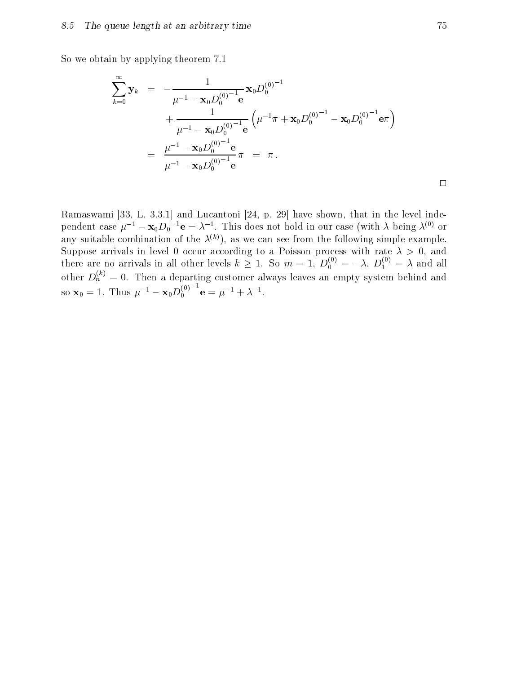So we obtain by applying theorem 7.1

$$
\sum_{k=0}^{\infty} \mathbf{y}_k = -\frac{1}{\mu^{-1} - \mathbf{x}_0 D_0^{(0)-1}} \mathbf{x}_0 D_0^{(0)-1} + \frac{1}{\mu^{-1} - \mathbf{x}_0 D_0^{(0)-1}} \mathbf{e} \left( \mu^{-1} \pi + \mathbf{x}_0 D_0^{(0)-1} - \mathbf{x}_0 D_0^{(0)-1} \mathbf{e} \pi \right)
$$
  
= 
$$
\frac{\mu^{-1} - \mathbf{x}_0 D_0^{(0)-1}}{\mu^{-1} - \mathbf{x}_0 D_0^{(0)-1}} \pi = \pi.
$$

Ramaswami [33, L. 3.3.1] and Lucantoni [24, p. 29] have shown, that in the level independent case  $\mu$   $\tau = \mathbf{x}_0 \mathbf{D}_0$   $\mathbf{e} = \lambda^{-1}$ . This does not hold in our case (with  $\lambda$  being  $\lambda^{\epsilon \gamma}$  or any suitable combination of the  $\lambda^{(k)}$ ), as we can see from the following simple example. Suppose arrivals in level 0 occur according to a Poisson process with rate  $\lambda > 0$ , and there are no arrivals in all other levels  $k \geq 1$ . So  $m = 1, D_0^{\gamma} = -\lambda, D_1^{\gamma} = \lambda$  and all other  $D_h^{\gamma\gamma}=0$ . Then a departing customer always leaves an empty system behind and so  $\mathbf{x}_0 = 1$ . Thus  $\mu^{-1} - \mathbf{x}_0 D_0^{(0)}$   $\mathbf{e} = \mu^{-1} + \lambda^{-1}$ .

 $\Box$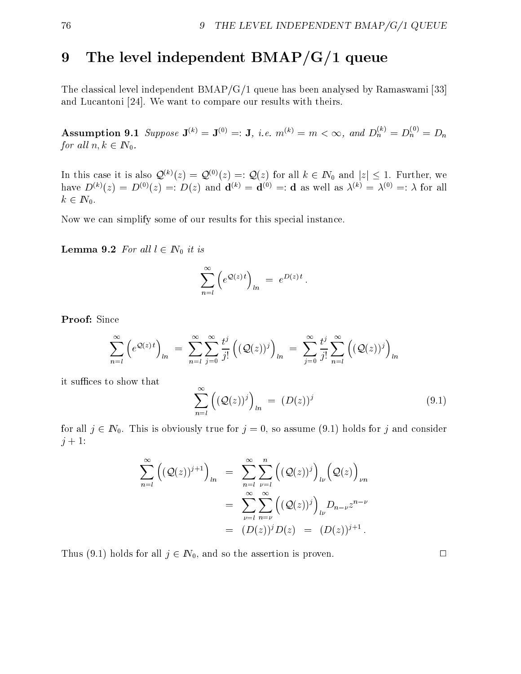# 9 The level independent BMAP/G/1 queue

The classical level independent BMAP/G/1 queue has been analysed by Ramaswami [33] and Lucantoni [24]. We want to compare our results with theirs.

**Assumption 9.1** Suppose  $\mathbf{J}^{(n)} = \mathbf{J}^{(0)} =: \mathbf{J}$ , i.e.  $m^{(n)} = m < \infty$ , and  $D_n^{\wedge} = D_n^{\wedge} = D_n$ for all  $n, k \in I\!N_0$ .

In this case it is also  $\mathcal{Q}^{(k)}(z) = \mathcal{Q}^{(0)}(z) =: \mathcal{Q}(z)$  for all  $k \in \mathbb{N}_0$  and  $|z| \leq 1$ . Further, we have  $D^{(k)}(z) = D^{(0)}(z) =: D(z)$  and  $\mathbf{d}^{(k)} = \mathbf{d}^{(0)} =: \mathbf{d}$  as well as  $\lambda^{(k)} = \lambda^{(0)} =: \lambda$  for all  $k \in I\!N_0$ .

Now we can simplify some of our results for this special instance.

**Lemma 9.2** For all  $l \in \mathbb{N}_0$  it is

$$
\sum_{n=l}^{\infty} \left( e^{\mathcal{Q}(z) t} \right)_{ln} = e^{D(z) t} .
$$

Proof: Since

$$
\sum_{n=l}^{\infty} \left( e^{\mathcal{Q}(z) t} \right)_{ln} = \sum_{n=l}^{\infty} \sum_{j=0}^{\infty} \frac{t^j}{j!} \left( (\mathcal{Q}(z))^j \right)_{ln} = \sum_{j=0}^{\infty} \frac{t^j}{j!} \sum_{n=l}^{\infty} \left( (\mathcal{Q}(z))^j \right)_{ln}
$$

it suffices to show that

$$
\sum_{n=l}^{\infty} \left( (\mathcal{Q}(z))^j \right)_{ln} = (D(z))^j \tag{9.1}
$$

for all  $j \in \mathbb{N}_0$ . This is obviously true for  $j = 0$ , so assume (9.1) holds for j and consider  $j + 1$ :

$$
\sum_{n=l}^{\infty} \left( (\mathcal{Q}(z))^{j+1} \right)_{ln} = \sum_{n=l}^{\infty} \sum_{\nu=l}^{n} \left( (\mathcal{Q}(z))^{j} \right)_{l\nu} \left( \mathcal{Q}(z) \right)_{\nu n}
$$

$$
= \sum_{\nu=l}^{\infty} \sum_{n=\nu}^{\infty} \left( (\mathcal{Q}(z))^{j} \right)_{l\nu} D_{n-\nu} z^{n-\nu}
$$

$$
= (D(z))^{j} D(z) = (D(z))^{j+1}.
$$

Thus (9.1) holds for all  $j \in \mathbb{N}_0$ , and so the assertion is proven.

 $\Box$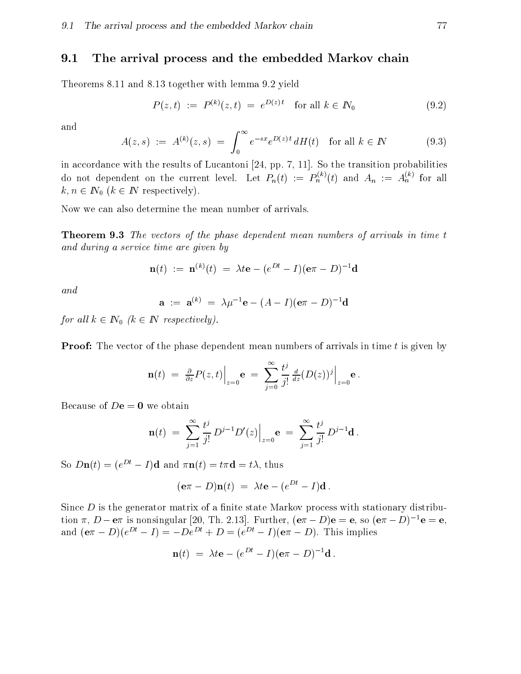#### 9.1 The arrival process and the embedded Markov chain

Theorems 8.11 and 8.13 together with lemma 9.2 yield

$$
P(z,t) := P^{(k)}(z,t) = e^{D(z)t} \text{ for all } k \in \mathbb{N}_0
$$
 (9.2)

and

$$
A(z,s) := A^{(k)}(z,s) = \int_0^\infty e^{-sx} e^{D(z)t} dH(t) \text{ for all } k \in \mathbb{N}
$$
 (9.3)

in accordance with the results of Lucantoni [24, pp. 7, 11]. So the transition probabilities do not dependent on the current level. Let  $P_n(t) := P_n^{\wedge}(t)$  and  $A_n := A_n^{\wedge}$  for all  $k, n \in \mathbb{N}_0$   $(k \in \mathbb{N}$  respectively).

Now we can also determine the mean number of arrivals.

**Theorem 9.3** The vectors of the phase dependent mean numbers of arrivals in time t and during a service time are given by

$$
\mathbf{n}(t) \ := \ \mathbf{n}^{(k)}(t) \ = \ \lambda t \mathbf{e} - (e^{Dt} - I)(\mathbf{e}\pi - D)^{-1} \mathbf{d}
$$

and

$$
\mathbf{a} \; := \; \mathbf{a}^{(k)} \; = \; \lambda \mu^{-1} \mathbf{e} - (A - I)(\mathbf{e}\pi - D)^{-1} \mathbf{d}
$$

for all  $k \in \mathbb{N}_0$   $(k \in \mathbb{N}$  respectively).

**Proof:** The vector of the phase dependent mean numbers of arrivals in time t is given by

$$
\mathbf{n}(t) = \frac{\partial}{\partial z} P(z,t) \Big|_{z=0} \mathbf{e} = \sum_{j=0}^{\infty} \frac{t^j}{j!} \frac{d}{dz} (D(z))^j \Big|_{z=0} \mathbf{e}.
$$

Because of  $D\mathbf{e} = \mathbf{0}$  we obtain

$$
\mathbf{n}(t) \; = \; \sum_{j=1}^\infty \frac{t^j}{j!} \, D^{j-1} D'(z) \Big|_{z=0} \mathbf{e} \; = \; \sum_{j=1}^\infty \frac{t^j}{j!} \, D^{j-1} \mathbf{d} \; .
$$

So  $Dn(t)=(e^{Dt}-I)d$  and  $\pi n(t) = t\pi d = t\lambda$ , thus

$$
(\mathbf{e}\pi - D)\mathbf{n}(t) = \lambda t\mathbf{e} - (e^{Dt} - I)\mathbf{d}.
$$

Since  $D$  is the generator matrix of a finite state Markov process with stationary distribution  $\pi$ ,  $D - e\pi$  is nonsingular [20, Th. 2.13]. Further,  $(e\pi - D)e = e$ , so  $(e\pi - D)^{-1}e = e$ , and  $(e\pi - D)(e^{Dt} - I) = -De^{Dt} + D = (e^{Dt} - I)(e\pi - D)$ . This implies

$$
\mathbf{n}(t) = \lambda t \mathbf{e} - (e^{Dt} - I)(\mathbf{e}\pi - D)^{-1} \mathbf{d}.
$$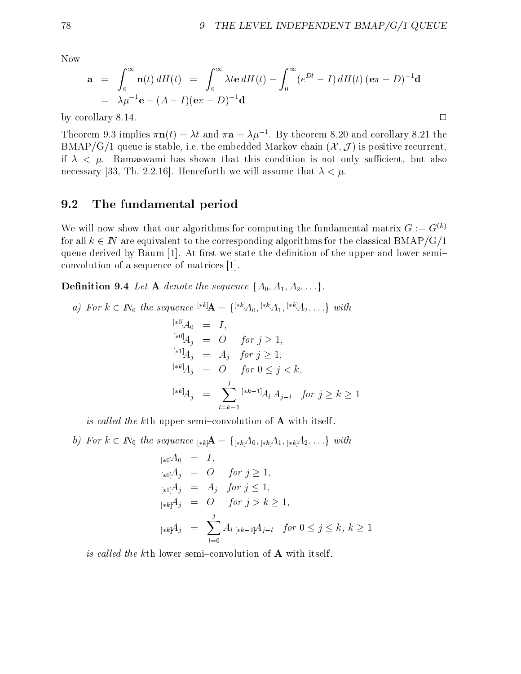$\Box$ 

Now

$$
\mathbf{a} = \int_0^\infty \mathbf{n}(t) dH(t) = \int_0^\infty \lambda t \mathbf{e} dH(t) - \int_0^\infty (e^{Dt} - I) dH(t) (\mathbf{e}\pi - D)^{-1} \mathbf{d}
$$
  
=  $\lambda \mu^{-1} \mathbf{e} - (A - I)(\mathbf{e}\pi - D)^{-1} \mathbf{d}$ 

by corollary 8.14. <sup>2</sup>

Theorem 9.3 implies  $\pi n(t) = \lambda t$  and  $\pi a = \lambda \mu$ . By theorem 8.20 and corollary 8.21 the BMAP/G/1 queue is stable, i.e. the embedded Markov chain  $(\mathcal{X}, \mathcal{J})$  is positive recurrent, if  $\lambda < \mu$ . Ramaswami has shown that this condition is not only sufficient, but also necessary [33, Th. 2.2.16]. Henceforth we will assume that  $\lambda < \mu$ .

### 9.2 The fundamental period

We will now show that our algorithms for computing the fundamental matrix  $G := G^{(k)}$ for all  $k \in \mathbb{N}$  are equivalent to the corresponding algorithms for the classical BMAP/G/1 queue derived by Baum  $[1]$ . At first we state the definition of the upper and lower semiconvolution of a sequence of matrices [1].

**Definition 9.4** Let **A** denote the sequence  $\{A_0, A_1, A_2, \ldots\}$ .

a) For 
$$
k \in \mathbb{N}_0
$$
 the sequence  $^{*k}A = \{^{*k}A_0, {^{*k}A_1, {^{*k}A_2, \ldots}}\}$  with  
\n
$$
^{[*0]}A_0 = I,
$$
\n
$$
^{[*0]}A_j = O \quad \text{for } j \ge 1,
$$
\n
$$
^{[*1]}A_j = A_j \quad \text{for } j \ge 1,
$$
\n
$$
^{[*k]}A_j = O \quad \text{for } 0 \le j < k,
$$
\n
$$
^{[*k]}A_j = \sum_{l=k-1}^j {^{[*k-1]}A_l A_{j-l}} \quad \text{for } j \ge k \ge 1
$$

is called the kth upper semi-convolution of  $\bf{A}$  with itself.

 $\gamma$  is the figure  $\gamma$  in the sequence  $\gamma$  and  $\gamma$  in  $\gamma$  in  $\gamma$  and  $\gamma$  in  $\gamma$  is the sequence in  $\gamma$ 

$$
[*0]A_0 = I,
$$
  
\n
$$
[*0]A_j = O \quad \text{for } j \ge 1,
$$
  
\n
$$
[*1]A_j = A_j \quad \text{for } j \le 1,
$$
  
\n
$$
[*k]A_j = O \quad \text{for } j > k \ge 1,
$$
  
\n
$$
[*k]A_j = \sum_{l=0}^j A_l [*k-1]A_{j-l} \quad \text{for } 0 \le j \le k, k \ge 1
$$

is called the kth lower semi-convolution of  $A$  with itself.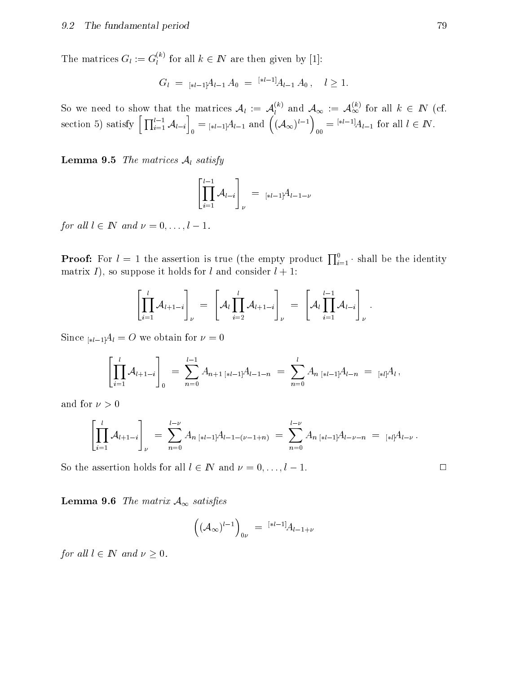The matrices  $G_l := G_l^{\leftrightarrow}$  for all  $k \in I\!N$  are then given by [1]:

$$
G_l = {}_{[*l-1]}A_{l-1} A_0 = {}^{[*l-1]}A_{l-1} A_0, \quad l \ge 1.
$$

So we need to show that the matrices  $\mathcal{A}_l := \mathcal{A}_l^{\scriptscriptstyle{(r)}}$  and  $\mathcal{A}_\infty := \mathcal{A}_\infty^{\scriptscriptstyle{(r)}}$  for all  $k \in I\!N$  (cf.  $\text{section 5) satisfy } \left[\, \prod_{i=1}^{l-1} \mathcal{A}_{l-i} \right]_0 = {}_{\lbrack *l-1 \rbrack} \mathcal{A}_{l-1} \text{ and } \left((\mathcal{A}_{\infty})^{l-1} \right)_{00} = {}^{\lbrack *l-1 \rbrack}\mathcal{A}_{\infty}$  $\alpha_0 = \alpha$   $A_{l-1}$  for all  $l \in I\mathbb{N}$ .

**Lemma 9.5** The matrices  $A_l$  satisfy

$$
\left[\prod_{i=1}^{l-1} A_{l-i}\right]_{\nu} = \frac{1}{l} \sum_{l=1}^{l-1} \frac{1}{l} \sum_{i=1}^{l} A_{i-1-i} \nu
$$

for all  $l \in \mathbb{N}$  and  $\nu = 0,\ldots, l - 1$ .

**Proof:** For  $l = 1$  the assertion is true (the empty product  $\prod_{i=1}^{0}$  shall be the identity matrix I), so suppose it holds for l and consider  $l + 1$ :

$$
\left[\prod_{i=1}^l {\mathcal A}_{l+1-i}\right]_\nu\ =\ \left[{\mathcal A}_l\prod_{i=2}^l {\mathcal A}_{l+1-i}\right]_\nu\ =\ \left[{\mathcal A}_l\prod_{i=1}^{l-1} {\mathcal A}_{l-i}\right]_\nu\ .
$$

Since  $\sum_{k=l+1} A_k = O$  we obtain for  $\nu = 0$ 

$$
\left[\prod_{i=1}^l \mathcal{A}_{l+1-i}\right]_0 = \sum_{n=0}^{l-1} A_{n+1} \, \left[\ast l-1\right] A_{l-1-n} = \sum_{n=0}^l A_{n} \, \left[\ast l-1\right] A_{l-n} = \left[\ast l\right] A_l,
$$

and for  $\nu > 0$ 

$$
\left[\prod_{i=1}^{l} A_{l+1-i}\right]_{\nu} = \sum_{n=0}^{l-\nu} A_{n \;[*l-1]}A_{l-1-(\nu-1+n)} = \sum_{n=0}^{l-\nu} A_{n \;[*l-1]}A_{l-\nu-n} = {}_{[*l]}A_{l-\nu}.
$$

So the assertion holds for all  $l \in \mathbb{N}$  and  $\nu = 0, \ldots, l - 1$ .

**Lemma 9.6** The matrix  $A_{\infty}$  satisfies

$$
((\mathcal{A}_{\infty})^{l-1})_{0\nu} = {}^{[*l-1]}A_{l-1+\nu}
$$

for all  $l \in I\!\!N$  and  $\nu \geq 0$ .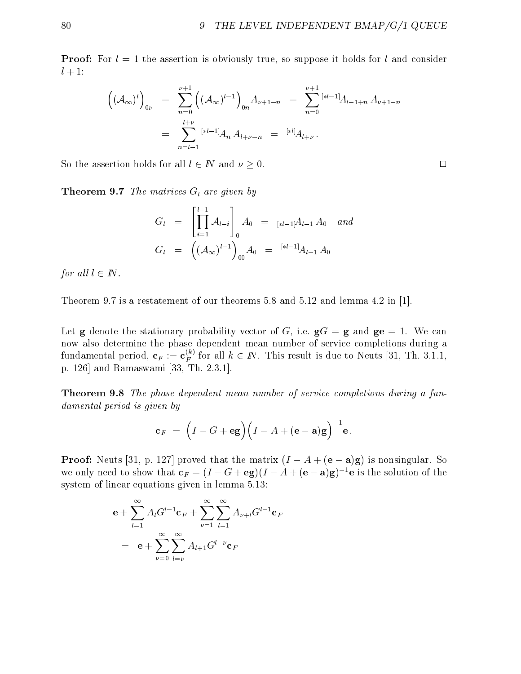**Proof:** For  $l=1$  the assertion is obviously true, so suppose it holds for l and consider  $l+1$ :

$$
\left((A_{\infty})^{l}\right)_{0\nu} = \sum_{n=0}^{\nu+1} \left((A_{\infty})^{l-1}\right)_{0n} A_{\nu+1-n} = \sum_{n=0}^{\nu+1} {^{[*l-1]}} A_{l-1+n} A_{\nu+1-n}
$$

$$
= \sum_{n=l-1}^{l+\nu} {^{[*l-1]}} A_n A_{l+\nu-n} = {^{[*l]}} A_{l+\nu}.
$$

So the assertion holds for all  $l \in \mathbb{N}$  and  $\nu \geq 0$ .

**Theorem 9.7** The matrices  $G_l$  are given by

$$
G_l = \left[\prod_{i=1}^{l-1} A_{l-i}\right]_0 A_0 = \underset{[*l-1]}{\left[*l-1\right]} A_{l-1} A_0 \quad and
$$
  

$$
G_l = \left((A_{\infty})^{l-1}\right)_{00} A_0 = \underset{[*l-1]}{\left[*l-1\right]} A_{l-1} A_0
$$

for all  $l \in I\!\!N$ .

Theorem 9.7 is a restatement of our theorems 5.8 and 5.12 and lemma 4.2 in [1].

Let **g** denote the stationary probability vector of G, i.e.  $gG = g$  and  $g = 1$ . We can now also determine the phase dependent mean number of service completions during a fundamental period,  ${\mathbf c}_F:={\mathbf c}_F^\text{cr}$  for all  $k\in I\!\!N$ . This result is due to Neuts [31, Th. 3.1.1, p. 126] and Ramaswami [33, Th. 2.3.1].

Theorem 9.8 The phase dependent mean number of service completions during a fundamental period is given by

$$
\mathbf{c}_F = \left(I - G + \mathbf{eg}\right) \left(I - A + (\mathbf{e} - \mathbf{a})\mathbf{g}\right)^{-1} \mathbf{e}.
$$

**Proof:** Neuts [31, p. 127] proved that the matrix  $(I - A + (e - a)g)$  is nonsingular. So we only need to show that  $c_F = (I - G + eg)(I - A + (e - a)g)^{-1}e$  is the solution of the system of linear equations given in lemma 5.13:

$$
\mathbf{e} + \sum_{l=1}^{\infty} A_l G^{l-1} \mathbf{c}_F + \sum_{\nu=1}^{\infty} \sum_{l=1}^{\infty} A_{\nu+l} G^{l-1} \mathbf{c}_F
$$
  
= 
$$
\mathbf{e} + \sum_{\nu=0}^{\infty} \sum_{l=\nu}^{\infty} A_{l+1} G^{l-\nu} \mathbf{c}_F
$$

 $\Box$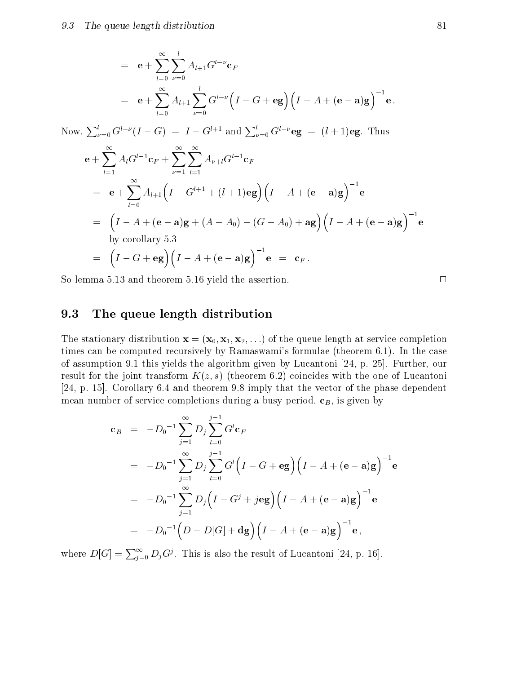$$
= e + \sum_{l=0}^{\infty} \sum_{\nu=0}^{l} A_{l+1} G^{l-\nu} c_F
$$
  
= e + \sum\_{l=0}^{\infty} A\_{l+1} \sum\_{\nu=0}^{l} G^{l-\nu} (I - G + eg) (I - A + (e - a)g)^{-1} e.

Now,  $\sum_{\nu=0}^{l} G^{l-\nu} (I - G) = I - G^{l+1}$  and  $\sum_{\nu=0}^{l} G^{l-\nu}$ eg =  $(l+1)$ eg. Thus

$$
\mathbf{e} + \sum_{l=1}^{\infty} A_l G^{l-1} \mathbf{c}_F + \sum_{\nu=1}^{\infty} \sum_{l=1}^{\infty} A_{\nu+l} G^{l-1} \mathbf{c}_F
$$
  
\n
$$
= \mathbf{e} + \sum_{l=0}^{\infty} A_{l+1} \Big( I - G^{l+1} + (l+1) \mathbf{e} \mathbf{g} \Big) \Big( I - A + (\mathbf{e} - \mathbf{a}) \mathbf{g} \Big)^{-1} \mathbf{e}
$$
  
\n
$$
= \Big( I - A + (\mathbf{e} - \mathbf{a}) \mathbf{g} + (A - A_0) - (G - A_0) + \mathbf{a} \mathbf{g} \Big) \Big( I - A + (\mathbf{e} - \mathbf{a}) \mathbf{g} \Big)^{-1} \mathbf{e}
$$
  
\nby corollary 5.3  
\n
$$
= \Big( I - G + \mathbf{e} \mathbf{g} \Big) \Big( I - A + (\mathbf{e} - \mathbf{a}) \mathbf{g} \Big)^{-1} \mathbf{e} = \mathbf{c}_F.
$$

So lemma 5.13 and theorem 5.16 yield the assertion.  $\Box$ 

### 9.3 The queue length distribution

The stationary distribution  $\mathbf{x} = (\mathbf{x}_0, \mathbf{x}_1, \mathbf{x}_2, \ldots)$  of the queue length at service completion times can be computed recursively by Ramaswami's formulae (theorem 6.1). In the case of assumption 9.1 this yields the algorithm given by Lucantoni [24, p. 25]. Further, our result for the joint transform  $K(z, s)$  (theorem 6.2) coincides with the one of Lucantoni [24, p. 15]. Corollary 6.4 and theorem 9.8 imply that the vector of the phase dependent mean number of service completions during a busy period,  $\mathbf{c}_B$ , is given by

$$
\begin{array}{rcl}\n\mathbf{c}_B &=& -D_0^{-1} \sum_{j=1}^{\infty} D_j \sum_{l=0}^{j-1} G^l \mathbf{c}_F \\
&=& -D_0^{-1} \sum_{j=1}^{\infty} D_j \sum_{l=0}^{j-1} G^l \Big( I - G + \mathbf{eg} \Big) \Big( I - A + (\mathbf{e} - \mathbf{a}) \mathbf{g} \Big)^{-1} \mathbf{e} \\
&=& -D_0^{-1} \sum_{j=1}^{\infty} D_j \Big( I - G^j + j \mathbf{eg} \Big) \Big( I - A + (\mathbf{e} - \mathbf{a}) \mathbf{g} \Big)^{-1} \mathbf{e} \\
&=& -D_0^{-1} \Big( D - D[G] + \mathbf{dg} \Big) \Big( I - A + (\mathbf{e} - \mathbf{a}) \mathbf{g} \Big)^{-1} \mathbf{e} \,,\n\end{array}
$$

where  $D[G] = \sum_{i=0}^{\infty} D_i G^j$ . This is also the result of Lucantoni [24, p. 16].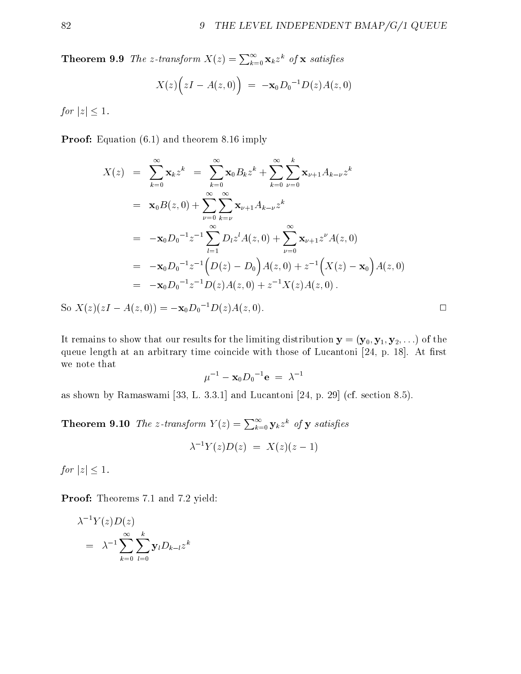**Theorem 9.9** The z-transform  $X(z) = \sum_{k=0}^{\infty} \mathbf{x}_k z^k$  of **x** satisfies

$$
X(z)\Big(zI - A(z,0)\Big) = -\mathbf{x}_0 D_0^{-1} D(z) A(z,0)
$$

for  $|z| \leq 1$ .

Proof: Equation (6.1) and theorem 8.16 imply

$$
X(z) = \sum_{k=0}^{\infty} \mathbf{x}_{k} z^{k} = \sum_{k=0}^{\infty} \mathbf{x}_{0} B_{k} z^{k} + \sum_{k=0}^{\infty} \sum_{\nu=0}^{k} \mathbf{x}_{\nu+1} A_{k-\nu} z^{k}
$$
  
\n
$$
= \mathbf{x}_{0} B(z, 0) + \sum_{\nu=0}^{\infty} \sum_{k=\nu}^{\infty} \mathbf{x}_{\nu+1} A_{k-\nu} z^{k}
$$
  
\n
$$
= -\mathbf{x}_{0} D_{0}^{-1} z^{-1} \sum_{l=1}^{\infty} D_{l} z^{l} A(z, 0) + \sum_{\nu=0}^{\infty} \mathbf{x}_{\nu+1} z^{\nu} A(z, 0)
$$
  
\n
$$
= -\mathbf{x}_{0} D_{0}^{-1} z^{-1} (D(z) - D_{0}) A(z, 0) + z^{-1} (X(z) - \mathbf{x}_{0}) A(z, 0)
$$
  
\n
$$
= -\mathbf{x}_{0} D_{0}^{-1} z^{-1} D(z) A(z, 0) + z^{-1} X(z) A(z, 0).
$$

So  $X(z)(zI - A(z, 0)) = -\mathbf{x}_0 D_0^{-1} D(z) A(z, 0).$ 

It remains to show that our results for the limiting distribution  $y = (y_0, y_1, y_2,...)$  of the queue length at an arbitrary time coincide with those of Lucantoni [24, p. 18]. At first we note that

$$
\mu^{-1} - {\mathbf{x}_0} D_0{}^{-1} \mathbf{e} = \lambda^{-1}
$$

as shown by Ramaswami [33, L. 3.3.1] and Lucantoni [24, p. 29] (cf. section 8.5).

**Theorem 9.10** The z-transform  $Y(z) = \sum_{k=0}^{\infty} y_k z^k$  of y satisfies

$$
\lambda^{-1}Y(z)D(z) = X(z)(z-1)
$$

for  $|z| \leq 1$ .

Proof: Theorems 7.1 and 7.2 yield:

$$
\lambda^{-1} Y(z) D(z)
$$
  
=  $\lambda^{-1} \sum_{k=0}^{\infty} \sum_{l=0}^{k} y_l D_{k-l} z^k$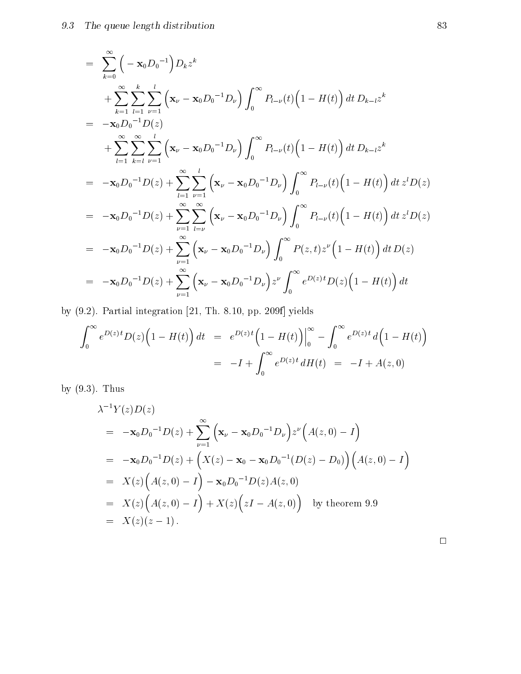$$
= \sum_{k=0}^{\infty} \left( -\mathbf{x}_{0} D_{0}^{-1} \right) D_{k} z^{k}
$$
  
\n
$$
+ \sum_{k=1}^{\infty} \sum_{l=1}^{k} \sum_{\nu=1}^{l} \left( \mathbf{x}_{\nu} - \mathbf{x}_{0} D_{0}^{-1} D_{\nu} \right) \int_{0}^{\infty} P_{l-\nu}(t) \left( 1 - H(t) \right) dt D_{k-l} z^{k}
$$
  
\n
$$
= -\mathbf{x}_{0} D_{0}^{-1} D(z)
$$
  
\n
$$
+ \sum_{l=1}^{\infty} \sum_{k=l}^{\infty} \sum_{\nu=1}^{l} \left( \mathbf{x}_{\nu} - \mathbf{x}_{0} D_{0}^{-1} D_{\nu} \right) \int_{0}^{\infty} P_{l-\nu}(t) \left( 1 - H(t) \right) dt D_{k-l} z^{k}
$$
  
\n
$$
= -\mathbf{x}_{0} D_{0}^{-1} D(z) + \sum_{l=1}^{\infty} \sum_{\nu=1}^{l} \left( \mathbf{x}_{\nu} - \mathbf{x}_{0} D_{0}^{-1} D_{\nu} \right) \int_{0}^{\infty} P_{l-\nu}(t) \left( 1 - H(t) \right) dt z^{l} D(z)
$$
  
\n
$$
= -\mathbf{x}_{0} D_{0}^{-1} D(z) + \sum_{\nu=1}^{\infty} \sum_{l=\nu}^{\infty} \left( \mathbf{x}_{\nu} - \mathbf{x}_{0} D_{0}^{-1} D_{\nu} \right) \int_{0}^{\infty} P_{l-\nu}(t) \left( 1 - H(t) \right) dt z^{l} D(z)
$$
  
\n
$$
= -\mathbf{x}_{0} D_{0}^{-1} D(z) + \sum_{\nu=1}^{\infty} \left( \mathbf{x}_{\nu} - \mathbf{x}_{0} D_{0}^{-1} D_{\nu} \right) \int_{0}^{\infty} P(z, t) z^{\nu} \left( 1 - H(t) \right) dt D(z)
$$
  
\n
$$
= -\mathbf{x}_{0} D_{0}^{-1} D(z) + \sum_{\nu=1}^{\infty} \left( \mathbf{x}_{\nu} - \mathbf{x}_{0} D_{0}^{-1} D_{\nu} \right) z^
$$

by (9.2). Partial integration [21, Th. 8.10, pp. 209f] yields

$$
\int_0^\infty e^{D(z)t} D(z) \Big( 1 - H(t) \Big) dt = e^{D(z)t} \Big( 1 - H(t) \Big) \Big|_0^\infty - \int_0^\infty e^{D(z)t} d\Big( 1 - H(t) \Big) \n= -I + \int_0^\infty e^{D(z)t} dH(t) = -I + A(z, 0)
$$

by (9.3). Thus

$$
\lambda^{-1} Y(z)D(z)
$$
  
=  $-\mathbf{x}_0 D_0^{-1} D(z) + \sum_{\nu=1}^{\infty} (\mathbf{x}_{\nu} - \mathbf{x}_0 D_0^{-1} D_{\nu}) z^{\nu} (A(z, 0) - I)$   
=  $-\mathbf{x}_0 D_0^{-1} D(z) + (X(z) - \mathbf{x}_0 - \mathbf{x}_0 D_0^{-1} (D(z) - D_0)) (A(z, 0) - I)$   
=  $X(z) (A(z, 0) - I) - \mathbf{x}_0 D_0^{-1} D(z) A(z, 0)$   
=  $X(z) (A(z, 0) - I) + X(z) (zI - A(z, 0))$  by theorem 9.9  
=  $X(z)(z - 1)$ .

 $\Box$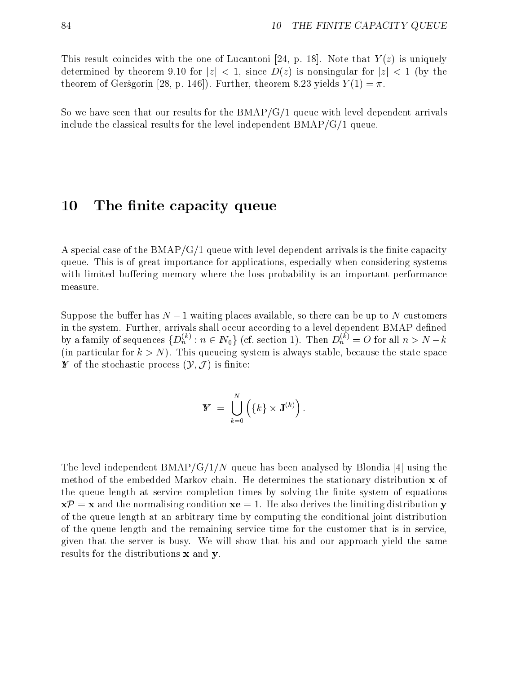This result coincides with the one of Lucantoni [24, p. 18]. Note that  $Y(z)$  is uniquely determined by theorem 9.10 for  $|z| < 1$ , since  $D(z)$  is nonsingular for  $|z| < 1$  (by the theorem of Gers<sup>g</sup>orin [28, p. 146]). Further, theorem 8.23 yields  $Y(1) = \pi$ .

So we have seen that our results for the  $BMAP/G/1$  queue with level dependent arrivals include the classical results for the level independent BMAP/G/1 queue.

### 10 The finite capacity queue

A special case of the  $BMAP/G/1$  queue with level dependent arrivals is the finite capacity queue. This is of great importance for applications, especially when considering systems with limited buffering memory where the loss probability is an important performance measure.

Suppose the buffer has  $N-1$  waiting places available, so there can be up to N customers in the system. Further, arrivals shall occur according to a level dependent BMAP defined by a family of sequences  $\{D_n : n \in I\!\!N_0\}$  (cf. section 1). Then  $D_n^* := O$  for all  $n > N - k$ (in particular for  $k>N$ ). This queueing system is always stable, because the state space **Y** of the stochastic process  $(\mathcal{Y}, \mathcal{J})$  is finite:

$$
\mathbf{Y} = \bigcup_{k=0}^N \left( \{k\} \times \mathbf{J}^{(k)} \right).
$$

The level independent  $BMAP/G/1/N$  queue has been analysed by Blondia [4] using the method of the embedded Markov chain. He determines the stationary distribution  $\bf{x}$  of the queue length at service completion times by solving the finite system of equations  $x\mathcal{P} = x$  and the normalising condition  $xe = 1$ . He also derives the limiting distribution y of the queue length atan arbitrary time by computing the conditional joint distribution of the queue length and the remaining service time for the customer that is in service, given that the server is busy. We will show that his and our approach yield the same results for the distributions x and y.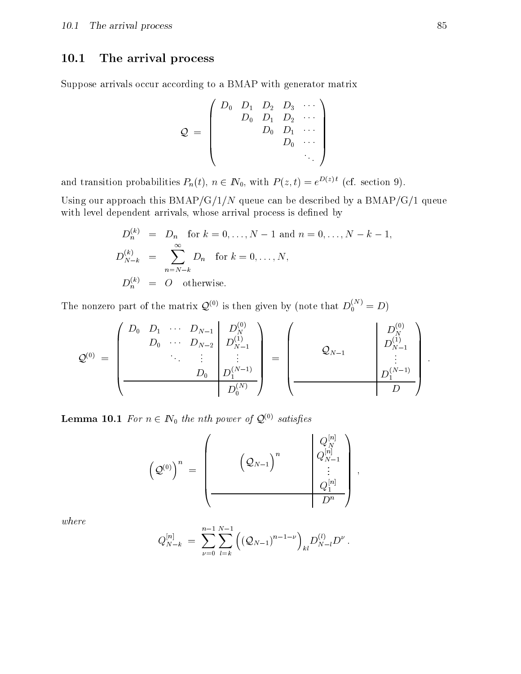# 10.1 The arrival process

Suppose arrivals occur according to a BMAP with generator matrix

$$
\mathcal{Q} \;=\; \left(\begin{array}{cccc} D_0 & D_1 & D_2 & D_3 & \cdots \\ & D_0 & D_1 & D_2 & \cdots \\ & & D_0 & D_1 & \cdots \\ & & & D_0 & \cdots \\ & & & & \ddots \end{array}\right)
$$

and transition probabilities  $P_n(t)$ ,  $n \in \mathbb{N}_0$ , with  $P(z, t) = e^{D(z)t}$  (cf. section 9).

Using our approach this  $BMAP/G/1/N$  queue can be described by a  $BMAP/G/1$  queue with level dependent arrivals, whose arrival process is defined by

$$
D_n^{(k)} = D_n \text{ for } k = 0, ..., N - 1 \text{ and } n = 0, ..., N - k - 1,
$$
  
\n
$$
D_{N-k}^{(k)} = \sum_{n=N-k}^{\infty} D_n \text{ for } k = 0, ..., N,
$$
  
\n
$$
D_n^{(k)} = O \text{ otherwise.}
$$

The nonzero part of the matrix  $\mathcal{Q}^{(0)}$  is then given by (note that  $D_0^{\infty}$   $\ell = D$ )

$$
\mathcal{Q}^{(0)}\;=\;\left(\begin{array}{cccc|c} D_0 & D_1 & \cdots & D_{N-1} & D_N^{(0)} \\ D_0 & \cdots & D_{N-2} & D_{N-1}^{(1)} \\ & & \ddots & \vdots & \vdots \\ & & & D_0 & D_1^{(N-1)} \\ \hline & & & & D_0^{(N)} \end{array}\right)\;=\;\left(\begin{array}{cccc|c} & & & & D_N^{(0)} \\ \mathcal{Q}_{N-1} & & & D_N^{(1)} \\ & & \vdots & \vdots \\ & & & D_1^{(N-1)} \\ \hline & & & & D \end{array}\right)\;.
$$

**Lemma 10.1** For  $n \in \mathbb{N}_0$  the nth power of  $\mathcal{Q}^{(0)}$  satisfies

$$
\left( \mathcal{Q}^{(0)} \right)^n \; = \; \left( \begin{array}{ccccc} &&&& \left( \mathcal{Q}_N^{[n]} \right) & &&& \\ &&&& \left( \mathcal{Q}_{N-1} \right)^n & &&& \\ &&&& \left( \mathcal{Q}_{N-1}^{[n]} \right) & && \\ &&&& \ddots & \\ &&&&& \left( \mathcal{Q}_1^{[n]} \right) \\ &&&&& D^n \end{array} \right) \; ,
$$

where

$$
Q_{N-k}^{[n]} \; = \; \sum_{\nu=0}^{n-1}\sum_{l=k}^{N-1}\left(\left(\mathcal{Q}_{N-1}\right)^{n-1-\nu}\right)_{kl}D_{N-l}^{(l)}D^{\nu}\:.
$$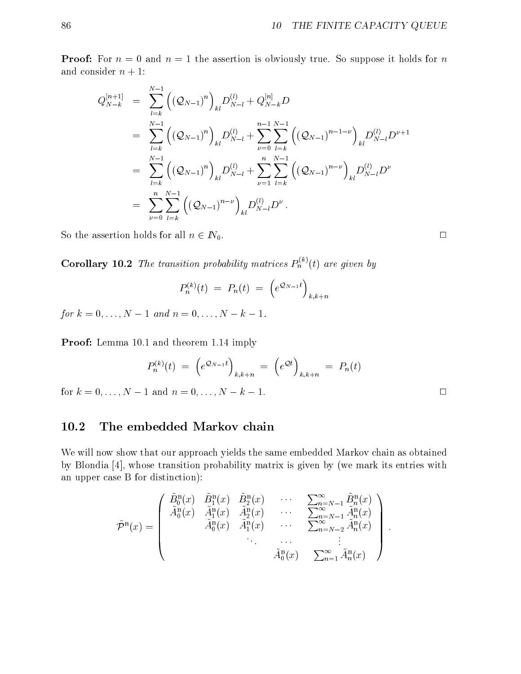**Proof:** For  $n = 0$  and  $n = 1$  the assertion is obviously true. So suppose it holds for n and consider  $n + 1$ :

$$
Q_{N-k}^{[n+1]} = \sum_{l=k}^{N-1} ((\mathcal{Q}_{N-1})^n)_{kl} D_{N-l}^{(l)} + Q_{N-k}^{[n]} D
$$
  
\n
$$
= \sum_{l=k}^{N-1} ((\mathcal{Q}_{N-1})^n)_{kl} D_{N-l}^{(l)} + \sum_{\nu=0}^{n-1} \sum_{l=k}^{N-1} ((\mathcal{Q}_{N-1})^{n-1-\nu})_{kl} D_{N-l}^{(l)} D^{\nu+1}
$$
  
\n
$$
= \sum_{l=k}^{N-1} ((\mathcal{Q}_{N-1})^n)_{kl} D_{N-l}^{(l)} + \sum_{\nu=1}^{n} \sum_{l=k}^{N-1} ((\mathcal{Q}_{N-1})^{n-\nu})_{kl} D_{N-l}^{(l)} D^{\nu}
$$
  
\n
$$
= \sum_{\nu=0}^{n} \sum_{l=k}^{N-1} ((\mathcal{Q}_{N-1})^{n-\nu})_{kl} D_{N-l}^{(l)} D^{\nu}.
$$

So the assertion holds for all  $n \in \mathbb{N}_0$ .

**Corollary 10.2** The transition probability matrices  $P_n^{\sim}(t)$  are given by

$$
P_n^{(k)}(t) \ = \ P_n(t) \ = \ \left(e^{{\mathcal{Q}}_{N-1}t}\right)_{k,k+n}
$$

for  $k = 0, \ldots, N - 1$  and  $n = 0, \ldots, N - k - 1$ .

Proof: Lemma 10.1 and theorem 1.14 imply

$$
P_n^{(k)}(t) = (e^{\mathcal{Q}_{N-1}t})_{k,k+n} = (e^{\mathcal{Q}t})_{k,k+n} = P_n(t)
$$

for  $k = 0, ..., N - 1$  and  $n = 0, ..., N - k - 1$ .

### 10.2 The embedded Markov chain

We will now show that our approach yields the same embedded Markov chain as obtained by Blondia [4], whose transition probability matrix is given by (we mark its entries with an upper case B for distinction):

$$
\tilde{\mathcal{P}}^{\text{B}}(x) = \begin{pmatrix}\n\tilde{B}_{0}^{\text{B}}(x) & \tilde{B}_{1}^{\text{B}}(x) & \tilde{B}_{2}^{\text{B}}(x) & \cdots & \sum_{n=N-1}^{\infty} \tilde{B}_{n}^{\text{B}}(x) \\
\tilde{A}_{0}^{\text{B}}(x) & \tilde{A}_{1}^{\text{B}}(x) & \tilde{A}_{2}^{\text{B}}(x) & \cdots & \sum_{n=N-1}^{\infty} \tilde{A}_{n}^{\text{B}}(x) \\
\tilde{A}_{0}^{\text{B}}(x) & \tilde{A}_{1}^{\text{B}}(x) & \cdots & \sum_{n=N-2}^{\infty} \tilde{A}_{n}^{\text{B}}(x) \\
\vdots & \vdots & \ddots & \vdots \\
\tilde{A}_{0}^{\text{B}}(x) & \sum_{n=1}^{\infty} \tilde{A}_{n}^{\text{B}}(x)\n\end{pmatrix}.
$$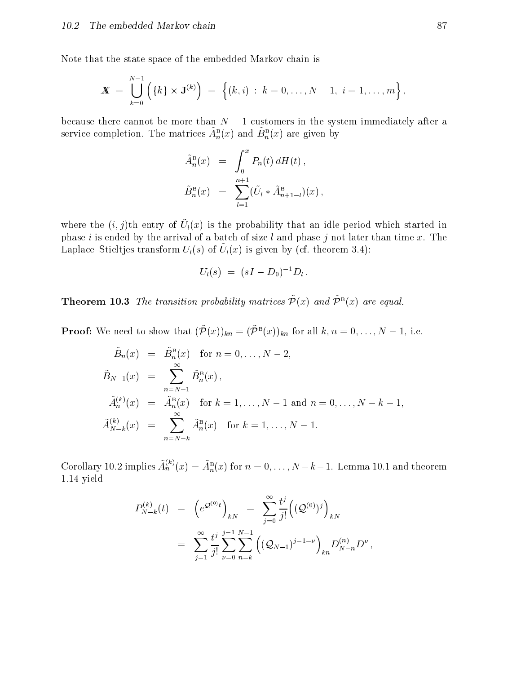Note that the state space of the embedded Markov chain is

$$
\mathbf{X} = \bigcup_{k=0}^{N-1} \left( \{k\} \times \mathbf{J}^{(k)} \right) = \left\{ (k,i) : k = 0, \ldots, N-1, i = 1, \ldots, m \right\},\
$$

because there cannot be more than  $N-1$  customers in the system immediately after a service completion. The matrices  $\tilde{A}_n^{\text{B}}(x)$  and  $\tilde{B}_n^{\text{B}}(x)$  are given by

$$
\tilde{A}_{n}^{\text{B}}(x) = \int_{0}^{x} P_{n}(t) dH(t), \n\tilde{B}_{n}^{\text{B}}(x) = \sum_{l=1}^{n+1} (\tilde{U}_{l} * \tilde{A}_{n+1-l}^{\text{B}})(x),
$$

where the  $(i, j)$ th entry of  $U((x)$  is the probability that an idle period which started in phase i is ended by the arrival of a batch of size l and phase j not later than time x. The Laplace Stieltjes transform  $U(3)$  or  $U(3)$  is given by (cf. theorem 3.4).

$$
U_l(s) \ = \ (sI - D_0)^{-1}D_l \ .
$$

**Theorem To.3** The transition probability matrices  $P(x)$  and  $P^-(x)$  are equal.

**Proof:** We need to show that  $(P(x))_{kn} = (P^-(x))_{kn}$  for all  $\kappa, n = 0, \ldots, N-1$ , i.e.

$$
\tilde{B}_n(x) = \tilde{B}_n^{\text{B}}(x) \text{ for } n = 0, ..., N - 2,
$$
\n
$$
\tilde{B}_{N-1}(x) = \sum_{n=N-1}^{\infty} \tilde{B}_n^{\text{B}}(x),
$$
\n
$$
\tilde{A}_n^{(k)}(x) = \tilde{A}_n^{\text{B}}(x) \text{ for } k = 1, ..., N - 1 \text{ and } n = 0, ..., N - k - 1,
$$
\n
$$
\tilde{A}_{N-k}^{(k)}(x) = \sum_{n=N-k}^{\infty} \tilde{A}_n^{\text{B}}(x) \text{ for } k = 1, ..., N - 1.
$$

Corollary 10.2 implies  $A_n^{\infty}(x) = A_n^{\text{e}}(x)$  for  $n = 0, \ldots, N-k-1$ . Lemma 10.1 and theorem 1.14 yield

$$
P_{N-k}^{(k)}(t) = (e^{\mathcal{Q}^{(0)}t})_{kN} = \sum_{j=0}^{\infty} \frac{t^j}{j!} ((\mathcal{Q}^{(0)})^j)_{kN}
$$
  

$$
= \sum_{j=1}^{\infty} \frac{t^j}{j!} \sum_{\nu=0}^{j-1} \sum_{n=k}^{N-1} ((\mathcal{Q}_{N-1})^{j-1-\nu})_{k n} D_{N-n}^{(n)} D^{\nu},
$$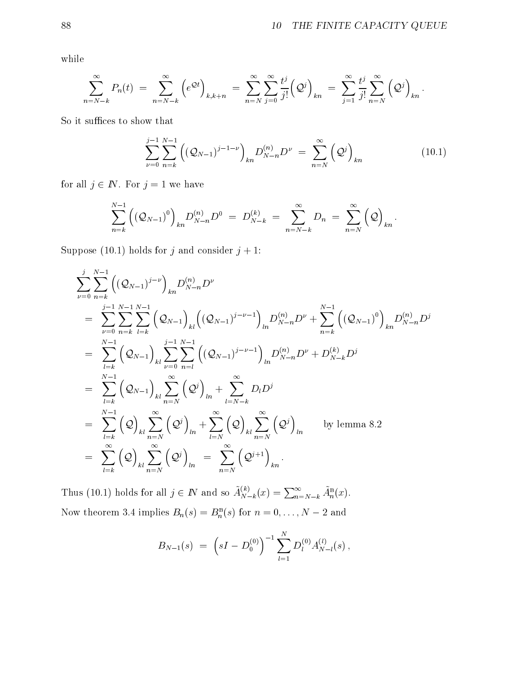while

$$
\sum_{n=N-k}^{\infty} P_n(t) \; = \; \sum_{n=N-k}^{\infty} \left( e^{\mathcal{Q}t} \right)_{k,k+n} \; = \; \sum_{n=N}^{\infty} \sum_{j=0}^{\infty} \frac{t^j}{j!} \left( \mathcal{Q}^j \right)_{kn} \; = \; \sum_{j=1}^{\infty} \frac{t^j}{j!} \sum_{n=N}^{\infty} \left( \mathcal{Q}^j \right)_{kn}.
$$

So it suffices to show that

$$
\sum_{\nu=0}^{j-1} \sum_{n=k}^{N-1} \left( (\mathcal{Q}_{N-1})^{j-1-\nu} \right)_{kn} D_{N-n}^{(n)} D^{\nu} = \sum_{n=N}^{\infty} (\mathcal{Q}^j)_{kn} \tag{10.1}
$$

for all  $j \in \mathbb{N}$ . For  $j = 1$  we have

$$
\sum_{n=k}^{N-1}\left(\left(\mathcal{Q}_{N-1}\right)^{0}\right)_{kn}D_{N-n}^{(n)}D^{0} \;=\; D_{N-k}^{(k)} \;=\; \sum_{n=N-k}^{\infty}D_{n} \;=\; \sum_{n=N}^{\infty}\left(\mathcal{Q}\right)_{kn}.
$$

Suppose (10.1) holds for j and consider  $j + 1$ :

$$
\sum_{\nu=0}^{j} \sum_{n=k}^{N-1} ((\mathcal{Q}_{N-1})^{j-\nu})_{k} D_{N-n}^{(n)} D^{\nu}
$$
\n
$$
= \sum_{\nu=0}^{j-1} \sum_{n=k}^{N-1} \sum_{l=k}^{N-1} (\mathcal{Q}_{N-1})_{kl} ((\mathcal{Q}_{N-1})^{j-\nu-1})_{ln} D_{N-n}^{(n)} D^{\nu} + \sum_{n=k}^{N-1} ((\mathcal{Q}_{N-1})^{0})_{kn} D_{N-n}^{(n)} D^{j}
$$
\n
$$
= \sum_{l=k}^{N-1} (\mathcal{Q}_{N-1})_{kl} \sum_{\nu=0}^{j-1} \sum_{n=l}^{N-1} ((\mathcal{Q}_{N-1})^{j-\nu-1})_{ln} D_{N-n}^{(n)} D^{\nu} + D_{N-k}^{(k)} D^{j}
$$
\n
$$
= \sum_{l=k}^{N-1} (\mathcal{Q}_{N-1})_{kl} \sum_{n=N}^{\infty} (\mathcal{Q}^{j})_{ln} + \sum_{l=N-k}^{\infty} D_{l} D^{j}
$$
\n
$$
= \sum_{l=k}^{N-1} (\mathcal{Q})_{kl} \sum_{n=N}^{\infty} (\mathcal{Q}^{j})_{ln} + \sum_{l=N}^{\infty} (\mathcal{Q})_{kl} \sum_{n=N}^{\infty} (\mathcal{Q}^{j})_{ln}
$$
 by lemma 8.2\n
$$
= \sum_{l=k}^{\infty} (\mathcal{Q})_{kl} \sum_{n=N}^{\infty} (\mathcal{Q}^{j})_{ln} = \sum_{n=N}^{\infty} (\mathcal{Q}^{j+1})_{kn}.
$$

Thus (10.1) holds for all  $j \in \mathbb{N}$  and so  $A_{N-k}^{(\kappa)}(x) = \sum_{n=N-k}^{\infty} A_n^{\text{B}}(x)$ . Now theorem 3.4 implies  $B_n(s) = B_n^{\text{B}}(s)$  for  $n = 0, \ldots, N - 2$  and

$$
B_{N-1}(s) \; = \; \left(sI - D_0^{(0)}\right)^{-1} \sum_{l=1}^N D_l^{(0)} A_{N-l}^{(l)}(s) \, ,
$$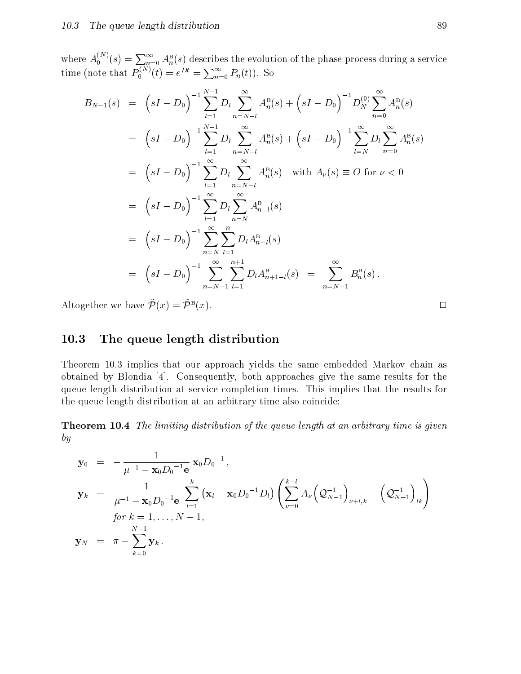where  $A_0^{(N)}(s) = \sum_{n=0}^{\infty} A_n^{\rm B}(s)$  describes the evolution of the phase process during a service time (note that  $P_0^{(N)}(t) = e^{Dt} = \sum_{n=0}^{\infty} P_n(t)$ ). So

$$
B_{N-1}(s) = (sI - D_0)^{-1} \sum_{l=1}^{N-1} D_l \sum_{n=N-l}^{\infty} A_n^{\mathbf{B}}(s) + (sI - D_0)^{-1} D_N^{(0)} \sum_{n=0}^{\infty} A_n^{\mathbf{B}}(s)
$$
  
\n
$$
= (sI - D_0)^{-1} \sum_{l=1}^{N-1} D_l \sum_{n=N-l}^{\infty} A_n^{\mathbf{B}}(s) + (sI - D_0)^{-1} \sum_{l=N}^{\infty} D_l \sum_{n=0}^{\infty} A_n^{\mathbf{B}}(s)
$$
  
\n
$$
= (sI - D_0)^{-1} \sum_{l=1}^{\infty} D_l \sum_{n=N-l}^{\infty} A_n^{\mathbf{B}}(s) \text{ with } A_{\nu}(s) \equiv O \text{ for } \nu < 0
$$
  
\n
$$
= (sI - D_0)^{-1} \sum_{n=1}^{\infty} D_l \sum_{n=N}^{\infty} A_{n-l}^{\mathbf{B}}(s)
$$
  
\n
$$
= (sI - D_0)^{-1} \sum_{n=N}^{\infty} \sum_{l=1}^{n} D_l A_{n-l}^{\mathbf{B}}(s)
$$
  
\n
$$
= (sI - D_0)^{-1} \sum_{n=N-1}^{\infty} \sum_{l=1}^{n+1} D_l A_{n+l-l}^{\mathbf{B}}(s) = \sum_{n=N-1}^{\infty} B_n^{\mathbf{B}}(s).
$$

Altogether we have  $P(x) = P(x)$ . (x). 2002. The contract of the contract of the contract of the contract of the contract of the contract of the

### 10.3 The queue length distribution

Theorem 10.3 implies that our approach yields the same embedded Markov chain as obtained by Blondia [4]. Consequently, both approaches give the same results for the queue length distribution at service completion times. This implies that the results for the queue length distribution at an arbitrary time also coincide:

Theorem 10.4 The limiting distribution of the queue length at an arbitrary time is given by

$$
\mathbf{y}_0 = -\frac{1}{\mu^{-1} - \mathbf{x}_0 D_0^{-1} \mathbf{e}} \mathbf{x}_0 D_0^{-1},
$$
  
\n
$$
\mathbf{y}_k = \frac{1}{\mu^{-1} - \mathbf{x}_0 D_0^{-1} \mathbf{e}} \sum_{l=1}^k (\mathbf{x}_l - \mathbf{x}_0 D_0^{-1} D_l) \left( \sum_{\nu=0}^{k-l} A_{\nu} (\mathcal{Q}_{N-1}^{-1})_{\nu+l,k} - (\mathcal{Q}_{N-1}^{-1})_{lk} \right)
$$
  
\nfor  $k = 1, ..., N - 1$ ,  
\n
$$
\mathbf{y}_N = \pi - \sum_{k=0}^{N-1} \mathbf{y}_k.
$$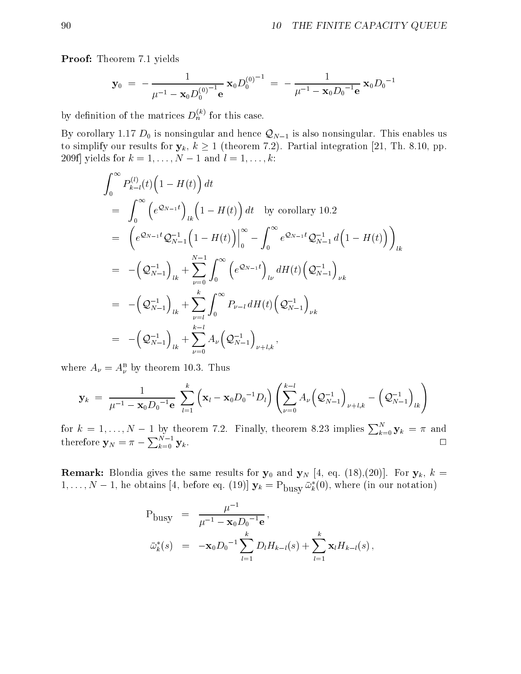Proof: Theorem 7.1 yields

$$
\mathbf{y}_0 = -\frac{1}{\mu^{-1} - \mathbf{x}_0 D_0^{(0)^{-1}} \mathbf{e}} \mathbf{x}_0 D_0^{(0)^{-1}} = -\frac{1}{\mu^{-1} - \mathbf{x}_0 D_0^{-1} \mathbf{e}} \mathbf{x}_0 D_0^{-1}
$$

by definition of the matrices  $D_h^{\wedge}$  for this case.

By corollary 1.17  $D_0$  is nonsingular and hence  $\mathcal{Q}_{N-1}$  is also nonsingular. This enables us to simplify our results for  $y_k$ ,  $k \ge 1$  (theorem 7.2). Partial integration [21, Th. 8.10, pp. 209f] yields for  $k = 1, ..., N - 1$  and  $l = 1, ..., k$ :

$$
\int_{0}^{\infty} P_{k-l}^{(l)}(t) \left(1 - H(t)\right) dt
$$
\n
$$
= \int_{0}^{\infty} \left(e^{\mathcal{Q}_{N-1}t}\right)_{lk} \left(1 - H(t)\right) dt \text{ by corollary 10.2}
$$
\n
$$
= \left(e^{\mathcal{Q}_{N-1}t}\mathcal{Q}_{N-1}^{-1}\left(1 - H(t)\right)\right|_{0}^{\infty} - \int_{0}^{\infty} e^{\mathcal{Q}_{N-1}t}\mathcal{Q}_{N-1}^{-1} d\left(1 - H(t)\right)\right)_{lk}
$$
\n
$$
= -\left(\mathcal{Q}_{N-1}^{-1}\right)_{lk} + \sum_{\nu=0}^{N-1} \int_{0}^{\infty} \left(e^{\mathcal{Q}_{N-1}t}\right)_{l\nu} dH(t) \left(\mathcal{Q}_{N-1}^{-1}\right)_{\nu k}
$$
\n
$$
= -\left(\mathcal{Q}_{N-1}^{-1}\right)_{lk} + \sum_{\nu=l}^{k} \int_{0}^{\infty} P_{\nu-l} dH(t) \left(\mathcal{Q}_{N-1}^{-1}\right)_{\nu k}
$$
\n
$$
= -\left(\mathcal{Q}_{N-1}^{-1}\right)_{lk} + \sum_{\nu=0}^{k-l} A_{\nu} \left(\mathcal{Q}_{N-1}^{-1}\right)_{\nu+l,k},
$$

where  $A_{\nu} = A_{\nu}^{+}$  by theorem 10.5. Thus

$$
\mathbf{y}_k = \frac{1}{\mu^{-1} - \mathbf{x}_0 D_0^{-1} \mathbf{e}} \sum_{l=1}^k (\mathbf{x}_l - \mathbf{x}_0 D_0^{-1} D_l) \left( \sum_{\nu=0}^{k-l} A_{\nu} (\mathcal{Q}_{N-1}^{-1})_{\nu+l,k} - (\mathcal{Q}_{N-1}^{-1})_{lk} \right)
$$

for  $k = 1, ..., N - 1$  by theorem 7.2. Finally, theorem 8.23 implies  $\sum_{k=0}^{N} \mathbf{y}_k = \pi$  and therefore  $\mathbf{y}_N = \pi - \sum_{k=0}^{N-1} \mathbf{y}_k$ .

**Remark:** Blondia gives the same results for  $y_0$  and  $y_N$  [4, eq. (18),(20)]. For  $y_k$ ,  $k =$  $1,\ldots,N-1$ , he obtains [4, before eq. (19)]  $\mathbf{y}_k = \mathrm{P}_{\text{busy}} \bar{\omega}_k^*(0)$ , where (in our notation)

$$
P_{\text{busy}} = \frac{\mu^{-1}}{\mu^{-1} - \mathbf{x}_0 D_0^{-1} \mathbf{e}},
$$
  

$$
\bar{\omega}_k^*(s) = -\mathbf{x}_0 D_0^{-1} \sum_{l=1}^k D_l H_{k-l}(s) + \sum_{l=1}^k \mathbf{x}_l H_{k-l}(s),
$$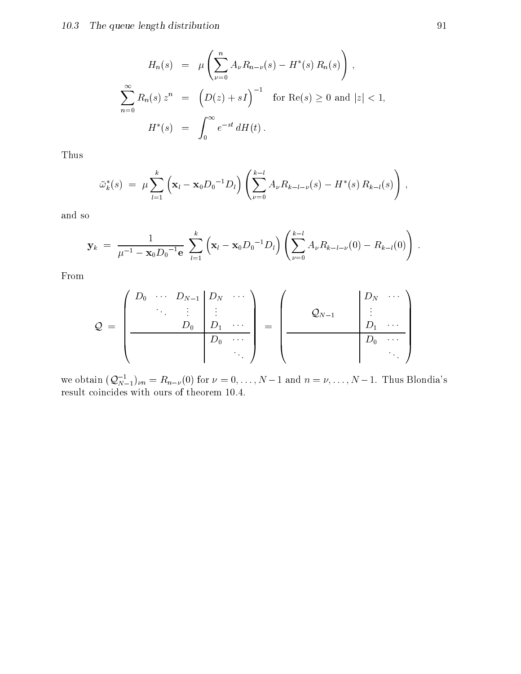$$
H_n(s) = \mu \left( \sum_{\nu=0}^n A_{\nu} R_{n-\nu}(s) - H^*(s) R_n(s) \right),
$$
  

$$
\sum_{n=0}^{\infty} R_n(s) z^n = \left( D(z) + sI \right)^{-1} \text{ for } \text{Re}(s) \ge 0 \text{ and } |z| < 1,
$$
  

$$
H^*(s) = \int_0^{\infty} e^{-st} dH(t).
$$

Thus

$$
\bar{\omega}_k^*(s) = \mu \sum_{l=1}^k \left( \mathbf{x}_l - \mathbf{x}_0 D_0^{-1} D_l \right) \left( \sum_{\nu=0}^{k-l} A_{\nu} R_{k-l-\nu}(s) - H^*(s) R_{k-l}(s) \right),
$$

and so

$$
\mathbf{y}_k = \frac{1}{\mu^{-1} - \mathbf{x}_0 D_0^{-1} \mathbf{e}} \sum_{l=1}^k (\mathbf{x}_l - \mathbf{x}_0 D_0^{-1} D_l) \left( \sum_{\nu=0}^{k-l} A_{\nu} R_{k-l-\nu}(0) - R_{k-l}(0) \right).
$$

From

$$
Q = \left(\begin{array}{cccc} D_0 & \cdots & D_{N-1} & D_N & \cdots \\ & \ddots & \vdots & \vdots & \\ & & D_0 & D_1 & \cdots \\ \hline & & D_0 & \cdots \\ & & & \ddots \end{array}\right) = \left(\begin{array}{cccc} & & & D_N & \cdots \\ & & & D_1 & \cdots \\ & & & D_0 & \cdots \\ \hline & & & & D_0 & \cdots \\ & & & & \ddots \end{array}\right)
$$

we obtain  $(Q_{N-1}^{-1})_{\nu n} = R_{n-\nu}(0)$  for  $\nu = 0, \ldots, N-1$  and  $n = \nu, \ldots, N-1$ . Thus Blondia's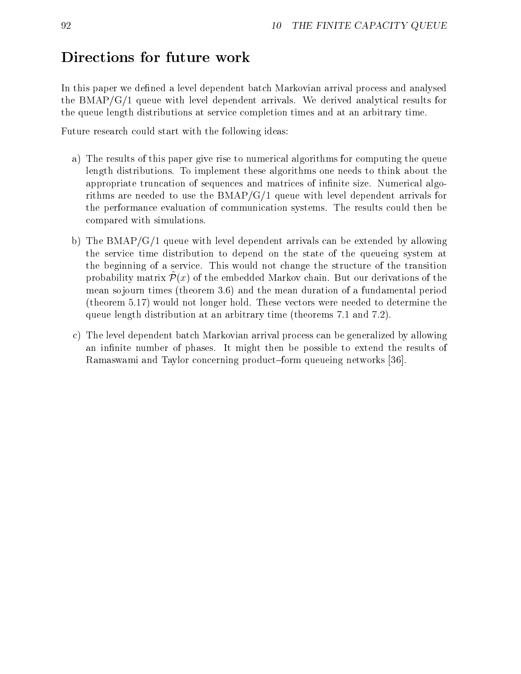## Directions for future work

In this paper we defined a level dependent batch Markovian arrival process and analysed the BMAP/G/1 queue with level dependent arrivals. We derived analytical results for the queue length distributions at service completion times and at an arbitrary time.

Future research could start with the following ideas:

- a) The results of this paper give rise to numerical algorithms for computing the queue length distributions. To implement these algorithms one needs to think about the appropriate truncation of sequences and matrices of infinite size. Numerical algorithms are needed to use the BMAP/G/1 queue with level dependent arrivals for the performance evaluation of communication systems. The results could then be compared with simulations.
- b) The BMAP/G/1 queue with level dependent arrivals can be extended by allowing the service time distribution to depend on the state of the queueing system at the beginning of a service. This would not change the structure of the transition  $\mathfrak p$ robability matrix  $P(x)$  of the embedded markov chain. But our derivations of the mean sojourn times (theorem 3.6) and the mean duration of a fundamental period (theorem 5.17) would not longer hold. These vectors were needed to determine the queue length distribution at an arbitrary time (theorems 7.1 and 7.2).
- c) The level dependent batch Markovian arrival process can be generalized by allowing an infinite number of phases. It might then be possible to extend the results of Ramaswami and Taylor concerning product-form queueing networks [36].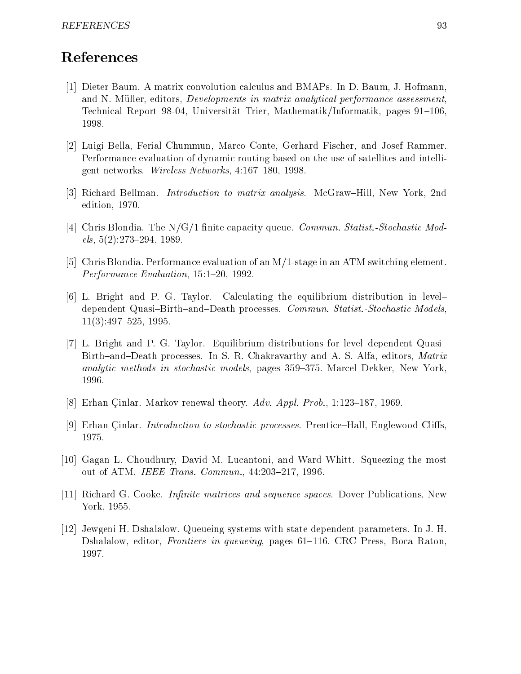## References

- [1] Dieter Baum. A matrix convolution calculus and BMAPs. In D. Baum, J. Hofmann, and N. Müller, editors, *Developments in matrix analytical performance assessment*. Technical Report 98-04, Universität Trier, Mathematik/Informatik, pages 91–106,
- [2] Luigi Bella, Ferial Chummun, Marco Conte, Gerhard Fischer, and Josef Rammer. Performance evaluation of dynamic routing based on the use of satellites and intelligent networks. Wireless Networks,  $4:167-180$ , 1998.
- [3] Richard Bellman. *Introduction to matrix analysis*. McGraw–Hill, New York, 2nd edition, 1970.
- [4] Chris Blondia. The  $N/G/1$  finite capacity queue. *Commun. Statist.-Stochastic Mod* $els, 5(2): 273-294, 1989.$
- [5] Chris Blondia. Performance evaluation of an M/1-stage in an ATM switching element. Performance Evaluation, 15:1-20, 1992.
- [6] L. Bright and P. G. Taylor. Calculating the equilibrium distribution in level{ dependent Quasi-Birth-and-Death processes. Commun. Statist.-Stochastic Models,  $11(3):497-525$ , 1995.
- [7] L. Bright and P. G. Taylor. Equilibrium distributions for level-dependent Quasi-Birth-and-Death processes. In S. R. Chakravarthy and A. S. Alfa, editors, Matrix analytic methods in stochastic models, pages 359–375. Marcel Dekker, New York, 1996.
- [8] Erhan Cinlar. Markov renewal theory.  $Adv.$  Appl. Prob., 1:123-187, 1969.
- [9] Erhan Cinlar. *Introduction to stochastic processes*. Prentice–Hall, Englewood Cliffs. 1975.
- [10] Gagan L. Choudhury, David M. Lucantoni, and Ward Whitt. Squeezing the most out of ATM. IEEE Trans. Commun., 44:203-217, 1996.
- [11] Richard G. Cooke. *Infinite matrices and sequence spaces*. Dover Publications, New York, 1955.
- [12] Jewgeni H. Dshalalow. Queueing systems with state dependent parameters. In J. H. Dshalalow, editor, Frontiers in queueing, pages 61-116. CRC Press, Boca Raton, 1997.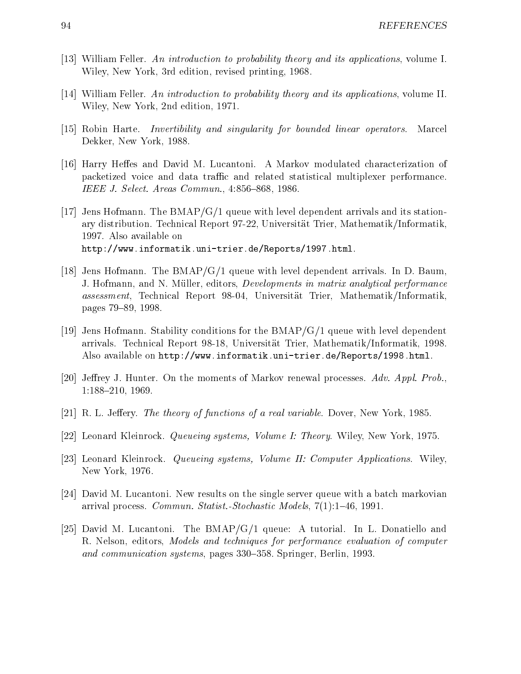- [13] William Feller. An introduction to probability theory and its applications, volume I. Wiley, New York, 3rd edition, revised printing, 1968.
- [14] William Feller. An introduction to probability theory and its applications, volume II. Wiley, New York, 2nd edition, 1971.
- [15] Robin Harte. Invertibility and singularity for bounded linear operators. Marcel Dekker, New York, 1988.
- [16] Harry Heffes and David M. Lucantoni. A Markov modulated characterization of packetized voice and data traffic and related statistical multiplexer performance. IEEE J. Select. Areas Commun., 4:856-868, 1986.
- [17] Jens Hofmann. The  $BMAP/G/1$  queue with level dependent arrivals and its stationary distribution. Technical Report 97-22, Universitat Trier, Mathematik/Informatik, 1997. Also available on http://www.informatik.uni-trier.de/Reports/1997.html.
- [18] Jens Hofmann. The BMAP/G/1 queue with level dependent arrivals. In D. Baum, J. Hofmann, and N. Müller, editors, *Developments in matrix analytical performance* assessment, Technical Report 98-04, Universitat Trier, Mathematik/Informatik, pages 79-89, 1998.
- [19] Jens Hofmann. Stability conditions for the BMAP/G/1 queue with level dependent arrivals. Technical Report 98-18, Universitat Trier, Mathematik/Informatik, 1998. Also available on http://www.informatik.uni-trier.de/Reports/1998.html.
- [20] Jeffrey J. Hunter. On the moments of Markov renewal processes. Adv. Appl. Prob., 1:188-210, 1969.
- $[21]$  R. L. Jeffery. The theory of functions of a real variable. Dover, New York, 1985.
- [22] Leonard Kleinrock. Queueing systems, Volume I: Theory. Wiley, New York, 1975.
- [23] Leonard Kleinrock. Queueing systems, Volume II: Computer Applications. Wiley, New York, 1976.
- [24] David M. Lucantoni. New results on the single server queue with a batch markovian arrival process. *Commun. Statist.-Stochastic Models*,  $7(1):1-46$ , 1991.
- [25] David M. Lucantoni. The BMAP/G/1 queue: A tutorial. In L. Donatiello and R. Nelson, editors, Models and techniques for performance evaluation of computer and communication systems, pages 330–358. Springer, Berlin, 1993.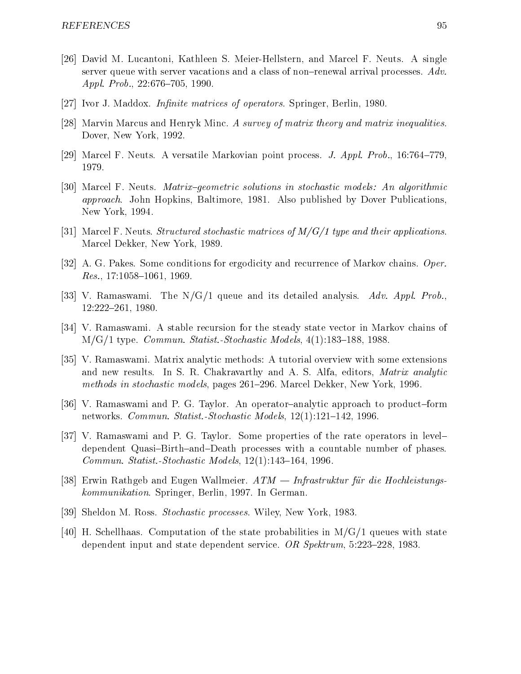- [26] David M. Lucantoni, Kathleen S. Meier-Hellstern, and Marcel F. Neuts. A single server queue with server vacations and a class of non-renewal arrival processes.  $Adv.$ Appl. Prob., 22:676-705, 1990.
- [27] Ivor J. Maddox. *Infinite matrices of operators*. Springer, Berlin, 1980.
- [28] Marvin Marcus and Henryk Minc. A survey of matrix theory and matrix inequalities. Dover, New York, 1992.
- [29] Marcel F. Neuts. A versatile Markovian point process. *J. Appl. Prob.*, 16:764–779, 1979.
- [30] Marcel F. Neuts. *Matrix-geometric solutions in stochastic models: An algorithmic* approach. John Hopkins, Baltimore, 1981. Also published by Dover Publications, New York, 1994.
- [31] Marcel F. Neuts. Structured stochastic matrices of  $M/G/1$  type and their applications. Marcel Dekker, New York, 1989.
- [32] A. G. Pakes. Some conditions for ergodicity and recurrence of Markov chains. Oper.  $Res.$ , 17:1058-1061, 1969.
- [33] V. Ramaswami. The  $N/G/1$  queue and its detailed analysis. Adv. Appl. Prob., 12:222-261, 1980.
- [34] V. Ramaswami. A stable recursion for the steady state vector in Markov chains of  $M/G/1$  type. *Commun. Statist.-Stochastic Models*,  $4(1):183-188$ , 1988.
- [35] V. Ramaswami. Matrix analytic methods: A tutorial overview with some extensions and new results. In S. R. Chakravarthy and A. S. Alfa, editors, Matrix analytic methods in stochastic models, pages 261-296. Marcel Dekker, New York, 1996.
- [36] V. Ramaswami and P. G. Taylor. An operator-analytic approach to product-form networks. Commun. Statist.-Stochastic Models, 12(1):121-142, 1996.
- [37] V. Ramaswami and P. G. Taylor. Some properties of the rate operators in leveldependent Quasi-Birth-and-Death processes with a countable number of phases. Commun. Statist.-Stochastic Models,  $12(1):143{-}164$ , 1996.
- [38] Erwin Rathgeb and Eugen Wallmeier.  $ATM = Infrastruktur für die Hochleistungs$ kommunikation. Springer, Berlin, 1997. In German.
- [39] Sheldon M. Ross. Stochastic processes. Wiley, New York, 1983.
- $[40]$  H. Schellhaas. Computation of the state probabilities in M/G/1 queues with state dependent input and state dependent service. OR  $Spektrum$ , 5:223-228, 1983.